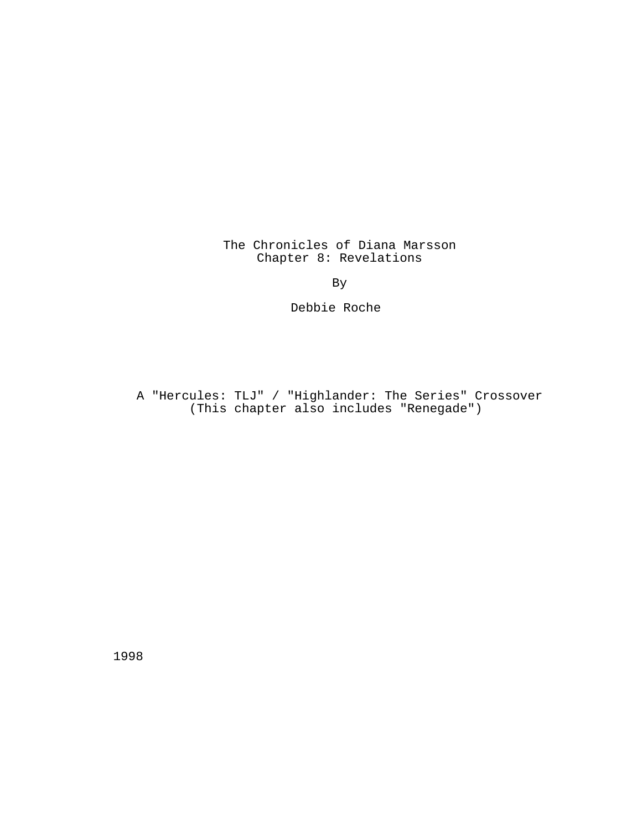The Chronicles of Diana Marsson Chapter 8: Revelations

By

Debbie Roche

A "Hercules: TLJ" / "Highlander: The Series" Crossover (This chapter also includes "Renegade")

1998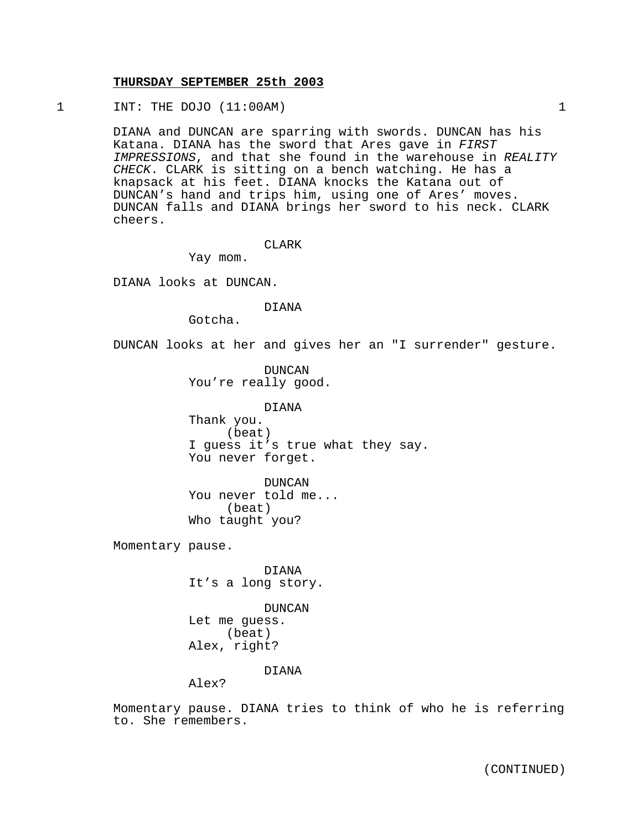#### **THURSDAY SEPTEMBER 25th 2003**

1 INT: THE DOJO (11:00AM) 1

DIANA and DUNCAN are sparring with swords. DUNCAN has his Katana. DIANA has the sword that Ares gave in FIRST IMPRESSIONS, and that she found in the warehouse in REALITY CHECK. CLARK is sitting on a bench watching. He has a knapsack at his feet. DIANA knocks the Katana out of DUNCAN's hand and trips him, using one of Ares' moves. DUNCAN falls and DIANA brings her sword to his neck. CLARK cheers.

CLARK

Yay mom.

DIANA looks at DUNCAN.

#### DIANA

Gotcha.

DUNCAN looks at her and gives her an "I surrender" gesture.

DUNCAN You're really good.

DIANA Thank you. (beat) I guess it's true what they say. You never forget.

DUNCAN You never told me... (beat) Who taught you?

Momentary pause.

DIANA It's a long story.

### DUNCAN

Let me guess. (beat) Alex, right?

### DIANA

Alex?

Momentary pause. DIANA tries to think of who he is referring to. She remembers.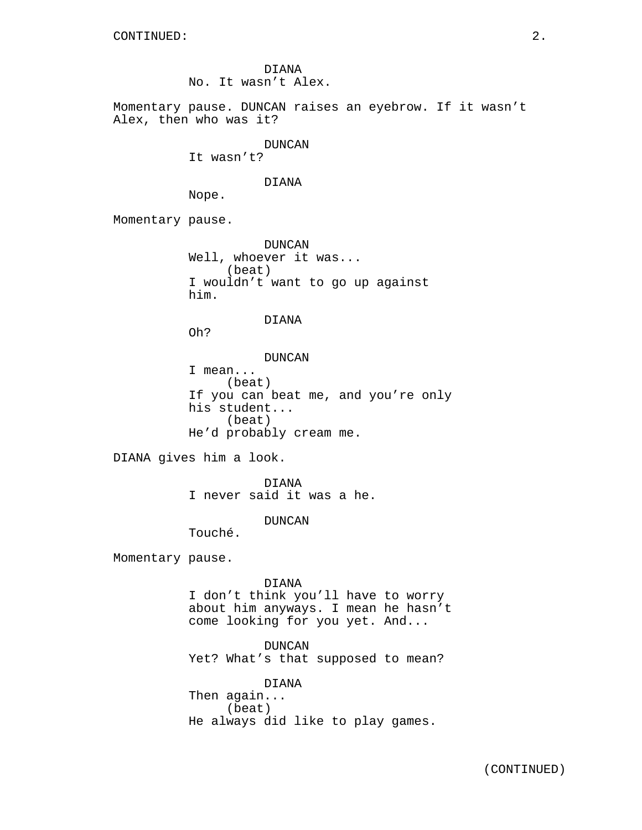DIANA No. It wasn't Alex. Momentary pause. DUNCAN raises an eyebrow. If it wasn't Alex, then who was it? DUNCAN It wasn't? DIANA Nope. Momentary pause. DUNCAN Well, whoever it was... (beat) I wouldn't want to go up against him. DIANA Oh? DUNCAN I mean... (beat) If you can beat me, and you're only his student... (beat) He'd probably cream me. DIANA gives him a look. DIANA I never said it was a he. DUNCAN Touché. Momentary pause. DIANA I don't think you'll have to worry about him anyways. I mean he hasn't come looking for you yet. And... DUNCAN Yet? What's that supposed to mean? DIANA Then again...

(beat) He always did like to play games.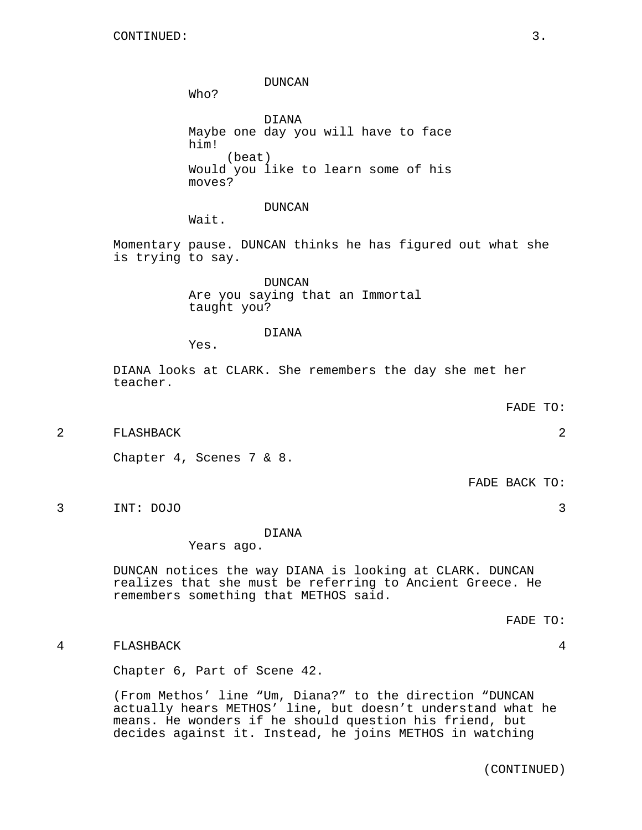DUNCAN Who? DIANA Maybe one day you will have to face him! (beat) Would you like to learn some of his moves? DUNCAN Wait. Momentary pause. DUNCAN thinks he has figured out what she is trying to say. DUNCAN Are you saying that an Immortal taught you? DIANA Yes. DIANA looks at CLARK. She remembers the day she met her teacher. FADE TO: 2 FLASHBACK 2 Chapter 4, Scenes 7 & 8. 3 INT: DOJO 3 DIANA Years ago. DUNCAN notices the way DIANA is looking at CLARK. DUNCAN realizes that she must be referring to Ancient Greece. He remembers something that METHOS said. FADE TO:

4 FLASHBACK 4

Chapter 6, Part of Scene 42.

(From Methos' line "Um, Diana?" to the direction "DUNCAN actually hears METHOS' line, but doesn't understand what he means. He wonders if he should question his friend, but decides against it. Instead, he joins METHOS in watching

FADE BACK TO: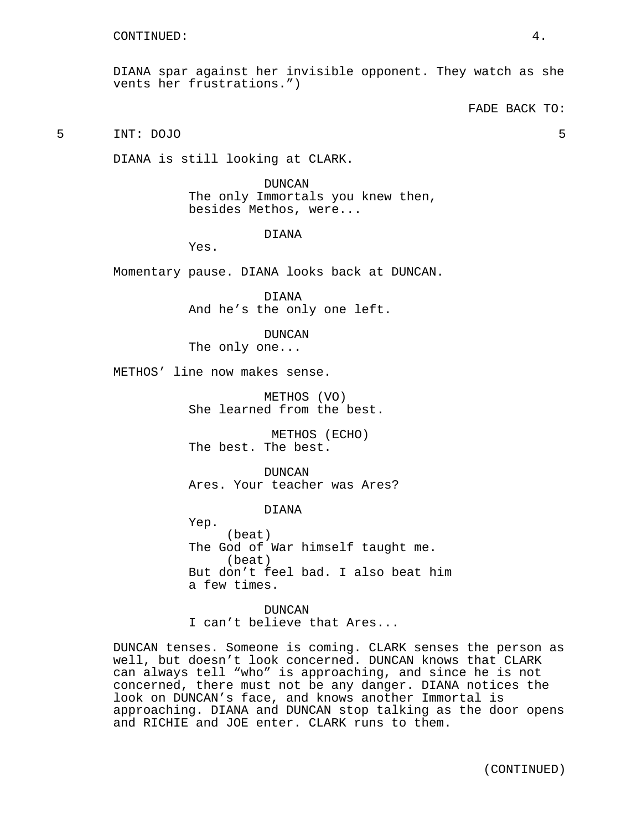DIANA spar against her invisible opponent. They watch as she vents her frustrations.")

FADE BACK TO:

5 INT: DOJO 5

DIANA is still looking at CLARK.

DUNCAN The only Immortals you knew then, besides Methos, were...

DIANA

Yes.

Momentary pause. DIANA looks back at DUNCAN.

DIANA And he's the only one left.

DUNCAN

The only one...

METHOS' line now makes sense.

METHOS (VO) She learned from the best.

METHOS (ECHO) The best. The best.

DUNCAN Ares. Your teacher was Ares?

DIANA

Yep. (beat) The God of War himself taught me. (beat) But don't feel bad. I also beat him a few times.

DUNCAN I can't believe that Ares...

DUNCAN tenses. Someone is coming. CLARK senses the person as well, but doesn't look concerned. DUNCAN knows that CLARK can always tell "who" is approaching, and since he is not concerned, there must not be any danger. DIANA notices the look on DUNCAN's face, and knows another Immortal is approaching. DIANA and DUNCAN stop talking as the door opens and RICHIE and JOE enter. CLARK runs to them.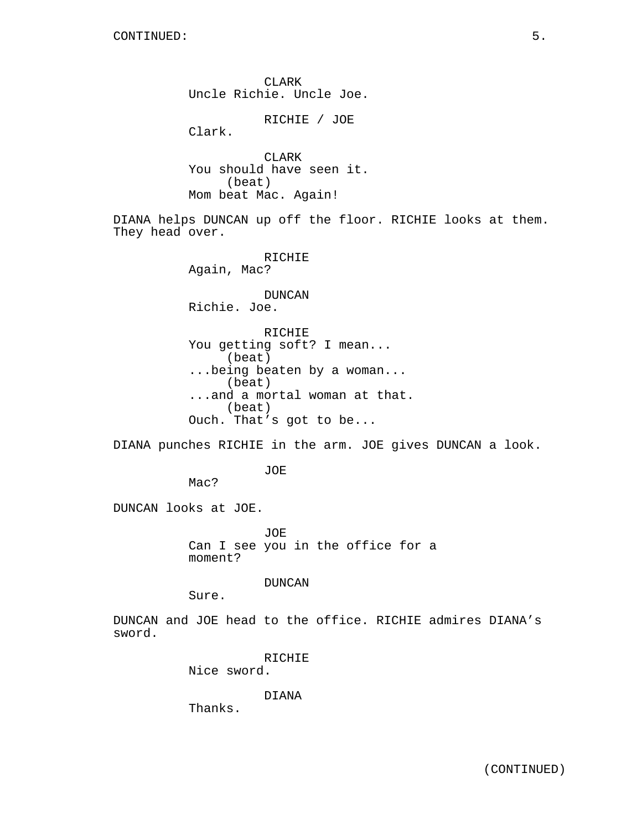CLARK Uncle Richie. Uncle Joe. RICHIE / JOE Clark. CLARK You should have seen it. (beat) Mom beat Mac. Again! DIANA helps DUNCAN up off the floor. RICHIE looks at them. They head over. RICHIE Again, Mac? DUNCAN Richie. Joe. RICHIE You getting soft? I mean... (beat) ...being beaten by a woman... (beat) ...and a mortal woman at that. (beat) Ouch. That's got to be... DIANA punches RICHIE in the arm. JOE gives DUNCAN a look. JOE Mac? DUNCAN looks at JOE. JOE Can I see you in the office for a moment? DUNCAN

Sure.

DUNCAN and JOE head to the office. RICHIE admires DIANA's sword.

> RICHIE Nice sword.

> > DIANA

Thanks.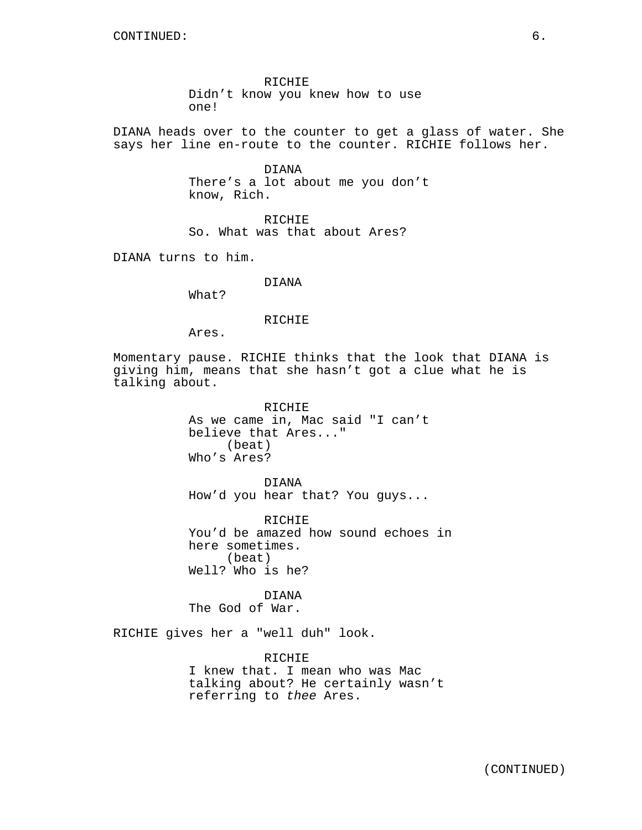RICHIE Didn't know you knew how to use one!

DIANA heads over to the counter to get a glass of water. She says her line en-route to the counter. RICHIE follows her.

> DIANA There's a lot about me you don't know, Rich.

RICHIE So. What was that about Ares?

DIANA turns to him.

### DIANA

What?

#### RICHIE

Ares.

Momentary pause. RICHIE thinks that the look that DIANA is giving him, means that she hasn't got a clue what he is talking about.

> RICHIE As we came in, Mac said "I can't believe that Ares..." (beat) Who's Ares?

> DIANA How'd you hear that? You guys...

RICHIE You'd be amazed how sound echoes in here sometimes. (beat) Well? Who is he?

DIANA The God of War.

RICHIE gives her a "well duh" look.

RICHIE I knew that. I mean who was Mac talking about? He certainly wasn't referring to thee Ares.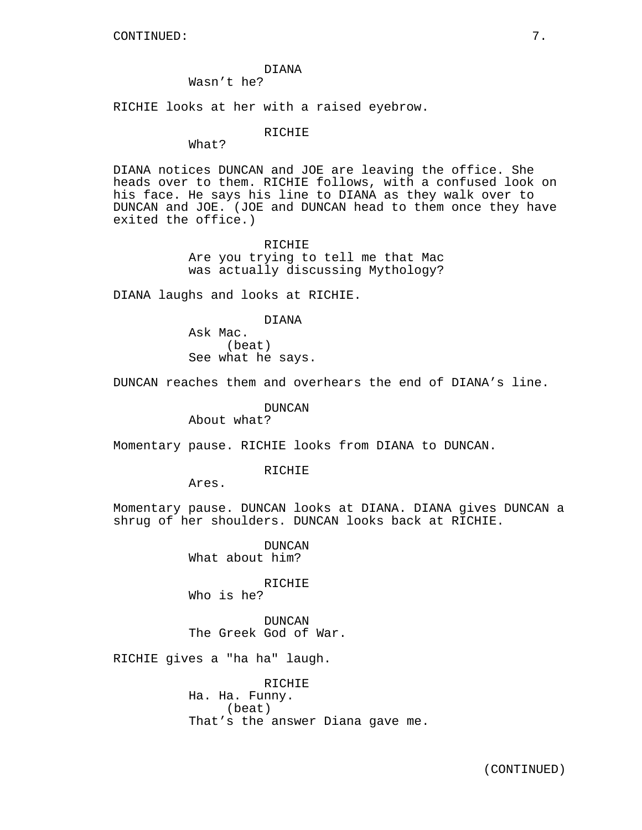# DIANA

Wasn't he?

RICHIE looks at her with a raised eyebrow.

### RICHIE

What?

DIANA notices DUNCAN and JOE are leaving the office. She heads over to them. RICHIE follows, with a confused look on his face. He says his line to DIANA as they walk over to DUNCAN and JOE. (JOE and DUNCAN head to them once they have exited the office.)

> RICHIE Are you trying to tell me that Mac was actually discussing Mythology?

DIANA laughs and looks at RICHIE.

DIANA

Ask Mac. (beat) See what he says.

DUNCAN reaches them and overhears the end of DIANA's line.

DUNCAN

About what?

Momentary pause. RICHIE looks from DIANA to DUNCAN.

RICHIE

Ares.

Momentary pause. DUNCAN looks at DIANA. DIANA gives DUNCAN a shrug of her shoulders. DUNCAN looks back at RICHIE.

> DUNCAN What about him?

> > RICHIE

Who is he?

DUNCAN The Greek God of War.

RICHIE gives a "ha ha" laugh.

RICHIE Ha. Ha. Funny. (beat) That's the answer Diana gave me.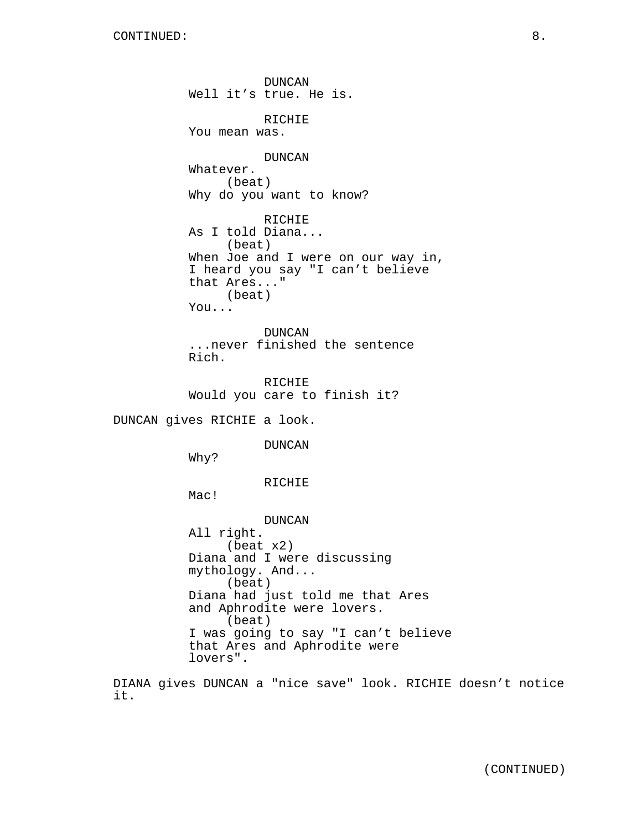DUNCAN Well it's true. He is. RICHIE You mean was. DUNCAN Whatever. (beat) Why do you want to know? RICHIE As I told Diana... (beat) When Joe and I were on our way in, I heard you say "I can't believe that Ares..." (beat) You... DUNCAN ...never finished the sentence Rich. RICHIE Would you care to finish it? DUNCAN gives RICHIE a look. DUNCAN Why? RICHIE Mac! DUNCAN All right. (beat x2) Diana and I were discussing mythology. And... (beat) Diana had just told me that Ares and Aphrodite were lovers. (beat) I was going to say "I can't believe that Ares and Aphrodite were lovers".

DIANA gives DUNCAN a "nice save" look. RICHIE doesn't notice it.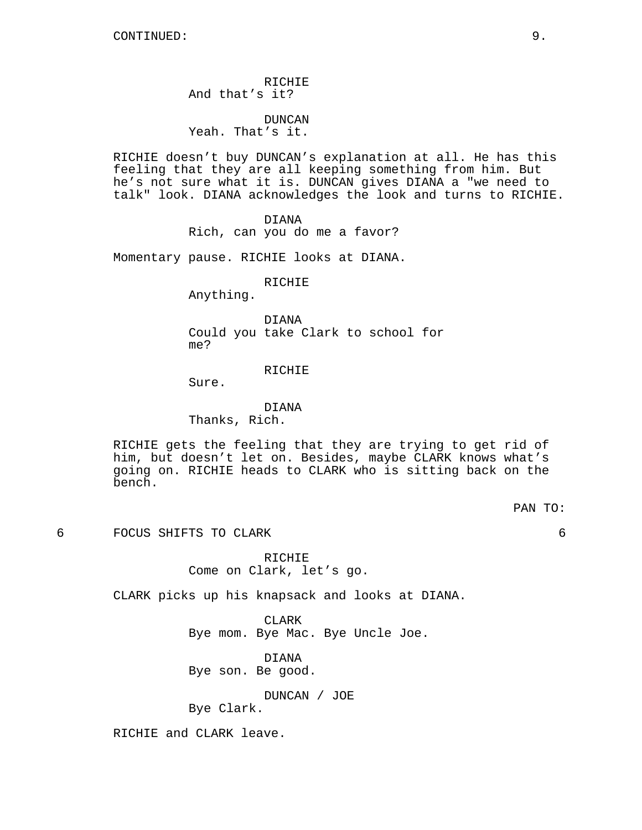RICHIE And that's it?

DUNCAN Yeah. That's it.

RICHIE doesn't buy DUNCAN's explanation at all. He has this feeling that they are all keeping something from him. But he's not sure what it is. DUNCAN gives DIANA a "we need to talk" look. DIANA acknowledges the look and turns to RICHIE.

DIANA

Rich, can you do me a favor?

Momentary pause. RICHIE looks at DIANA.

# RICHIE

Anything.

DIANA Could you take Clark to school for me?

#### RICHIE

Sure.

DIANA

Thanks, Rich.

RICHIE gets the feeling that they are trying to get rid of him, but doesn't let on. Besides, maybe CLARK knows what's going on. RICHIE heads to CLARK who is sitting back on the bench.

PAN TO:

6 FOCUS SHIFTS TO CLARK 6

RICHIE Come on Clark, let's go.

CLARK picks up his knapsack and looks at DIANA.

CLARK Bye mom. Bye Mac. Bye Uncle Joe.

DIANA Bye son. Be good.

DUNCAN / JOE

Bye Clark.

RICHIE and CLARK leave.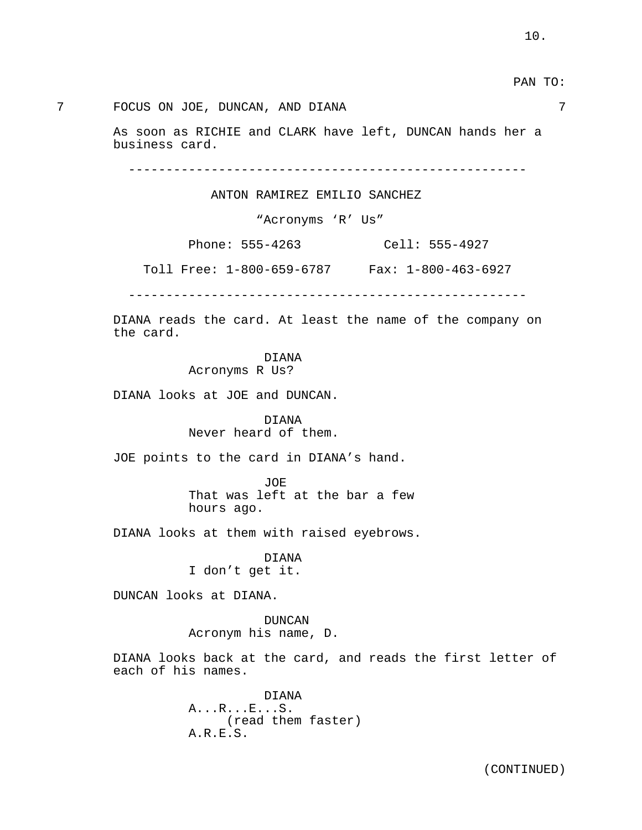PAN TO:

# 7 FOCUS ON JOE, DUNCAN, AND DIANA 7

As soon as RICHIE and CLARK have left, DUNCAN hands her a business card.

-----------------------------------------------------

ANTON RAMIREZ EMILIO SANCHEZ

"Acronyms 'R' Us"

Phone: 555-4263 Cell: 555-4927

Toll Free: 1-800-659-6787 Fax: 1-800-463-6927

-----------------------------------------------------

DIANA reads the card. At least the name of the company on the card.

### DIANA

Acronyms R Us?

DIANA looks at JOE and DUNCAN.

DIANA Never heard of them.

JOE points to the card in DIANA's hand.

JOE That was left at the bar a few hours ago.

DIANA looks at them with raised eyebrows.

DIANA I don't get it.

DUNCAN looks at DIANA.

DUNCAN Acronym his name, D.

DIANA looks back at the card, and reads the first letter of each of his names.

> DIANA A...R...E...S. (read them faster) A.R.E.S.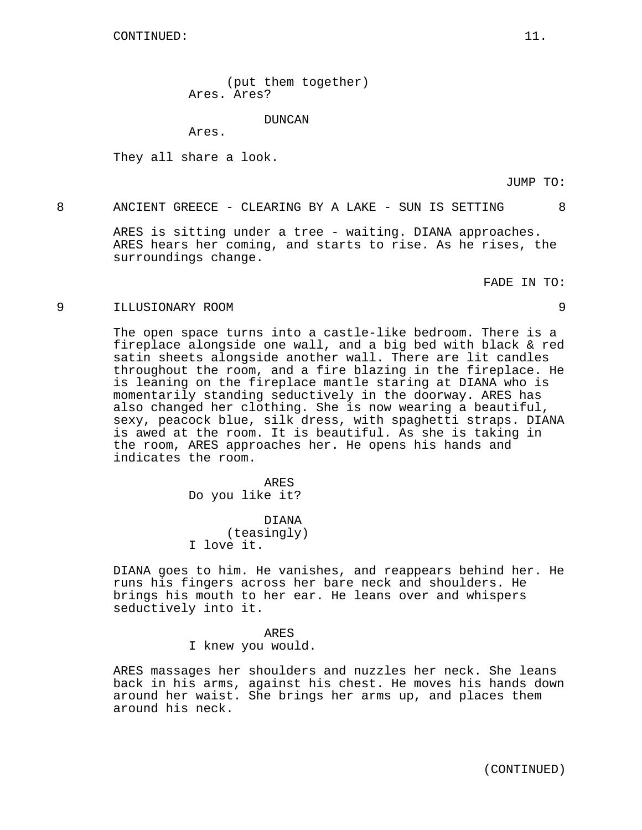(put them together) Ares. Ares?

DUNCAN

Ares.

They all share a look.

JUMP TO:

8 ANCIENT GREECE - CLEARING BY A LAKE - SUN IS SETTING 8

ARES is sitting under a tree - waiting. DIANA approaches. ARES hears her coming, and starts to rise. As he rises, the surroundings change.

FADE IN TO:

#### 9 ILLUSIONARY ROOM 9

The open space turns into a castle-like bedroom. There is a fireplace alongside one wall, and a big bed with black & red satin sheets alongside another wall. There are lit candles throughout the room, and a fire blazing in the fireplace. He is leaning on the fireplace mantle staring at DIANA who is momentarily standing seductively in the doorway. ARES has also changed her clothing. She is now wearing a beautiful, sexy, peacock blue, silk dress, with spaghetti straps. DIANA is awed at the room. It is beautiful. As she is taking in the room, ARES approaches her. He opens his hands and indicates the room.

> ARES Do you like it?

DIANA (teasingly) I love it.

DIANA goes to him. He vanishes, and reappears behind her. He runs his fingers across her bare neck and shoulders. He brings his mouth to her ear. He leans over and whispers seductively into it.

ARES

I knew you would.

ARES massages her shoulders and nuzzles her neck. She leans back in his arms, against his chest. He moves his hands down around her waist. She brings her arms up, and places them around his neck.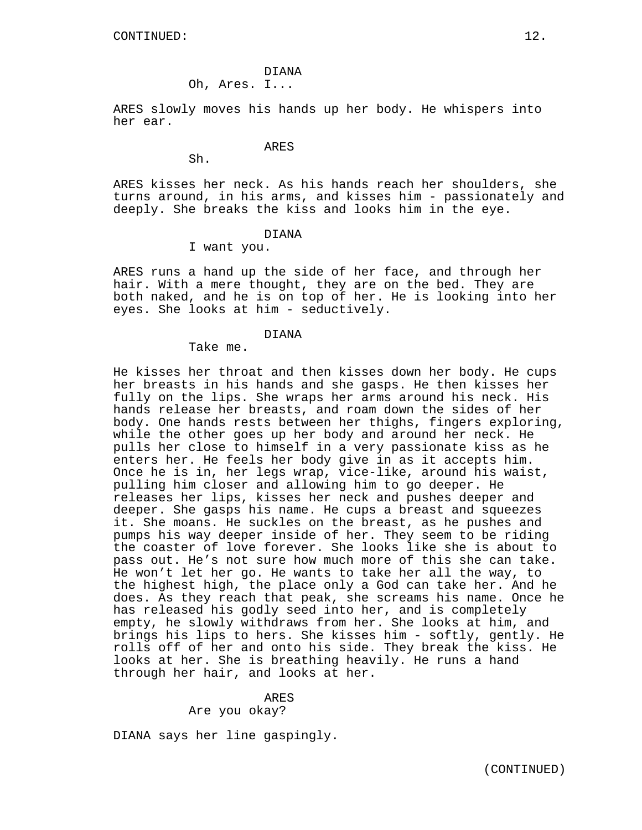# DIANA

Oh, Ares. I...

ARES slowly moves his hands up her body. He whispers into her ear.

### ARES

Sh.

ARES kisses her neck. As his hands reach her shoulders, she turns around, in his arms, and kisses him - passionately and deeply. She breaks the kiss and looks him in the eye.

### DIANA

I want you.

ARES runs a hand up the side of her face, and through her hair. With a mere thought, they are on the bed. They are both naked, and he is on top of her. He is looking into her eyes. She looks at him - seductively.

### DIANA

Take me.

He kisses her throat and then kisses down her body. He cups her breasts in his hands and she gasps. He then kisses her fully on the lips. She wraps her arms around his neck. His hands release her breasts, and roam down the sides of her body. One hands rests between her thighs, fingers exploring, while the other goes up her body and around her neck. He pulls her close to himself in a very passionate kiss as he enters her. He feels her body give in as it accepts him. Once he is in, her legs wrap, vice-like, around his waist, pulling him closer and allowing him to go deeper. He releases her lips, kisses her neck and pushes deeper and deeper. She gasps his name. He cups a breast and squeezes it. She moans. He suckles on the breast, as he pushes and pumps his way deeper inside of her. They seem to be riding the coaster of love forever. She looks like she is about to pass out. He's not sure how much more of this she can take. He won't let her go. He wants to take her all the way, to the highest high, the place only a God can take her. And he does. As they reach that peak, she screams his name. Once he has released his godly seed into her, and is completely empty, he slowly withdraws from her. She looks at him, and brings his lips to hers. She kisses him - softly, gently. He rolls off of her and onto his side. They break the kiss. He looks at her. She is breathing heavily. He runs a hand through her hair, and looks at her.

## ARES Are you okay?

DIANA says her line gaspingly.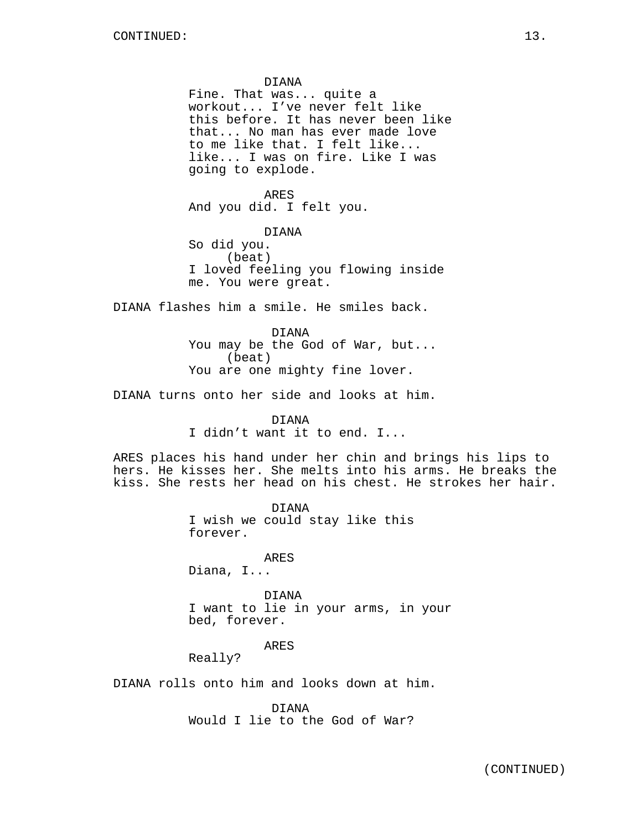DIANA Fine. That was... quite a workout... I've never felt like this before. It has never been like that... No man has ever made love to me like that. I felt like... like... I was on fire. Like I was going to explode. ARES And you did. I felt you. DIANA So did you. (beat) I loved feeling you flowing inside me. You were great. DIANA flashes him a smile. He smiles back. DIANA You may be the God of War, but... (beat) You are one mighty fine lover. DIANA turns onto her side and looks at him. DIANA I didn't want it to end. I... ARES places his hand under her chin and brings his lips to hers. He kisses her. She melts into his arms. He breaks the kiss. She rests her head on his chest. He strokes her hair. DIANA

I wish we could stay like this forever.

ARES Diana, I...

DIANA I want to lie in your arms, in your bed, forever.

# ARES

Really?

DIANA rolls onto him and looks down at him.

DIANA Would I lie to the God of War?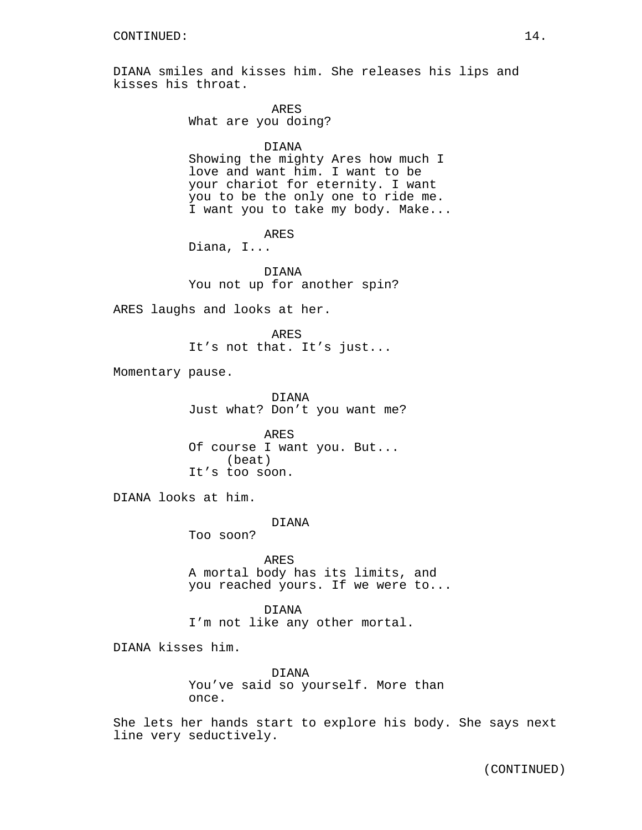DIANA smiles and kisses him. She releases his lips and kisses his throat.

ARES

What are you doing?

## DIANA

Showing the mighty Ares how much I love and want him. I want to be your chariot for eternity. I want you to be the only one to ride me. I want you to take my body. Make...

ARES

Diana, I...

DIANA You not up for another spin?

ARES laughs and looks at her.

ARES It's not that. It's just...

Momentary pause.

DIANA Just what? Don't you want me?

ARES Of course I want you. But... (beat) It's too soon.

DIANA looks at him.

DIANA

Too soon?

ARES A mortal body has its limits, and you reached yours. If we were to...

DIANA I'm not like any other mortal.

DIANA kisses him.

DIANA You've said so yourself. More than once.

She lets her hands start to explore his body. She says next line very seductively.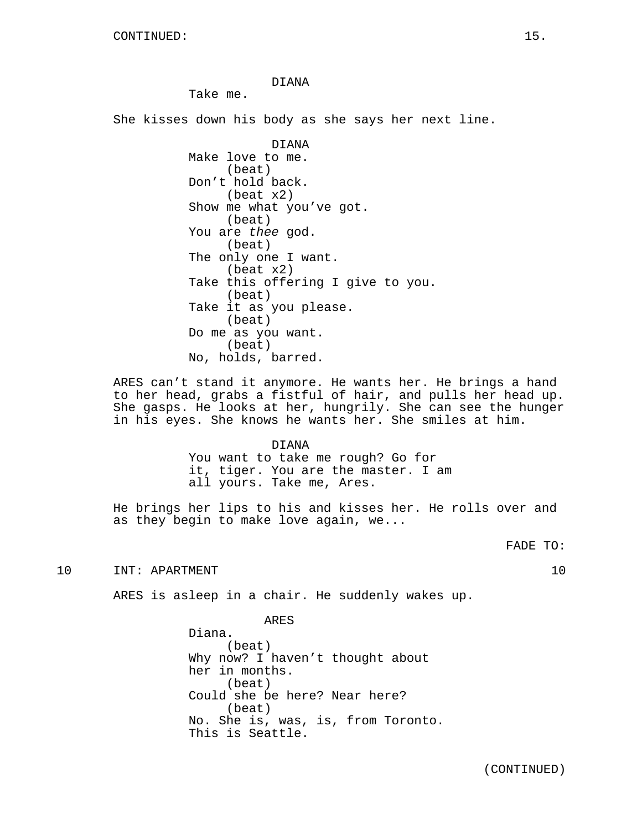DIANA

Take me.

She kisses down his body as she says her next line.

DIANA Make love to me. (beat) Don't hold back. (beat x2) Show me what you've got. (beat) You are thee god. (beat) The only one I want. (beat x2) Take this offering I give to you. (beat) Take it as you please. (beat) Do me as you want. (beat) No, holds, barred.

ARES can't stand it anymore. He wants her. He brings a hand to her head, grabs a fistful of hair, and pulls her head up. She gasps. He looks at her, hungrily. She can see the hunger in his eyes. She knows he wants her. She smiles at him.

> DIANA You want to take me rough? Go for it, tiger. You are the master. I am all yours. Take me, Ares.

He brings her lips to his and kisses her. He rolls over and as they begin to make love again, we...

FADE TO:

10 INT: APARTMENT 10 10

ARES is asleep in a chair. He suddenly wakes up.

ARES Diana. (beat) Why now? I haven't thought about her in months. (beat) Could she be here? Near here? (beat) No. She is, was, is, from Toronto. This is Seattle.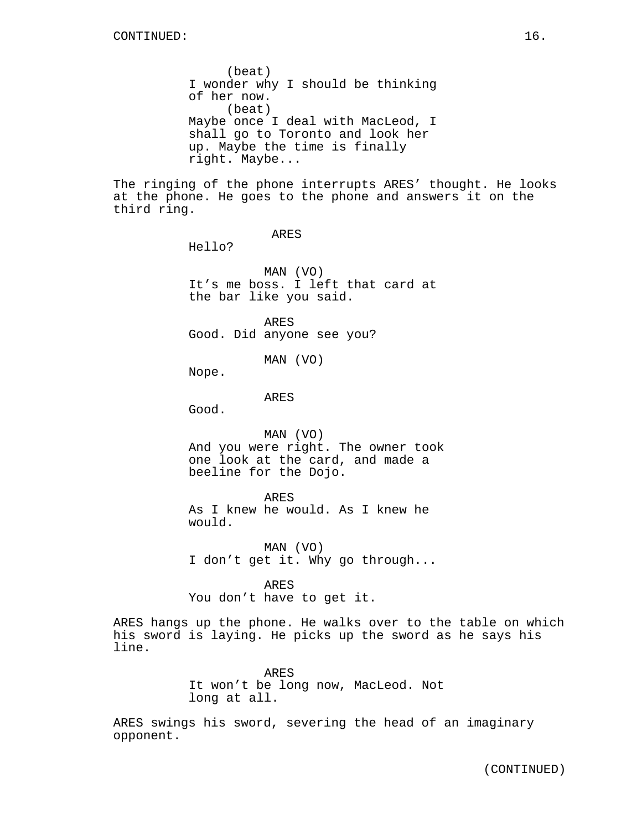(beat) I wonder why I should be thinking of her now. (beat) Maybe once I deal with MacLeod, I shall go to Toronto and look her up. Maybe the time is finally right. Maybe...

The ringing of the phone interrupts ARES' thought. He looks at the phone. He goes to the phone and answers it on the third ring.

ARES

Hello?

MAN (VO) It's me boss. I left that card at the bar like you said.

ARES Good. Did anyone see you?

MAN (VO)

Nope.

ARES

Good.

MAN (VO) And you were right. The owner took one look at the card, and made a beeline for the Dojo.

ARES

As I knew he would. As I knew he would.

MAN (VO) I don't get it. Why go through...

ARES You don't have to get it.

ARES hangs up the phone. He walks over to the table on which his sword is laying. He picks up the sword as he says his line.

> ARES It won't be long now, MacLeod. Not long at all.

ARES swings his sword, severing the head of an imaginary opponent.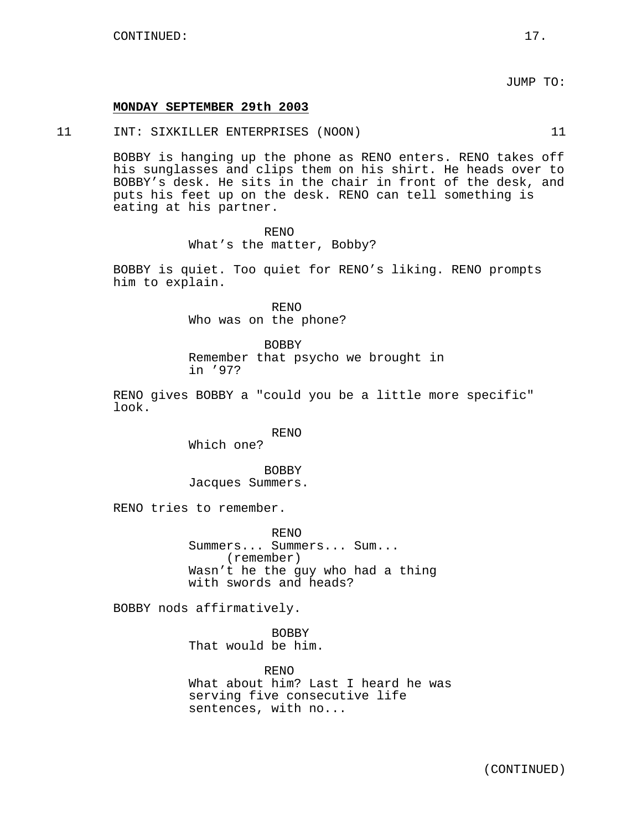JUMP TO:

#### **MONDAY SEPTEMBER 29th 2003**

# 11 INT: SIXKILLER ENTERPRISES (NOON) 11

BOBBY is hanging up the phone as RENO enters. RENO takes off his sunglasses and clips them on his shirt. He heads over to BOBBY's desk. He sits in the chair in front of the desk, and puts his feet up on the desk. RENO can tell something is eating at his partner.

#### RENO

What's the matter, Bobby?

BOBBY is quiet. Too quiet for RENO's liking. RENO prompts him to explain.

> RENO Who was on the phone?

BOBBY Remember that psycho we brought in in '97?

RENO gives BOBBY a "could you be a little more specific" look.

#### RENO

Which one?

BOBBY Jacques Summers.

RENO tries to remember.

RENO Summers... Summers... Sum... (remember) Wasn't he the guy who had a thing with swords and heads?

BOBBY nods affirmatively.

BOBBY That would be him.

RENO What about him? Last I heard he was serving five consecutive life sentences, with no...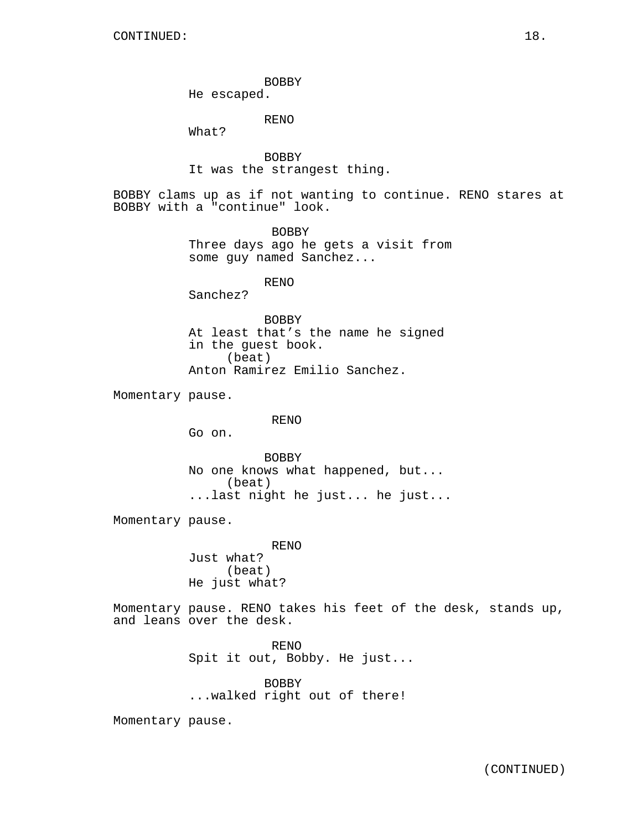BOBBY

He escaped.

RENO

What?

BOBBY It was the strangest thing.

BOBBY clams up as if not wanting to continue. RENO stares at BOBBY with a "continue" look.

> BOBBY Three days ago he gets a visit from some guy named Sanchez...

> > RENO

Sanchez?

BOBBY At least that's the name he signed in the guest book. (beat) Anton Ramirez Emilio Sanchez.

Momentary pause.

RENO

Go on.

BOBBY No one knows what happened, but... (beat) ...last night he just... he just...

Momentary pause.

RENO Just what? (beat) He just what?

Momentary pause. RENO takes his feet of the desk, stands up, and leans over the desk.

> RENO Spit it out, Bobby. He just...

BOBBY ...walked right out of there!

Momentary pause.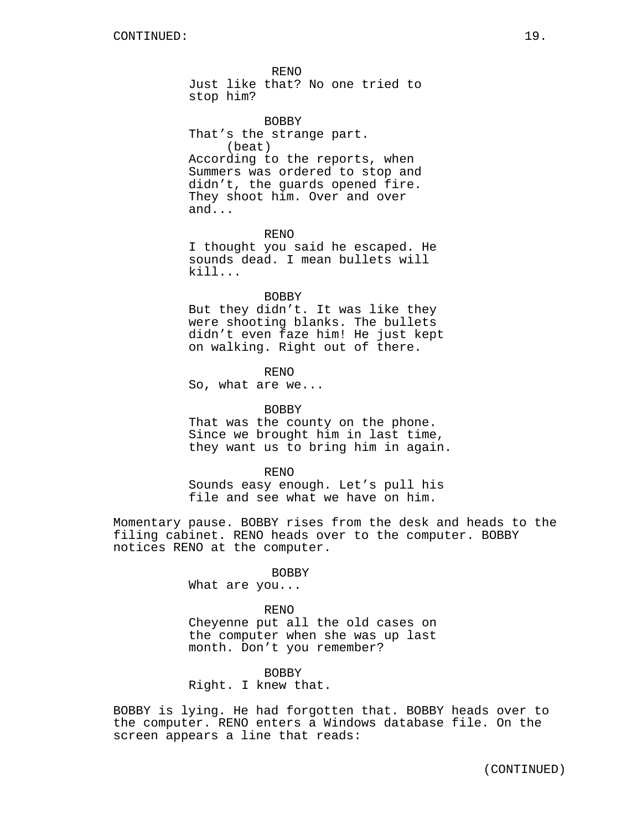RENO Just like that? No one tried to stop him?

BOBBY That's the strange part. (beat) According to the reports, when Summers was ordered to stop and didn't, the guards opened fire. They shoot him. Over and over and...

RENO I thought you said he escaped. He sounds dead. I mean bullets will kill...

#### BOBBY

But they didn't. It was like they were shooting blanks. The bullets didn't even faze him! He just kept on walking. Right out of there.

RENO

So, what are we...

BOBBY

That was the county on the phone. Since we brought him in last time, they want us to bring him in again.

RENO Sounds easy enough. Let's pull his file and see what we have on him.

Momentary pause. BOBBY rises from the desk and heads to the filing cabinet. RENO heads over to the computer. BOBBY notices RENO at the computer.

#### BOBBY

What are you...

RENO

Cheyenne put all the old cases on the computer when she was up last month. Don't you remember?

BOBBY Right. I knew that.

BOBBY is lying. He had forgotten that. BOBBY heads over to the computer. RENO enters a Windows database file. On the screen appears a line that reads: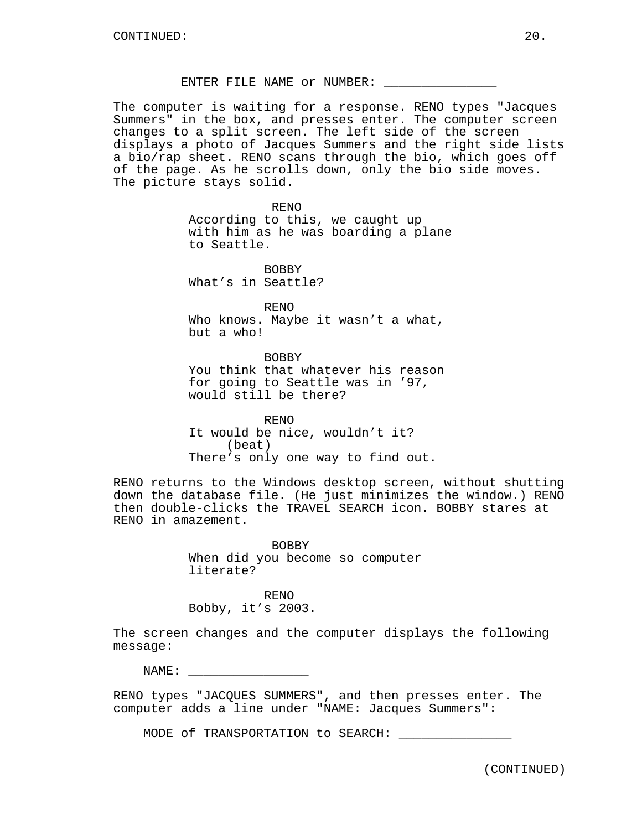ENTER FILE NAME or NUMBER: \_\_\_\_\_\_\_\_\_\_\_\_\_\_\_

The computer is waiting for a response. RENO types "Jacques Summers" in the box, and presses enter. The computer screen changes to a split screen. The left side of the screen displays a photo of Jacques Summers and the right side lists a bio/rap sheet. RENO scans through the bio, which goes off of the page. As he scrolls down, only the bio side moves. The picture stays solid.

> RENO According to this, we caught up with him as he was boarding a plane to Seattle.

BOBBY What's in Seattle?

RENO Who knows. Maybe it wasn't a what, but a who!

**BOBBY** You think that whatever his reason for going to Seattle was in '97, would still be there?

RENO It would be nice, wouldn't it? (beat) There's only one way to find out.

RENO returns to the Windows desktop screen, without shutting down the database file. (He just minimizes the window.) RENO then double-clicks the TRAVEL SEARCH icon. BOBBY stares at RENO in amazement.

> BOBBY When did you become so computer literate?

RENO Bobby, it's 2003.

The screen changes and the computer displays the following message:

 $NAME$ :

RENO types "JACQUES SUMMERS", and then presses enter. The computer adds a line under "NAME: Jacques Summers":

MODE of TRANSPORTATION to SEARCH:

(CONTINUED)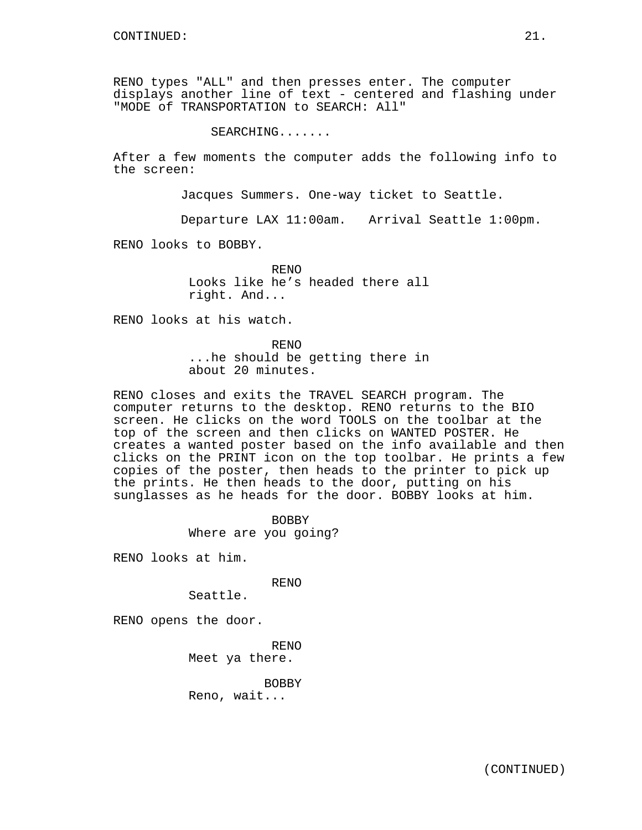RENO types "ALL" and then presses enter. The computer displays another line of text - centered and flashing under "MODE of TRANSPORTATION to SEARCH: All"

SEARCHING.......

After a few moments the computer adds the following info to the screen:

Jacques Summers. One-way ticket to Seattle.

Departure LAX 11:00am. Arrival Seattle 1:00pm.

RENO looks to BOBBY.

RENO Looks like he's headed there all right. And...

RENO looks at his watch.

RENO ...he should be getting there in about 20 minutes.

RENO closes and exits the TRAVEL SEARCH program. The computer returns to the desktop. RENO returns to the BIO screen. He clicks on the word TOOLS on the toolbar at the top of the screen and then clicks on WANTED POSTER. He creates a wanted poster based on the info available and then clicks on the PRINT icon on the top toolbar. He prints a few copies of the poster, then heads to the printer to pick up the prints. He then heads to the door, putting on his sunglasses as he heads for the door. BOBBY looks at him.

> BOBBY Where are you going?

RENO looks at him.

RENO

Seattle.

RENO opens the door.

RENO Meet ya there.

BOBBY Reno, wait...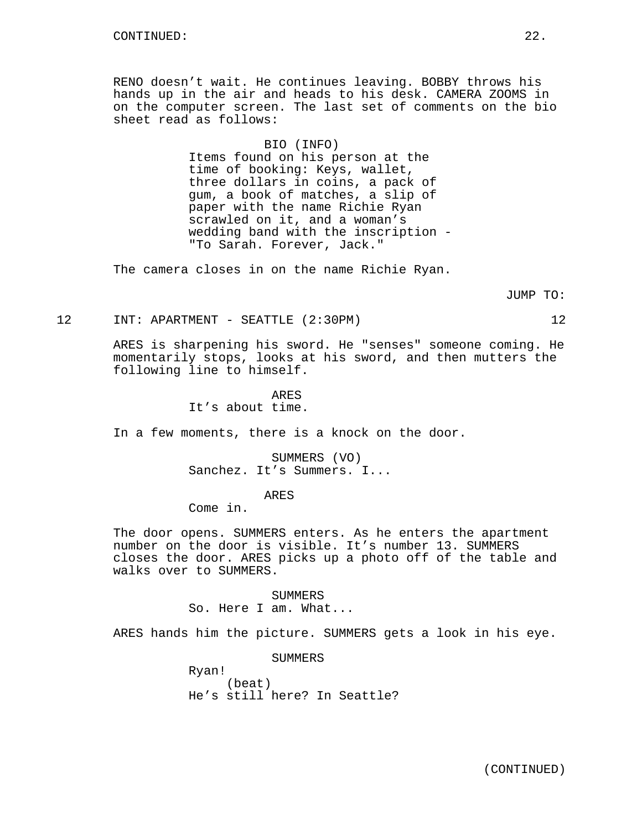RENO doesn't wait. He continues leaving. BOBBY throws his hands up in the air and heads to his desk. CAMERA ZOOMS in on the computer screen. The last set of comments on the bio sheet read as follows:

## BIO (INFO)

Items found on his person at the time of booking: Keys, wallet, three dollars in coins, a pack of gum, a book of matches, a slip of paper with the name Richie Ryan scrawled on it, and a woman's wedding band with the inscription - "To Sarah. Forever, Jack."

The camera closes in on the name Richie Ryan.

JUMP TO:

#### 12 INT: APARTMENT - SEATTLE (2:30PM) 12

ARES is sharpening his sword. He "senses" someone coming. He momentarily stops, looks at his sword, and then mutters the following line to himself.

#### ARES It's about time.

In a few moments, there is a knock on the door.

SUMMERS (VO) Sanchez. It's Summers. I...

### ARES

Come in.

The door opens. SUMMERS enters. As he enters the apartment number on the door is visible. It's number 13. SUMMERS closes the door. ARES picks up a photo off of the table and walks over to SUMMERS.

# **SUMMERS**

So. Here I am. What...

ARES hands him the picture. SUMMERS gets a look in his eye.

SUMMERS

Ryan! (beat) He's still here? In Seattle?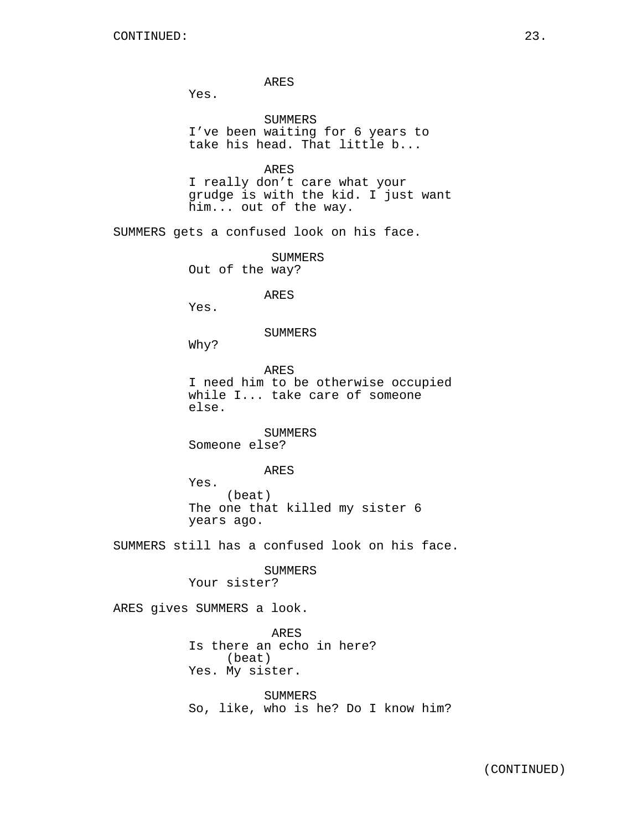ARES

Yes.

SUMMERS I've been waiting for 6 years to take his head. That little b...

ARES I really don't care what your grudge is with the kid. I just want him... out of the way.

SUMMERS gets a confused look on his face.

SUMMERS Out of the way?

ARES

Yes.

#### SUMMERS

Why?

ARES I need him to be otherwise occupied while I... take care of someone else.

SUMMERS Someone else?

#### ARES

Yes. (beat) The one that killed my sister 6 years ago.

SUMMERS still has a confused look on his face.

# SUMMERS

Your sister?

ARES gives SUMMERS a look.

ARES Is there an echo in here? (beat) Yes. My sister.

SUMMERS So, like, who is he? Do I know him?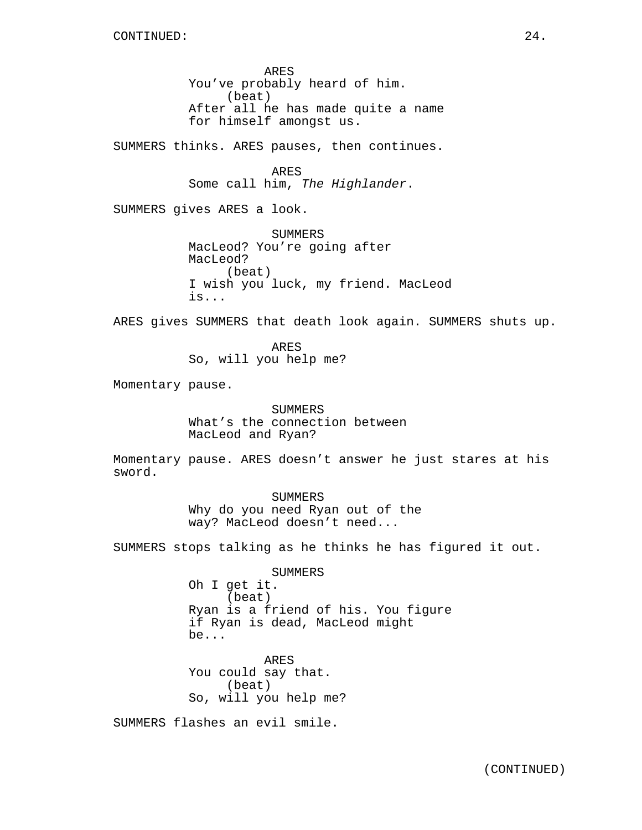ARES You've probably heard of him. (beat) After all he has made quite a name for himself amongst us.

SUMMERS thinks. ARES pauses, then continues.

ARES

Some call him, The Highlander.

SUMMERS gives ARES a look.

SUMMERS MacLeod? You're going after MacLeod? (beat) I wish you luck, my friend. MacLeod is...

ARES gives SUMMERS that death look again. SUMMERS shuts up.

ARES So, will you help me?

Momentary pause.

SUMMERS What's the connection between MacLeod and Ryan?

Momentary pause. ARES doesn't answer he just stares at his sword.

> SUMMERS Why do you need Ryan out of the way? MacLeod doesn't need...

SUMMERS stops talking as he thinks he has figured it out.

SUMMERS Oh I get it. (beat) Ryan is a friend of his. You figure if Ryan is dead, MacLeod might be...

ARES You could say that. (beat) So, will you help me?

SUMMERS flashes an evil smile.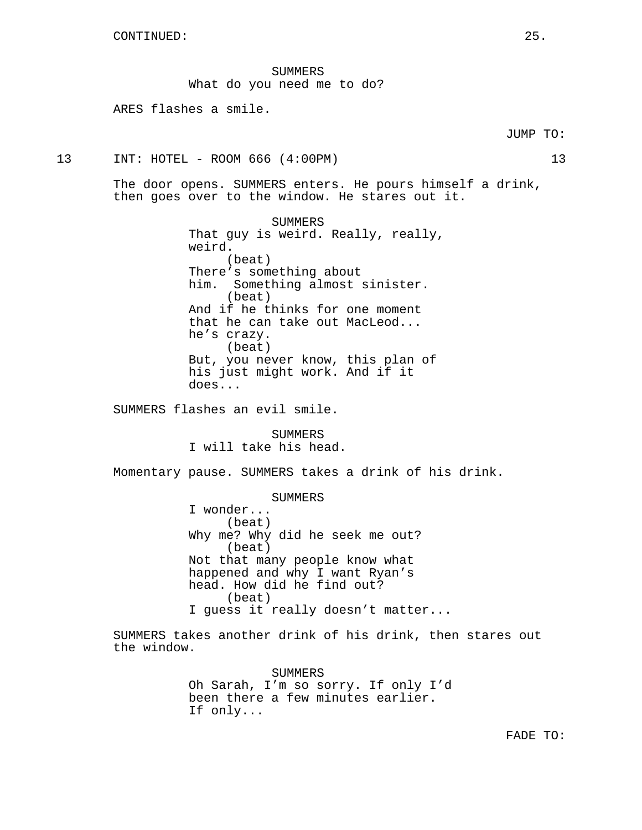SUMMERS What do you need me to do?

ARES flashes a smile.

13 INT: HOTEL - ROOM 666 (4:00PM) 13

The door opens. SUMMERS enters. He pours himself a drink, then goes over to the window. He stares out it.

> SUMMERS That guy is weird. Really, really, weird. (beat) There's something about him. Something almost sinister. (beat) And if he thinks for one moment that he can take out MacLeod... he's crazy. (beat) But, you never know, this plan of his just might work. And if it does...

SUMMERS flashes an evil smile.

SUMMERS I will take his head.

Momentary pause. SUMMERS takes a drink of his drink.

SUMMERS I wonder... (beat) Why me? Why did he seek me out? (beat) Not that many people know what happened and why I want Ryan's head. How did he find out? (beat) I guess it really doesn't matter...

SUMMERS takes another drink of his drink, then stares out the window.

> SUMMERS Oh Sarah, I'm so sorry. If only I'd been there a few minutes earlier. If only...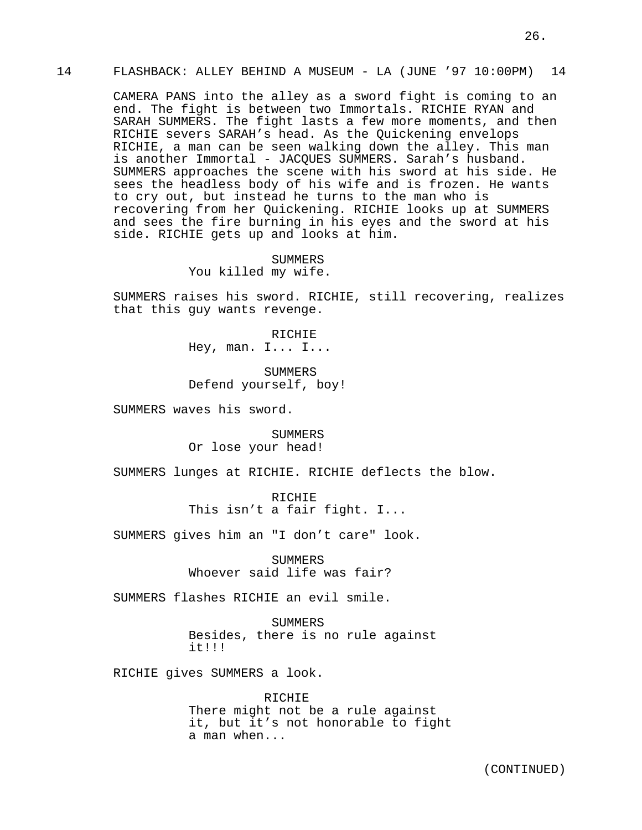14 FLASHBACK: ALLEY BEHIND A MUSEUM - LA (JUNE '97 10:00PM) 14

CAMERA PANS into the alley as a sword fight is coming to an end. The fight is between two Immortals. RICHIE RYAN and SARAH SUMMERS. The fight lasts a few more moments, and then RICHIE severs SARAH's head. As the Quickening envelops RICHIE, a man can be seen walking down the alley. This man is another Immortal - JACQUES SUMMERS. Sarah's husband. SUMMERS approaches the scene with his sword at his side. He sees the headless body of his wife and is frozen. He wants to cry out, but instead he turns to the man who is recovering from her Quickening. RICHIE looks up at SUMMERS and sees the fire burning in his eyes and the sword at his side. RICHIE gets up and looks at him.

> SUMMERS You killed my wife.

SUMMERS raises his sword. RICHIE, still recovering, realizes that this guy wants revenge.

> RICHIE Hey, man. I... I...

SUMMERS Defend yourself, boy!

SUMMERS waves his sword.

SUMMERS Or lose your head!

SUMMERS lunges at RICHIE. RICHIE deflects the blow.

RICHIE This isn't a fair fight. I...

SUMMERS gives him an "I don't care" look.

SUMMERS Whoever said life was fair?

SUMMERS flashes RICHIE an evil smile.

SUMMERS Besides, there is no rule against it!!!

RICHIE gives SUMMERS a look.

RICHIE There might not be a rule against it, but it's not honorable to fight a man when...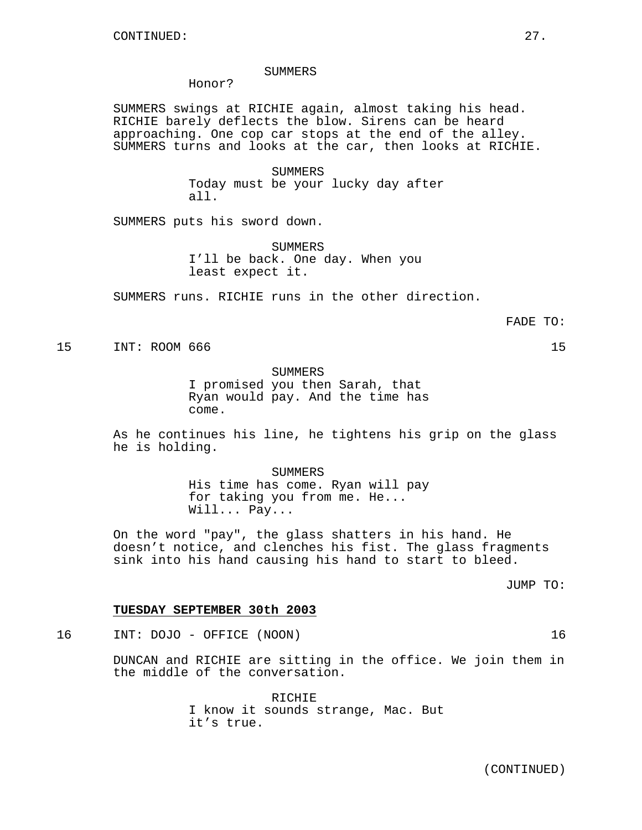SUMMERS

Honor?

SUMMERS swings at RICHIE again, almost taking his head. RICHIE barely deflects the blow. Sirens can be heard approaching. One cop car stops at the end of the alley. SUMMERS turns and looks at the car, then looks at RICHIE.

> SUMMERS Today must be your lucky day after all.

SUMMERS puts his sword down.

**SUMMERS** I'll be back. One day. When you least expect it.

SUMMERS runs. RICHIE runs in the other direction.

FADE TO:

15 INT: ROOM 666 15

SUMMERS I promised you then Sarah, that Ryan would pay. And the time has come.

As he continues his line, he tightens his grip on the glass he is holding.

> SUMMERS His time has come. Ryan will pay for taking you from me. He... Will... Pay...

On the word "pay", the glass shatters in his hand. He doesn't notice, and clenches his fist. The glass fragments sink into his hand causing his hand to start to bleed.

JUMP TO:

#### **TUESDAY SEPTEMBER 30th 2003**

16 INT: DOJO - OFFICE (NOON) 16

DUNCAN and RICHIE are sitting in the office. We join them in the middle of the conversation.

> RICHIE I know it sounds strange, Mac. But it's true.

(CONTINUED)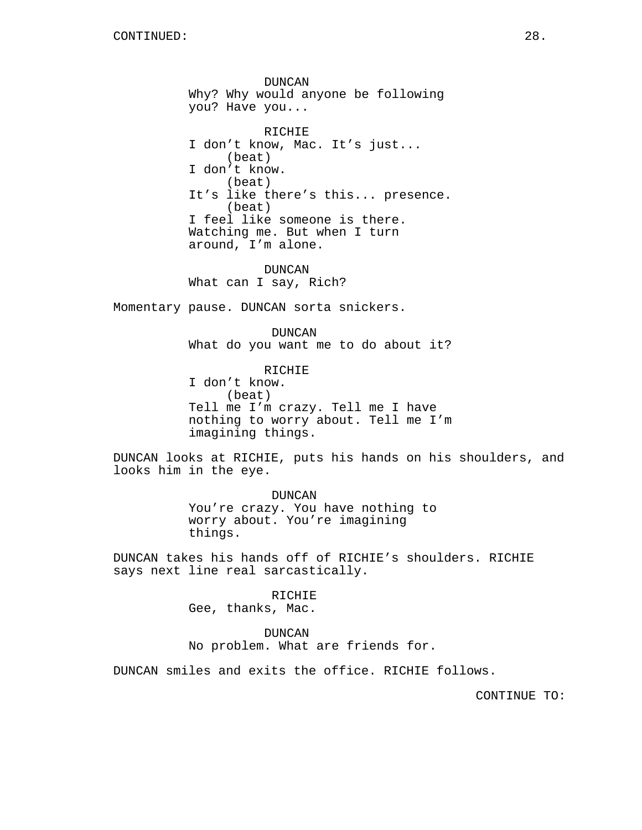DUNCAN Why? Why would anyone be following you? Have you... RICHIE I don't know, Mac. It's just... (beat) I don't know. (beat) It's like there's this... presence. (beat) I feel like someone is there. Watching me. But when I turn around, I'm alone. DUNCAN What can I say, Rich? Momentary pause. DUNCAN sorta snickers. DUNCAN What do you want me to do about it? RICHIE I don't know. (beat) Tell me I'm crazy. Tell me I have nothing to worry about. Tell me I'm imagining things. DUNCAN looks at RICHIE, puts his hands on his shoulders, and looks him in the eye. DUNCAN You're crazy. You have nothing to worry about. You're imagining things.

DUNCAN takes his hands off of RICHIE's shoulders. RICHIE says next line real sarcastically.

RICHIE

Gee, thanks, Mac.

# DUNCAN

No problem. What are friends for.

DUNCAN smiles and exits the office. RICHIE follows.

CONTINUE TO: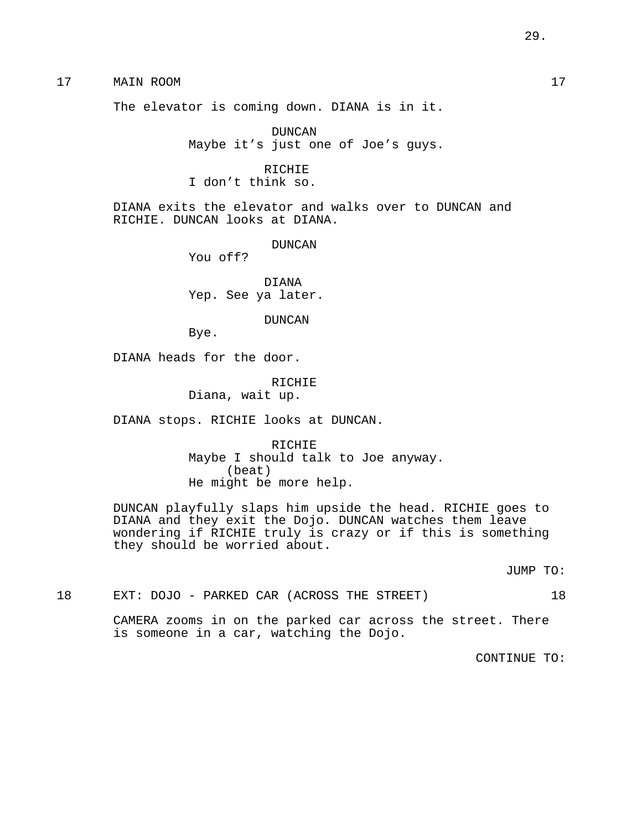17 MAIN ROOM 17

The elevator is coming down. DIANA is in it.

DUNCAN Maybe it's just one of Joe's guys.

RICHIE I don't think so.

DIANA exits the elevator and walks over to DUNCAN and RICHIE. DUNCAN looks at DIANA.

DUNCAN

You off?

DIANA Yep. See ya later.

DUNCAN

Bye.

DIANA heads for the door.

RICHIE Diana, wait up.

DIANA stops. RICHIE looks at DUNCAN.

RICHIE Maybe I should talk to Joe anyway. (beat) He might be more help.

DUNCAN playfully slaps him upside the head. RICHIE goes to DIANA and they exit the Dojo. DUNCAN watches them leave wondering if RICHIE truly is crazy or if this is something they should be worried about.

JUMP TO:

18 EXT: DOJO - PARKED CAR (ACROSS THE STREET) 18

CAMERA zooms in on the parked car across the street. There is someone in a car, watching the Dojo.

CONTINUE TO: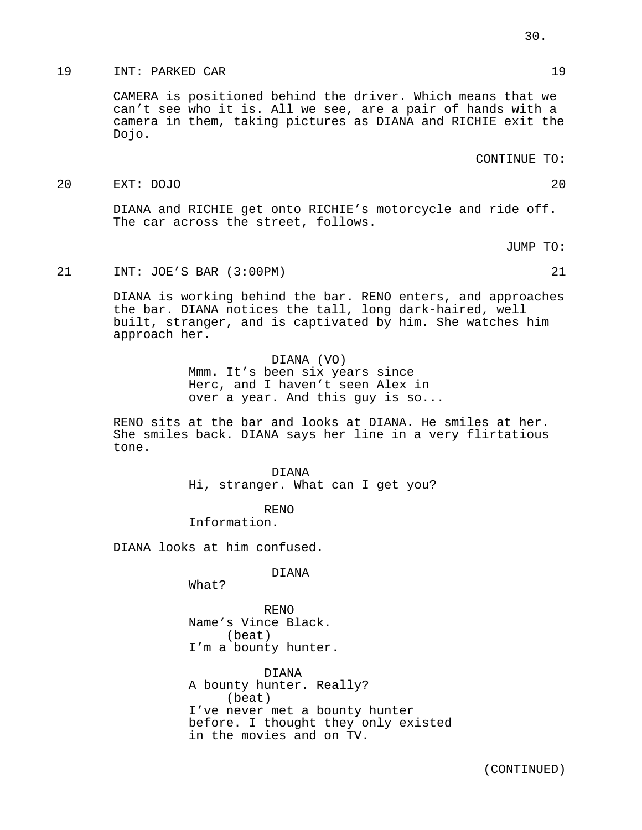# 19 INT: PARKED CAR 19

CAMERA is positioned behind the driver. Which means that we can't see who it is. All we see, are a pair of hands with a camera in them, taking pictures as DIANA and RICHIE exit the Dojo.

CONTINUE TO:

### 20 EXT: DOJO 20

DIANA and RICHIE get onto RICHIE's motorcycle and ride off. The car across the street, follows.

JUMP TO:

21 INT: JOE'S BAR (3:00PM) 21

DIANA is working behind the bar. RENO enters, and approaches the bar. DIANA notices the tall, long dark-haired, well built, stranger, and is captivated by him. She watches him approach her.

> DIANA (VO) Mmm. It's been six years since Herc, and I haven't seen Alex in over a year. And this guy is so...

RENO sits at the bar and looks at DIANA. He smiles at her. She smiles back. DIANA says her line in a very flirtatious tone.

> DIANA Hi, stranger. What can I get you?

RENO Information.

DIANA looks at him confused.

DIANA

What?

RENO Name's Vince Black. (beat) I'm a bounty hunter.

DIANA A bounty hunter. Really? (beat) I've never met a bounty hunter before. I thought they only existed in the movies and on TV.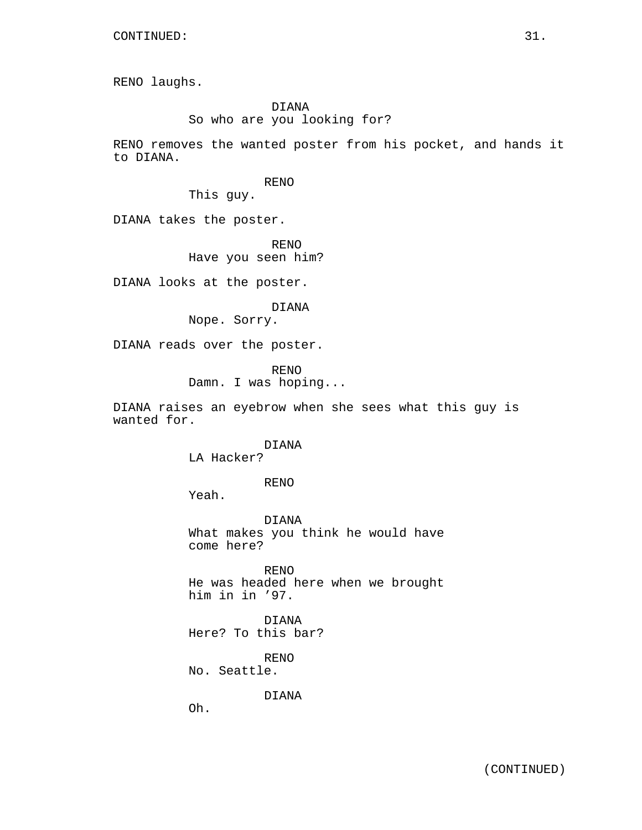RENO laughs.

# DIANA So who are you looking for?

RENO removes the wanted poster from his pocket, and hands it to DIANA.

#### RENO

This guy.

DIANA takes the poster.

RENO Have you seen him?

DIANA looks at the poster.

#### DIANA

Nope. Sorry.

DIANA reads over the poster.

RENO Damn. I was hoping...

DIANA raises an eyebrow when she sees what this guy is wanted for.

#### DIANA

LA Hacker?

RENO

Yeah.

DIANA What makes you think he would have come here?

RENO He was headed here when we brought him in in '97.

DIANA Here? To this bar?

RENO No. Seattle.

DIANA

Oh.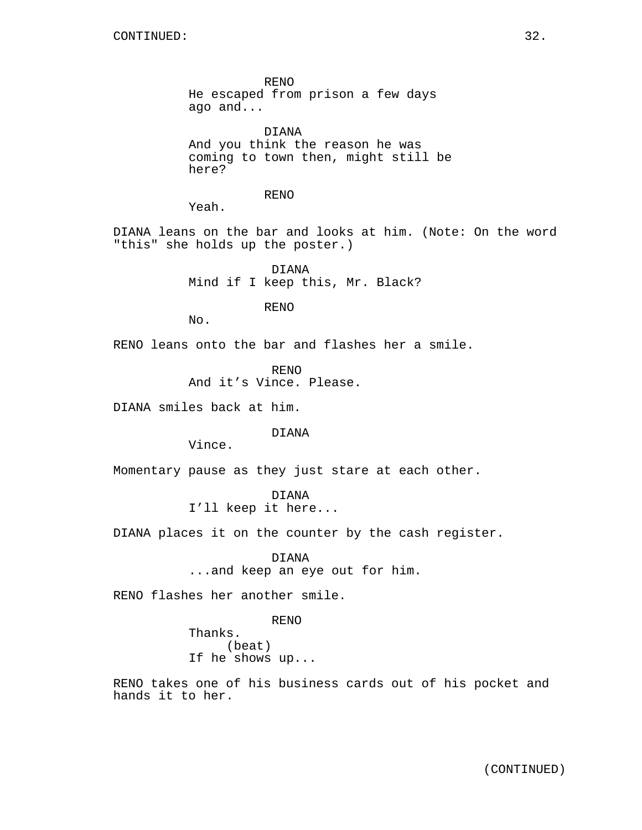RENO He escaped from prison a few days ago and...

DIANA And you think the reason he was coming to town then, might still be here?

RENO

Yeah.

DIANA leans on the bar and looks at him. (Note: On the word "this" she holds up the poster.)

> DIANA Mind if I keep this, Mr. Black?

> > RENO

No.

RENO leans onto the bar and flashes her a smile.

RENO And it's Vince. Please.

DIANA smiles back at him.

DIANA

Vince.

Momentary pause as they just stare at each other.

DIANA

I'll keep it here...

DIANA places it on the counter by the cash register.

DIANA ...and keep an eye out for him.

RENO flashes her another smile.

RENO

Thanks. (beat) If he shows up...

RENO takes one of his business cards out of his pocket and hands it to her.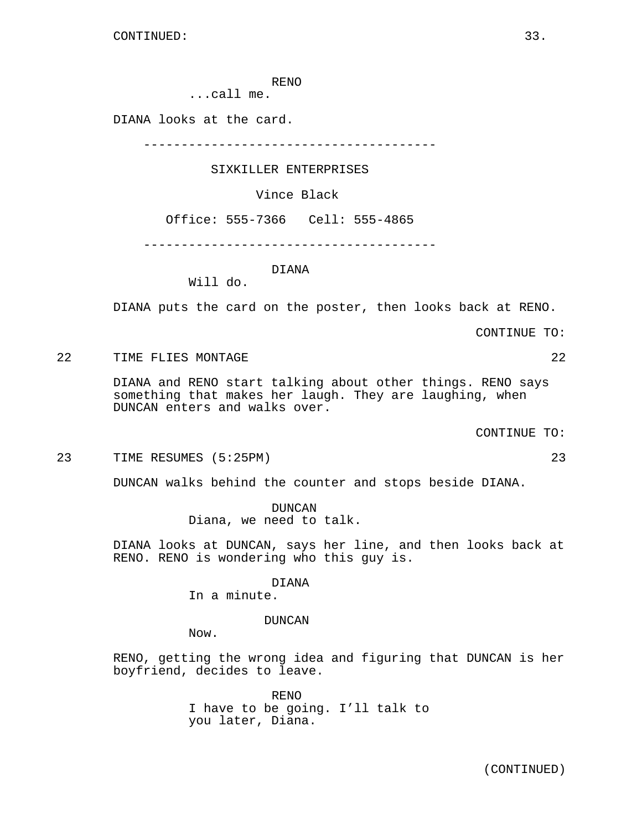### RENO

...call me.

DIANA looks at the card.

---------------------------------------

SIXKILLER ENTERPRISES

Vince Black

Office: 555-7366 Cell: 555-4865

---------------------------------------

DIANA

Will do.

DIANA puts the card on the poster, then looks back at RENO.

CONTINUE TO:

# 22 TIME FLIES MONTAGE 22

DIANA and RENO start talking about other things. RENO says something that makes her laugh. They are laughing, when DUNCAN enters and walks over.

CONTINUE TO:

23 TIME RESUMES (5:25PM) 23

DUNCAN walks behind the counter and stops beside DIANA.

DUNCAN Diana, we need to talk.

DIANA looks at DUNCAN, says her line, and then looks back at RENO. RENO is wondering who this guy is.

#### DIANA

In a minute.

### DUNCAN

Now.

RENO, getting the wrong idea and figuring that DUNCAN is her boyfriend, decides to leave.

> RENO I have to be going. I'll talk to you later, Diana.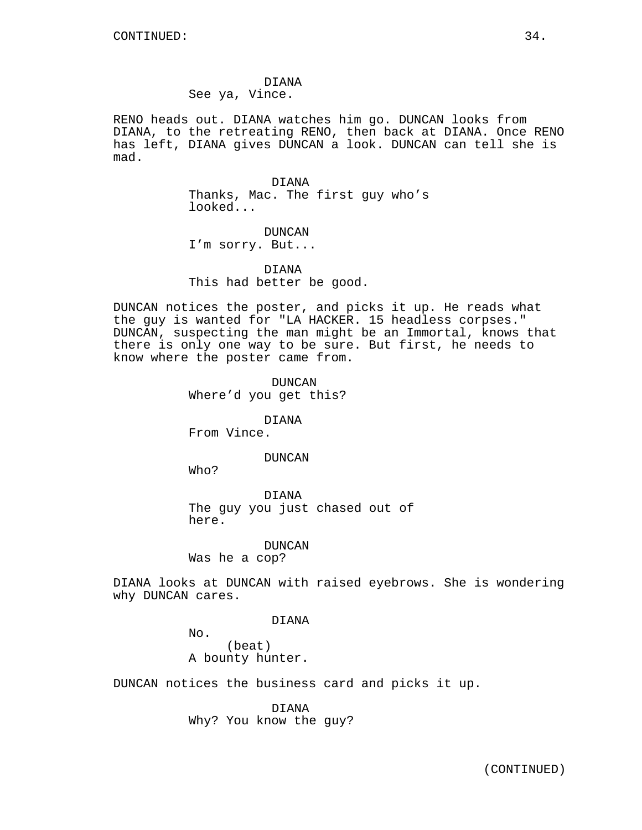DIANA

# See ya, Vince.

RENO heads out. DIANA watches him go. DUNCAN looks from DIANA, to the retreating RENO, then back at DIANA. Once RENO has left, DIANA gives DUNCAN a look. DUNCAN can tell she is mad.

> DIANA Thanks, Mac. The first guy who's looked...

DUNCAN I'm sorry. But...

DIANA This had better be good.

DUNCAN notices the poster, and picks it up. He reads what the guy is wanted for "LA HACKER. 15 headless corpses." DUNCAN, suspecting the man might be an Immortal, knows that there is only one way to be sure. But first, he needs to know where the poster came from.

> DUNCAN Where'd you get this?

> > DIANA

From Vince.

### DUNCAN

Who?

DIANA The guy you just chased out of here.

### DUNCAN

Was he a cop?

DIANA looks at DUNCAN with raised eyebrows. She is wondering why DUNCAN cares.

### DIANA

No.

(beat) A bounty hunter.

DUNCAN notices the business card and picks it up.

DIANA Why? You know the guy?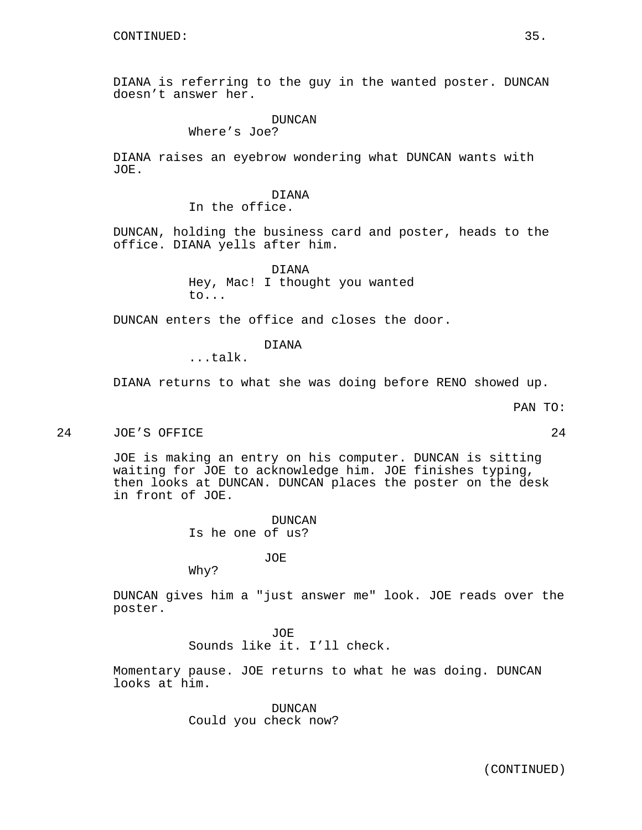DIANA is referring to the guy in the wanted poster. DUNCAN doesn't answer her.

## DUNCAN

Where's Joe?

DIANA raises an eyebrow wondering what DUNCAN wants with JOE.

# DIANA

In the office.

DUNCAN, holding the business card and poster, heads to the office. DIANA yells after him.

> DIANA Hey, Mac! I thought you wanted to...

DUNCAN enters the office and closes the door.

DIANA

...talk.

DIANA returns to what she was doing before RENO showed up.

24 JOE'S OFFICE 24

JOE is making an entry on his computer. DUNCAN is sitting waiting for JOE to acknowledge him. JOE finishes typing, then looks at DUNCAN. DUNCAN places the poster on the desk in front of JOE.

> DUNCAN Is he one of us?

> > JOE

Why?

DUNCAN gives him a "just answer me" look. JOE reads over the poster.

> JOE Sounds like it. I'll check.

Momentary pause. JOE returns to what he was doing. DUNCAN looks at him.

> DUNCAN Could you check now?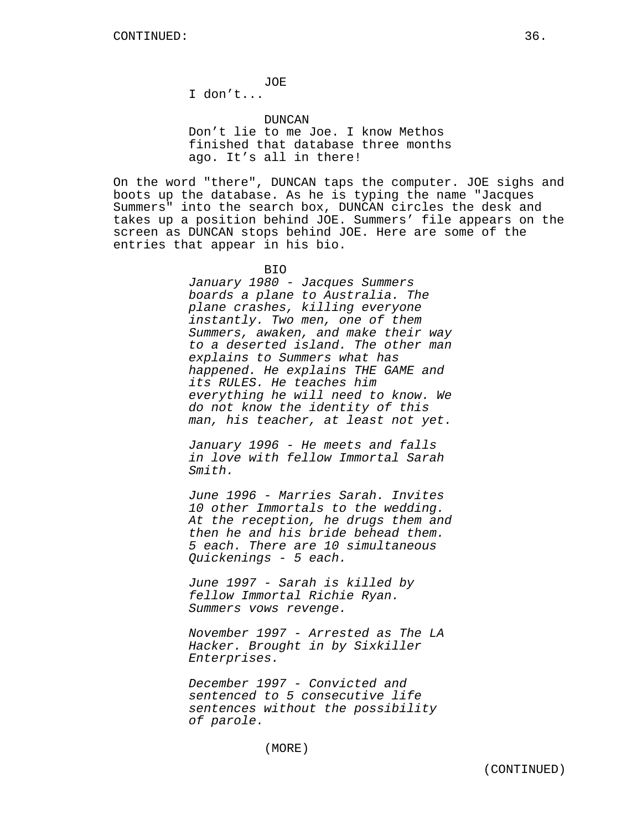JOE

I don't...

DUNCAN

Don't lie to me Joe. I know Methos finished that database three months ago. It's all in there!

On the word "there", DUNCAN taps the computer. JOE sighs and boots up the database. As he is typing the name "Jacques Summers" into the search box, DUNCAN circles the desk and takes up a position behind JOE. Summers' file appears on the screen as DUNCAN stops behind JOE. Here are some of the entries that appear in his bio.

|  | ×<br>۰. |
|--|---------|
|  |         |

January 1980 - Jacques Summers boards a plane to Australia. The plane crashes, killing everyone instantly. Two men, one of them Summers, awaken, and make their way to a deserted island. The other man explains to Summers what has happened. He explains THE GAME and its RULES. He teaches him everything he will need to know. We do not know the identity of this man, his teacher, at least not yet.

January 1996 - He meets and falls in love with fellow Immortal Sarah  $Smith<sub>1</sub>$ 

June 1996 - Marries Sarah. Invites 10 other Immortals to the wedding. At the reception, he drugs them and then he and his bride behead them. 5 each. There are 10 simultaneous Quickenings - 5 each.

June 1997 - Sarah is killed by fellow Immortal Richie Ryan. Summers vows revenge.

November 1997 - Arrested as The LA Hacker. Brought in by Sixkiller Enterprises.

December 1997 - Convicted and sentenced to 5 consecutive life sentences without the possibility of parole.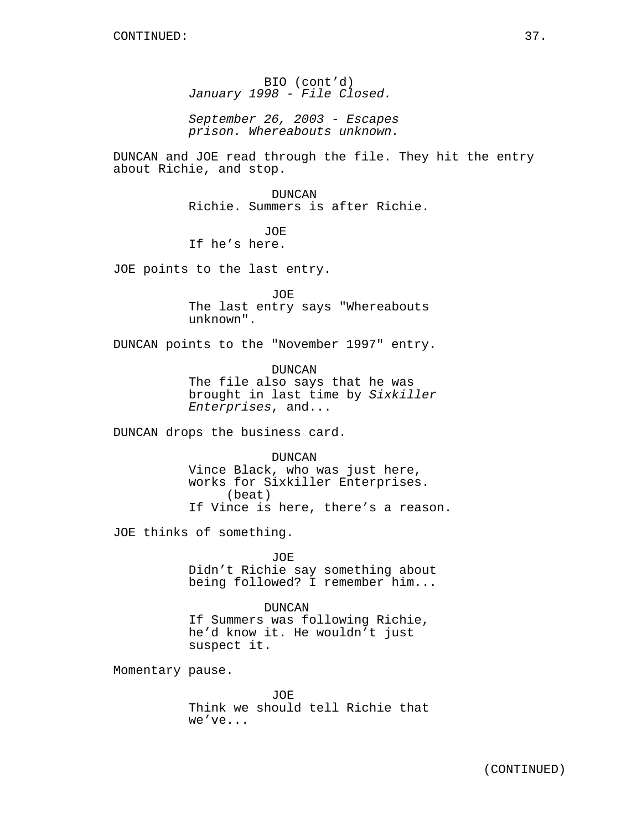BIO (cont'd) January 1998 - File Closed.

September 26, 2003 - Escapes prison. Whereabouts unknown.

DUNCAN and JOE read through the file. They hit the entry about Richie, and stop.

> DUNCAN Richie. Summers is after Richie.

JOE If he's here.

JOE points to the last entry.

JOE The last entry says "Whereabouts unknown".

DUNCAN points to the "November 1997" entry.

DUNCAN The file also says that he was brought in last time by Sixkiller Enterprises, and...

DUNCAN drops the business card.

DUNCAN Vince Black, who was just here, works for Sixkiller Enterprises. (beat) If Vince is here, there's a reason.

JOE thinks of something.

JOE Didn't Richie say something about being followed? I remember him...

DUNCAN If Summers was following Richie, he'd know it. He wouldn't just suspect it.

Momentary pause.

JOE Think we should tell Richie that we've...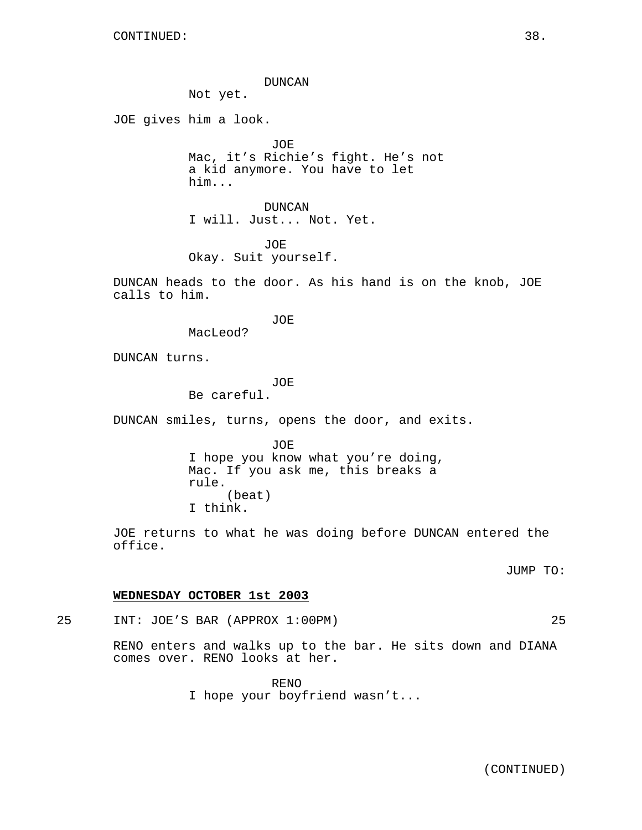DUNCAN

Not yet.

JOE gives him a look.

JOE Mac, it's Richie's fight. He's not a kid anymore. You have to let him...

DUNCAN I will. Just... Not. Yet.

JOE Okay. Suit yourself.

DUNCAN heads to the door. As his hand is on the knob, JOE calls to him.

JOE

MacLeod?

DUNCAN turns.

## JOE

Be careful.

DUNCAN smiles, turns, opens the door, and exits.

JOE I hope you know what you're doing, Mac. If you ask me, this breaks a rule. (beat) I think.

JOE returns to what he was doing before DUNCAN entered the office.

JUMP TO:

#### **WEDNESDAY OCTOBER 1st 2003**

25 INT: JOE'S BAR (APPROX 1:00PM) 25

RENO enters and walks up to the bar. He sits down and DIANA comes over. RENO looks at her.

> RENO I hope your boyfriend wasn't...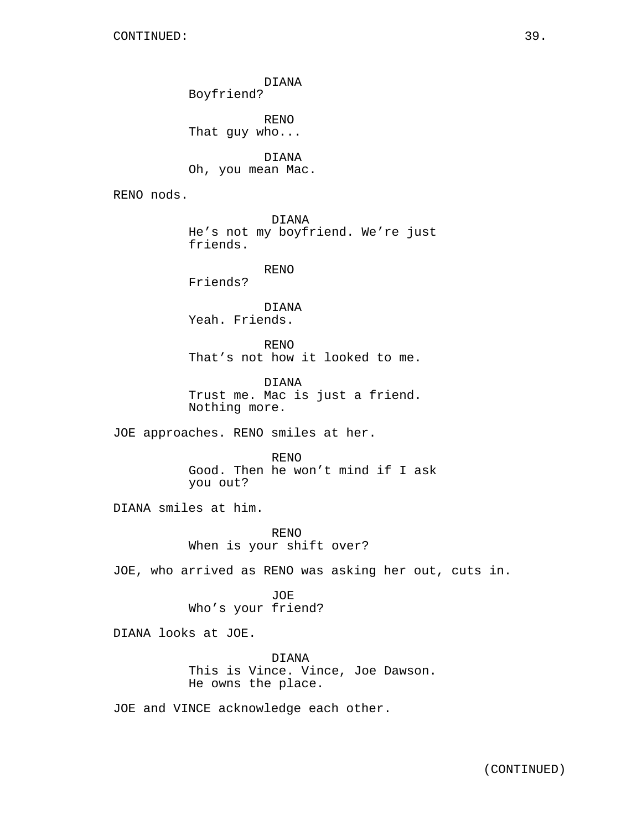DIANA Boyfriend?

RENO That guy who...

DIANA Oh, you mean Mac.

RENO nods.

DIANA He's not my boyfriend. We're just friends.

RENO

Friends?

DIANA Yeah. Friends.

RENO That's not how it looked to me.

DIANA Trust me. Mac is just a friend. Nothing more.

JOE approaches. RENO smiles at her.

RENO Good. Then he won't mind if I ask you out?

DIANA smiles at him.

RENO When is your shift over?

JOE, who arrived as RENO was asking her out, cuts in.

JOE Who's your friend?

DIANA looks at JOE.

DIANA This is Vince. Vince, Joe Dawson. He owns the place.

JOE and VINCE acknowledge each other.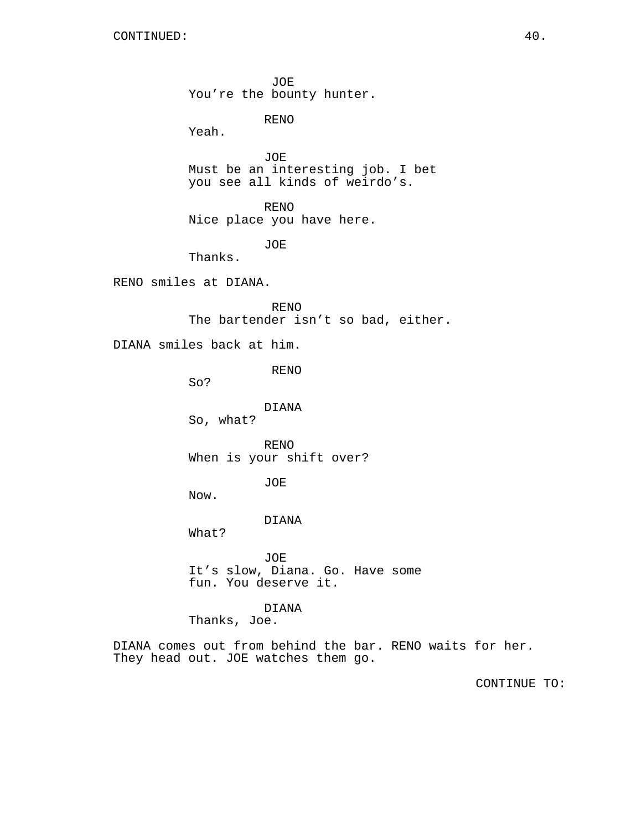JOE You're the bounty hunter.

RENO

Yeah.

JOE Must be an interesting job. I bet you see all kinds of weirdo's.

RENO Nice place you have here.

JOE

Thanks.

RENO smiles at DIANA.

RENO The bartender isn't so bad, either.

DIANA smiles back at him.

RENO

So?

DIANA

So, what?

RENO When is your shift over?

JOE

Now.

## DIANA

What?

JOE It's slow, Diana. Go. Have some fun. You deserve it.

## DIANA

Thanks, Joe.

DIANA comes out from behind the bar. RENO waits for her. They head out. JOE watches them go.

CONTINUE TO: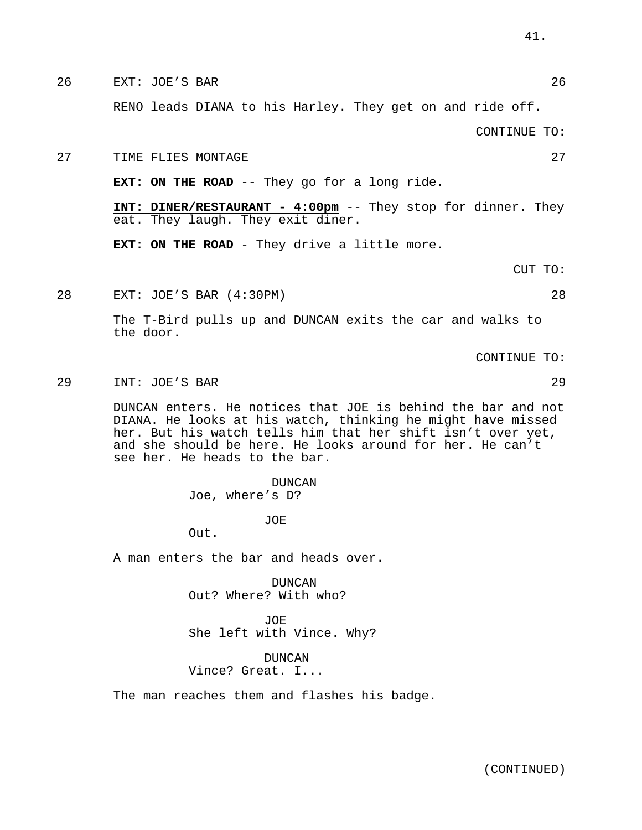26 EXT: JOE'S BAR 26

RENO leads DIANA to his Harley. They get on and ride off.

## CONTINUE TO:

27 TIME FLIES MONTAGE 27 27

**EXT: ON THE ROAD** -- They go for a long ride.

**INT: DINER/RESTAURANT - 4:00pm** -- They stop for dinner. They eat. They laugh. They exit diner.

**EXT: ON THE ROAD** - They drive a little more.

CUT TO:

28 EXT: JOE'S BAR (4:30PM) 28

The T-Bird pulls up and DUNCAN exits the car and walks to the door.

CONTINUE TO:

29 INT: JOE'S BAR 29

DUNCAN enters. He notices that JOE is behind the bar and not DIANA. He looks at his watch, thinking he might have missed her. But his watch tells him that her shift isn't over yet, and she should be here. He looks around for her. He can't see her. He heads to the bar.

> DUNCAN Joe, where's D?

> > JOE

Out.

A man enters the bar and heads over.

DUNCAN Out? Where? With who?

JOE She left with Vince. Why?

DUNCAN Vince? Great. I...

The man reaches them and flashes his badge.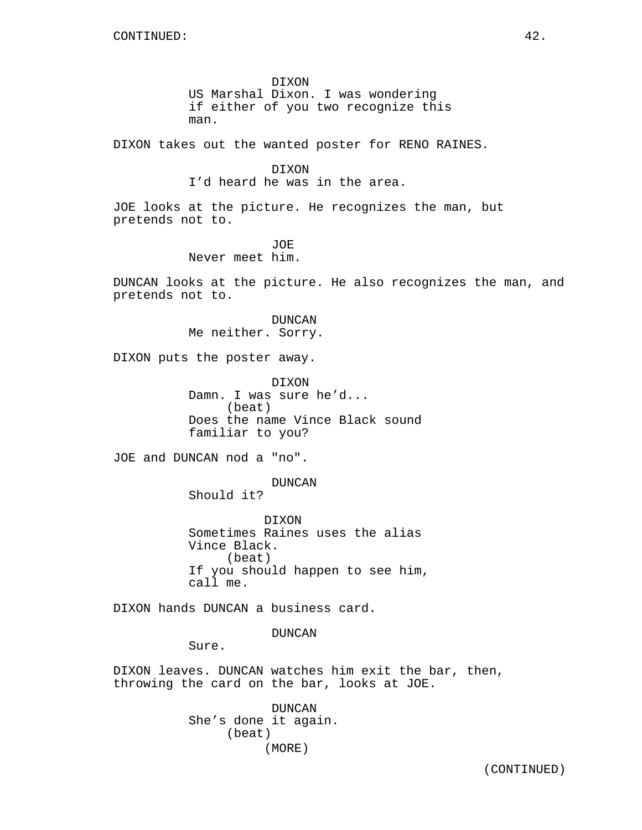DIXON US Marshal Dixon. I was wondering if either of you two recognize this man.

DIXON takes out the wanted poster for RENO RAINES.

**DIXON** I'd heard he was in the area.

JOE looks at the picture. He recognizes the man, but pretends not to.

> JOE Never meet him.

DUNCAN looks at the picture. He also recognizes the man, and pretends not to.

> DUNCAN Me neither. Sorry.

DIXON puts the poster away.

DIXON Damn. I was sure he'd... (beat) Does the name Vince Black sound familiar to you?

JOE and DUNCAN nod a "no".

DUNCAN

Should it?

DIXON Sometimes Raines uses the alias Vince Black. (beat) If you should happen to see him, call me.

DIXON hands DUNCAN a business card.

DUNCAN

Sure.

DIXON leaves. DUNCAN watches him exit the bar, then, throwing the card on the bar, looks at JOE.

> DUNCAN She's done it again. (beat) (MORE)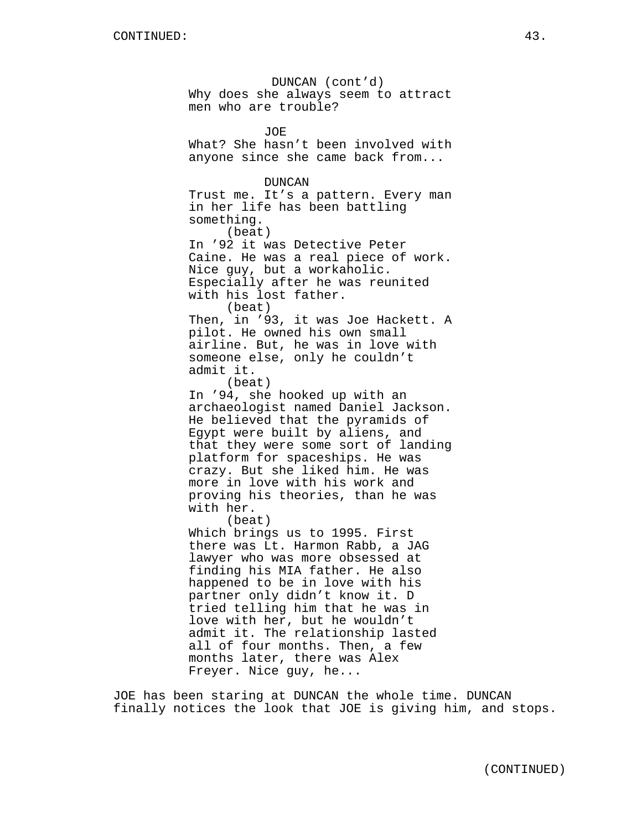DUNCAN (cont'd) Why does she always seem to attract men who are trouble? JOE. What? She hasn't been involved with anyone since she came back from... DUNCAN Trust me. It's a pattern. Every man in her life has been battling something. (beat) In '92 it was Detective Peter Caine. He was a real piece of work. Nice guy, but a workaholic. Especially after he was reunited with his lost father. (beat) Then, in '93, it was Joe Hackett. A pilot. He owned his own small airline. But, he was in love with someone else, only he couldn't admit it. (beat) In '94, she hooked up with an archaeologist named Daniel Jackson. He believed that the pyramids of Egypt were built by aliens, and that they were some sort of landing platform for spaceships. He was crazy. But she liked him. He was more in love with his work and proving his theories, than he was with her. (beat) Which brings us to 1995. First there was Lt. Harmon Rabb, a JAG lawyer who was more obsessed at finding his MIA father. He also happened to be in love with his partner only didn't know it. D tried telling him that he was in love with her, but he wouldn't admit it. The relationship lasted all of four months. Then, a few months later, there was Alex

JOE has been staring at DUNCAN the whole time. DUNCAN finally notices the look that JOE is giving him, and stops.

Freyer. Nice guy, he...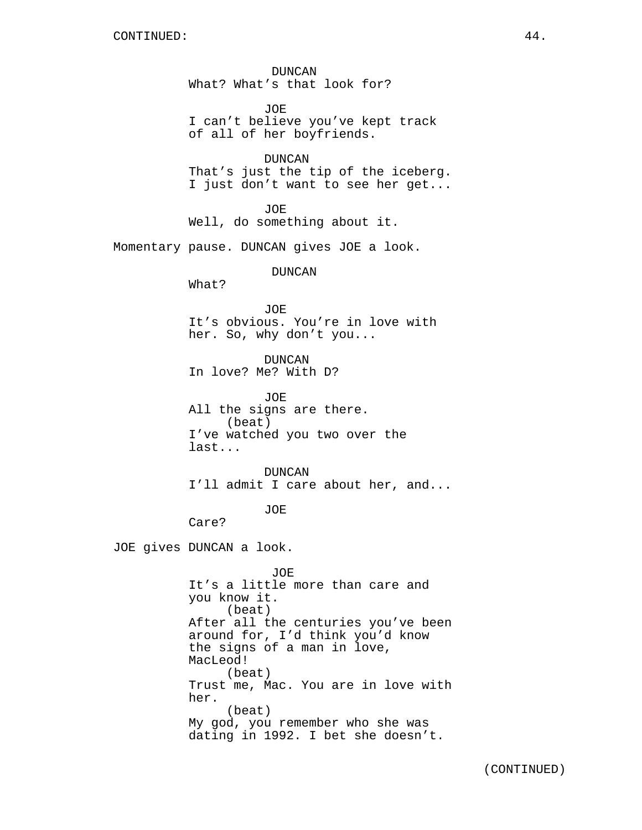DUNCAN What? What's that look for?

JOE I can't believe you've kept track of all of her boyfriends.

DUNCAN That's just the tip of the iceberg. I just don't want to see her get...

JOE Well, do something about it.

Momentary pause. DUNCAN gives JOE a look.

DUNCAN

What?

JOE It's obvious. You're in love with her. So, why don't you...

DUNCAN In love? Me? With D?

JOE All the signs are there. (beat) I've watched you two over the last...

DUNCAN I'll admit I care about her, and...

JOE

Care?

JOE gives DUNCAN a look.

JOE It's a little more than care and you know it. (beat) After all the centuries you've been around for, I'd think you'd know the signs of a man in love, MacLeod! (beat) Trust me, Mac. You are in love with her. (beat) My god, you remember who she was dating in 1992. I bet she doesn't.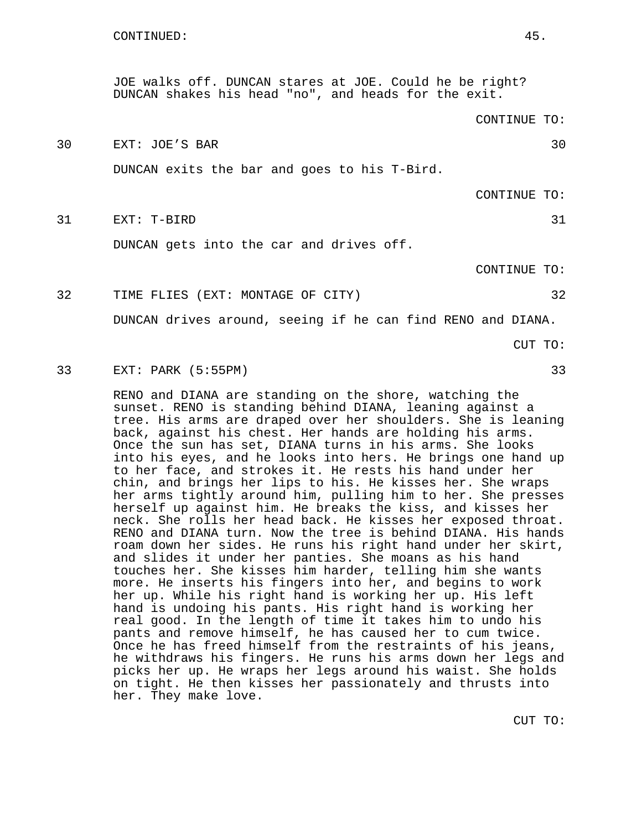30 EXT: JOE'S BAR 30

DUNCAN exits the bar and goes to his T-Bird.

CONTINUE TO:

31 EXT: T-BIRD 31

DUNCAN gets into the car and drives off.

CONTINUE TO:

32 TIME FLIES (EXT: MONTAGE OF CITY) 32

DUNCAN drives around, seeing if he can find RENO and DIANA.

CUT TO:

## 33 EXT: PARK (5:55PM) 33

RENO and DIANA are standing on the shore, watching the sunset. RENO is standing behind DIANA, leaning against a tree. His arms are draped over her shoulders. She is leaning back, against his chest. Her hands are holding his arms. Once the sun has set, DIANA turns in his arms. She looks into his eyes, and he looks into hers. He brings one hand up to her face, and strokes it. He rests his hand under her chin, and brings her lips to his. He kisses her. She wraps her arms tightly around him, pulling him to her. She presses herself up against him. He breaks the kiss, and kisses her neck. She rolls her head back. He kisses her exposed throat. RENO and DIANA turn. Now the tree is behind DIANA. His hands roam down her sides. He runs his right hand under her skirt, and slides it under her panties. She moans as his hand touches her. She kisses him harder, telling him she wants more. He inserts his fingers into her, and begins to work her up. While his right hand is working her up. His left hand is undoing his pants. His right hand is working her real good. In the length of time it takes him to undo his pants and remove himself, he has caused her to cum twice. Once he has freed himself from the restraints of his jeans, he withdraws his fingers. He runs his arms down her legs and picks her up. He wraps her legs around his waist. She holds on tight. He then kisses her passionately and thrusts into her. They make love.

CUT TO: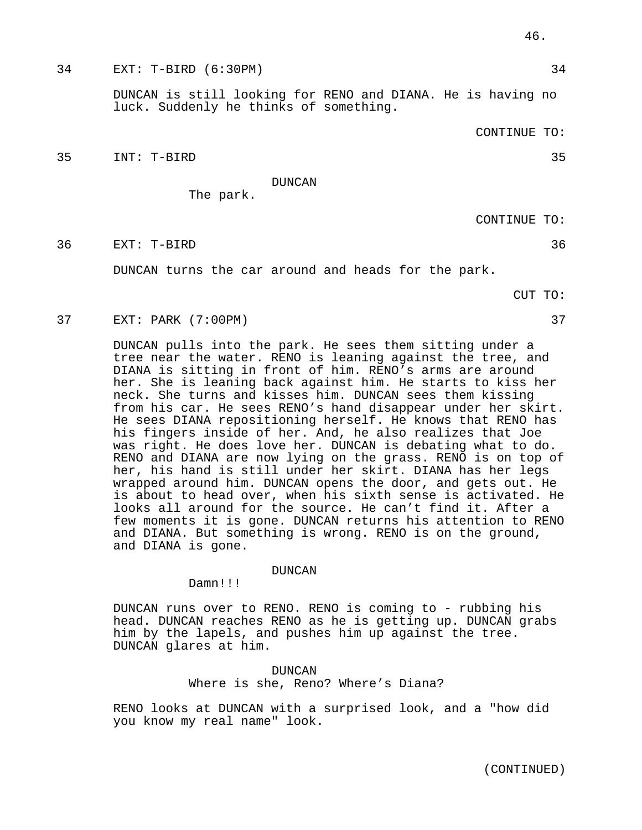## 34 EXT: T-BIRD (6:30PM) 34

DUNCAN is still looking for RENO and DIANA. He is having no luck. Suddenly he thinks of something.

CONTINUE TO:

35 INT: T-BIRD 35

DUNCAN

The park.

CONTINUE TO:

36 EXT: T-BIRD 36

DUNCAN turns the car around and heads for the park.

CUT TO:

37 EXT: PARK (7:00PM) 37

DUNCAN pulls into the park. He sees them sitting under a tree near the water. RENO is leaning against the tree, and DIANA is sitting in front of him. RENO's arms are around her. She is leaning back against him. He starts to kiss her neck. She turns and kisses him. DUNCAN sees them kissing from his car. He sees RENO's hand disappear under her skirt. He sees DIANA repositioning herself. He knows that RENO has his fingers inside of her. And, he also realizes that Joe was right. He does love her. DUNCAN is debating what to do. RENO and DIANA are now lying on the grass. RENO is on top of her, his hand is still under her skirt. DIANA has her legs wrapped around him. DUNCAN opens the door, and gets out. He is about to head over, when his sixth sense is activated. He looks all around for the source. He can't find it. After a few moments it is gone. DUNCAN returns his attention to RENO and DIANA. But something is wrong. RENO is on the ground, and DIANA is gone.

## DUNCAN

Damn!!!

DUNCAN runs over to RENO. RENO is coming to - rubbing his head. DUNCAN reaches RENO as he is getting up. DUNCAN grabs him by the lapels, and pushes him up against the tree. DUNCAN glares at him.

> DUNCAN Where is she, Reno? Where's Diana?

RENO looks at DUNCAN with a surprised look, and a "how did you know my real name" look.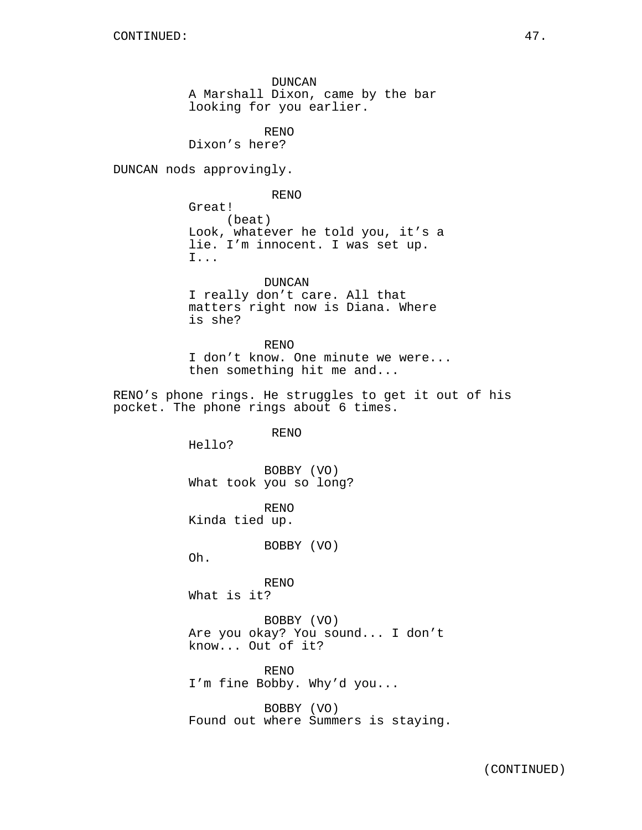DUNCAN A Marshall Dixon, came by the bar looking for you earlier.

RENO Dixon's here?

DUNCAN nods approvingly.

RENO

Great! (beat) Look, whatever he told you, it's a lie. I'm innocent. I was set up. I...

DUNCAN I really don't care. All that matters right now is Diana. Where is she?

RENO I don't know. One minute we were... then something hit me and...

RENO's phone rings. He struggles to get it out of his pocket. The phone rings about 6 times.

RENO

Hello?

BOBBY (VO) What took you so long?

RENO Kinda tied up.

BOBBY (VO)

Oh.

RENO What is it?

BOBBY (VO) Are you okay? You sound... I don't know... Out of it?

RENO I'm fine Bobby. Why'd you...

BOBBY (VO) Found out where Summers is staying.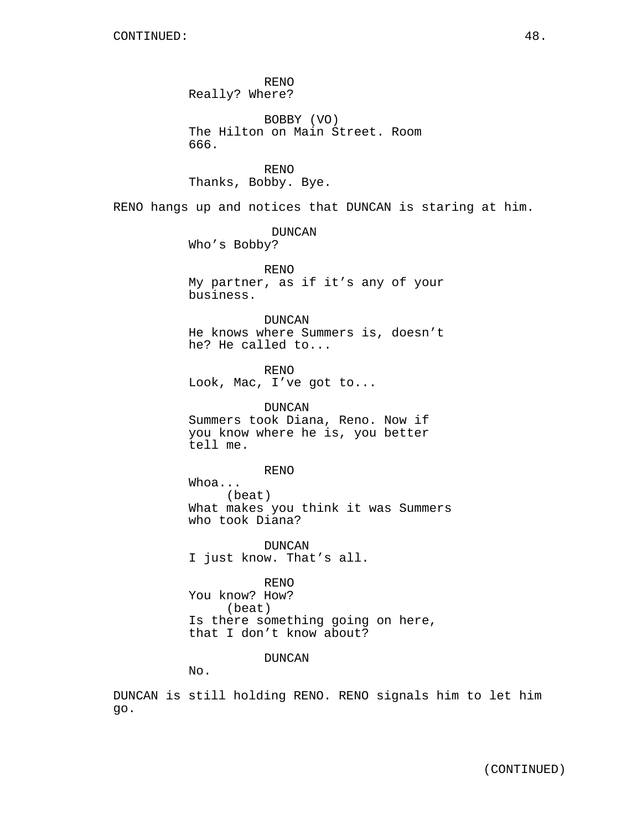RENO Really? Where?

BOBBY (VO) The Hilton on Main Street. Room 666.

RENO Thanks, Bobby. Bye.

RENO hangs up and notices that DUNCAN is staring at him.

DUNCAN Who's Bobby?

RENO My partner, as if it's any of your business.

DUNCAN He knows where Summers is, doesn't he? He called to...

RENO Look, Mac, I've got to...

DUNCAN Summers took Diana, Reno. Now if you know where he is, you better tell me.

RENO

Whoa... (beat) What makes you think it was Summers who took Diana?

DUNCAN I just know. That's all.

RENO You know? How? (beat) Is there something going on here, that I don't know about?

DUNCAN

No.

DUNCAN is still holding RENO. RENO signals him to let him go.

(CONTINUED)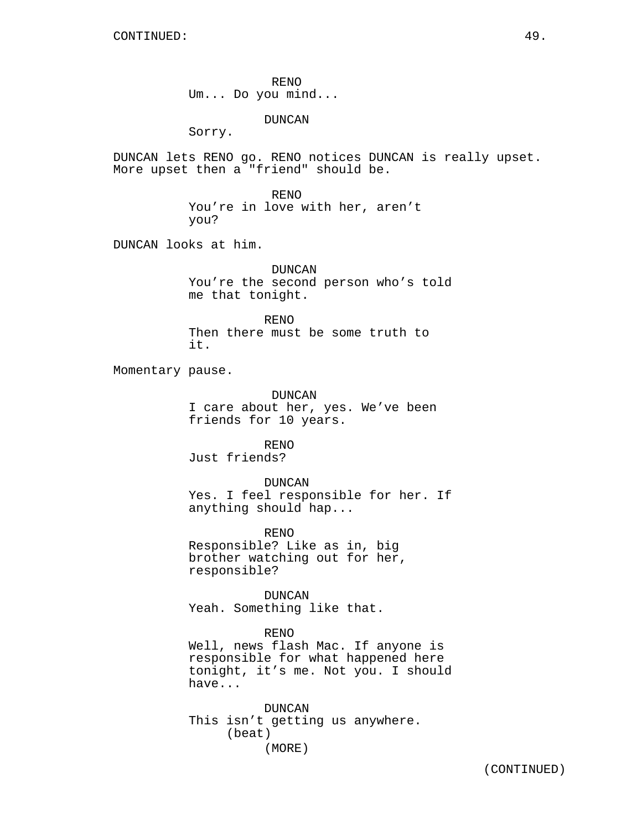RENO Um... Do you mind...

DUNCAN

Sorry.

DUNCAN lets RENO go. RENO notices DUNCAN is really upset. More upset then a "friend" should be.

> RENO You're in love with her, aren't you?

DUNCAN looks at him.

DUNCAN You're the second person who's told me that tonight.

RENO Then there must be some truth to it.

Momentary pause.

DUNCAN I care about her, yes. We've been friends for 10 years.

RENO Just friends?

DUNCAN Yes. I feel responsible for her. If anything should hap...

RENO Responsible? Like as in, big brother watching out for her, responsible?

DUNCAN Yeah. Something like that.

RENO

Well, news flash Mac. If anyone is responsible for what happened here tonight, it's me. Not you. I should have...

DUNCAN This isn't getting us anywhere. (beat) (MORE)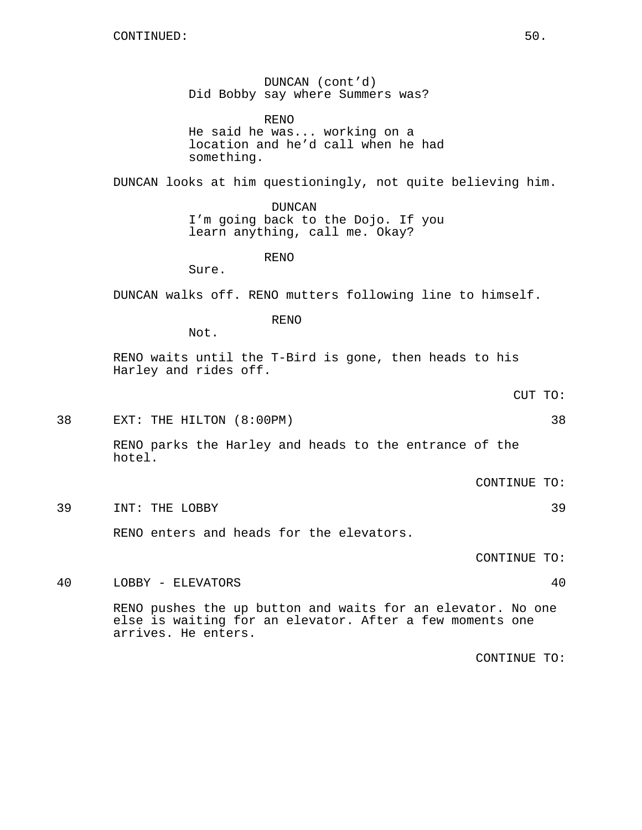DUNCAN (cont'd) Did Bobby say where Summers was?

RENO He said he was... working on a location and he'd call when he had something.

DUNCAN looks at him questioningly, not quite believing him.

DUNCAN I'm going back to the Dojo. If you learn anything, call me. Okay?

RENO

Sure.

DUNCAN walks off. RENO mutters following line to himself.

RENO

Not.

RENO waits until the T-Bird is gone, then heads to his Harley and rides off.

38 EXT: THE HILTON (8:00PM) 38

RENO parks the Harley and heads to the entrance of the hotel.

CONTINUE TO:

39 INT: THE LOBBY 39

RENO enters and heads for the elevators.

CONTINUE TO:

40 LOBBY - ELEVATORS 40

RENO pushes the up button and waits for an elevator. No one else is waiting for an elevator. After a few moments one arrives. He enters.

CONTINUE TO:

CUT TO: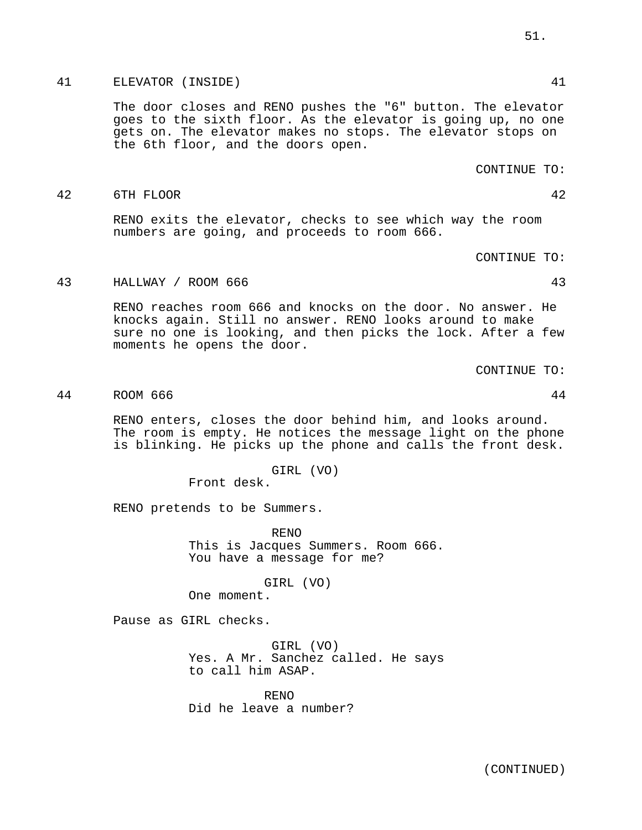# 41 ELEVATOR (INSIDE) 41

The door closes and RENO pushes the "6" button. The elevator goes to the sixth floor. As the elevator is going up, no one gets on. The elevator makes no stops. The elevator stops on the 6th floor, and the doors open.

CONTINUE TO:

#### 42 6TH FLOOR 42

RENO exits the elevator, checks to see which way the room numbers are going, and proceeds to room 666.

CONTINUE TO:

## 43 HALLWAY / ROOM 666 43

RENO reaches room 666 and knocks on the door. No answer. He knocks again. Still no answer. RENO looks around to make sure no one is looking, and then picks the lock. After a few moments he opens the door.

CONTINUE TO:

44 ROOM 666 44

RENO enters, closes the door behind him, and looks around. The room is empty. He notices the message light on the phone is blinking. He picks up the phone and calls the front desk.

GIRL (VO)

Front desk.

RENO pretends to be Summers.

RENO This is Jacques Summers. Room 666. You have a message for me?

GIRL (VO)

One moment.

Pause as GIRL checks.

GIRL (VO) Yes. A Mr. Sanchez called. He says to call him ASAP.

RENO Did he leave a number?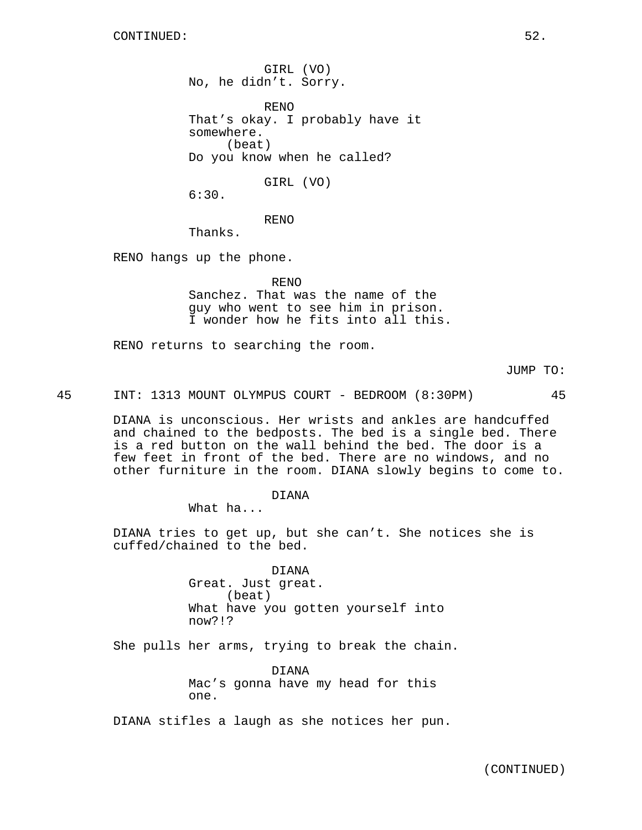GIRL (VO) No, he didn't. Sorry.

RENO That's okay. I probably have it somewhere. (beat) Do you know when he called?

GIRL (VO)

6:30.

RENO

Thanks.

RENO hangs up the phone.

RENO Sanchez. That was the name of the guy who went to see him in prison. I wonder how he fits into all this.

RENO returns to searching the room.

JUMP TO:

45 INT: 1313 MOUNT OLYMPUS COURT - BEDROOM (8:30PM) 45

DIANA is unconscious. Her wrists and ankles are handcuffed and chained to the bedposts. The bed is a single bed. There is a red button on the wall behind the bed. The door is a few feet in front of the bed. There are no windows, and no other furniture in the room. DIANA slowly begins to come to.

DIANA

What ha...

DIANA tries to get up, but she can't. She notices she is cuffed/chained to the bed.

> DIANA Great. Just great. (beat) What have you gotten yourself into now?!?

She pulls her arms, trying to break the chain.

DIANA Mac's gonna have my head for this one.

DIANA stifles a laugh as she notices her pun.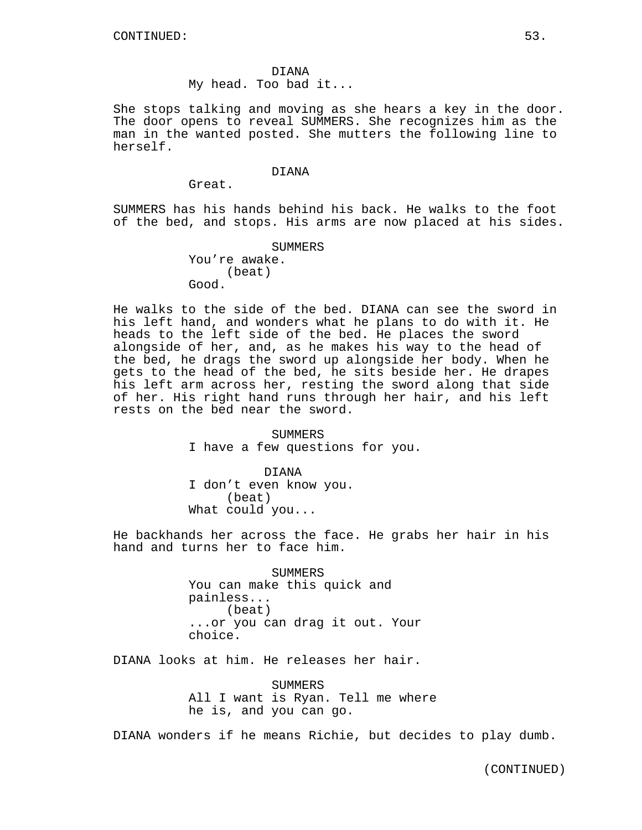DIANA My head. Too bad it...

She stops talking and moving as she hears a key in the door. The door opens to reveal SUMMERS. She recognizes him as the man in the wanted posted. She mutters the following line to herself.

# DIANA

Great.

SUMMERS has his hands behind his back. He walks to the foot of the bed, and stops. His arms are now placed at his sides.

> **SUMMERS** You're awake. (beat) Good.

He walks to the side of the bed. DIANA can see the sword in his left hand, and wonders what he plans to do with it. He heads to the left side of the bed. He places the sword alongside of her, and, as he makes his way to the head of the bed, he drags the sword up alongside her body. When he gets to the head of the bed, he sits beside her. He drapes his left arm across her, resting the sword along that side of her. His right hand runs through her hair, and his left rests on the bed near the sword.

> SUMMERS I have a few questions for you.

DIANA I don't even know you. (beat) What could you...

He backhands her across the face. He grabs her hair in his hand and turns her to face him.

> SUMMERS You can make this quick and painless... (beat) ...or you can drag it out. Your choice.

DIANA looks at him. He releases her hair.

SUMMERS All I want is Ryan. Tell me where he is, and you can go.

DIANA wonders if he means Richie, but decides to play dumb.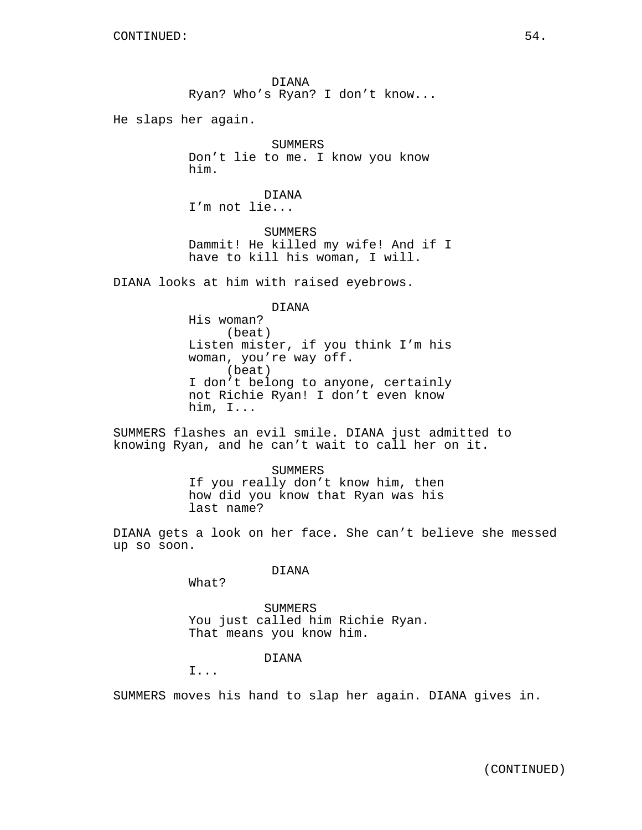DIANA Ryan? Who's Ryan? I don't know...

He slaps her again.

SUMMERS Don't lie to me. I know you know him.

DIANA I'm not lie...

SUMMERS Dammit! He killed my wife! And if I have to kill his woman, I will.

DIANA looks at him with raised eyebrows.

DIANA

His woman? (beat) Listen mister, if you think I'm his woman, you're way off. (beat) I don't belong to anyone, certainly not Richie Ryan! I don't even know him, I...

SUMMERS flashes an evil smile. DIANA just admitted to knowing Ryan, and he can't wait to call her on it.

> SUMMERS If you really don't know him, then how did you know that Ryan was his last name?

DIANA gets a look on her face. She can't believe she messed up so soon.

DIANA

What?

SUMMERS You just called him Richie Ryan. That means you know him.

DIANA

I...

SUMMERS moves his hand to slap her again. DIANA gives in.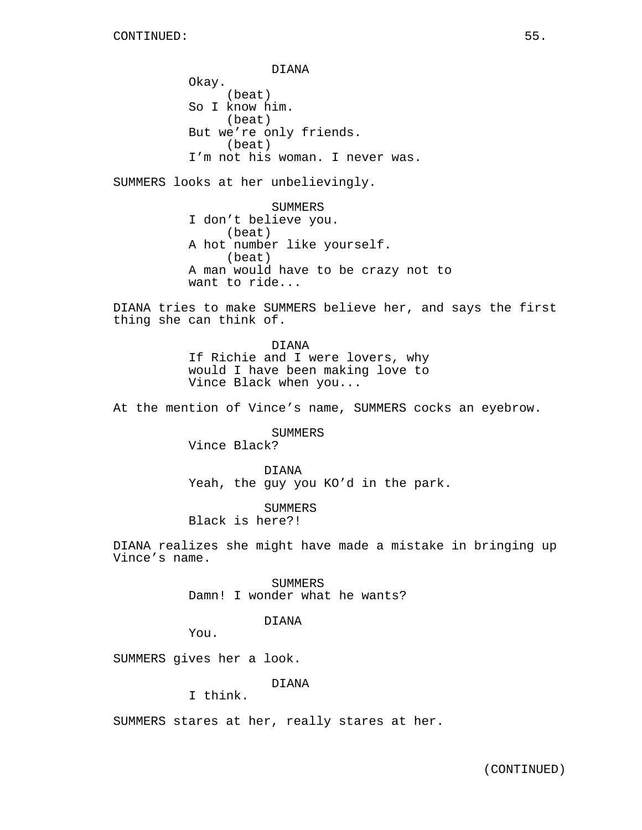DIANA Okay. (beat) So I know him. (beat) But we're only friends. (beat) I'm not his woman. I never was.

SUMMERS looks at her unbelievingly.

SUMMERS I don't believe you. (beat) A hot number like yourself. (beat) A man would have to be crazy not to want to ride...

DIANA tries to make SUMMERS believe her, and says the first thing she can think of.

> DIANA If Richie and I were lovers, why would I have been making love to Vince Black when you...

At the mention of Vince's name, SUMMERS cocks an eyebrow.

SUMMERS

Vince Black?

DIANA Yeah, the guy you KO'd in the park.

SUMMERS Black is here?!

DIANA realizes she might have made a mistake in bringing up Vince's name.

> SUMMERS Damn! I wonder what he wants?

> > DIANA

You.

SUMMERS gives her a look.

DIANA

I think.

SUMMERS stares at her, really stares at her.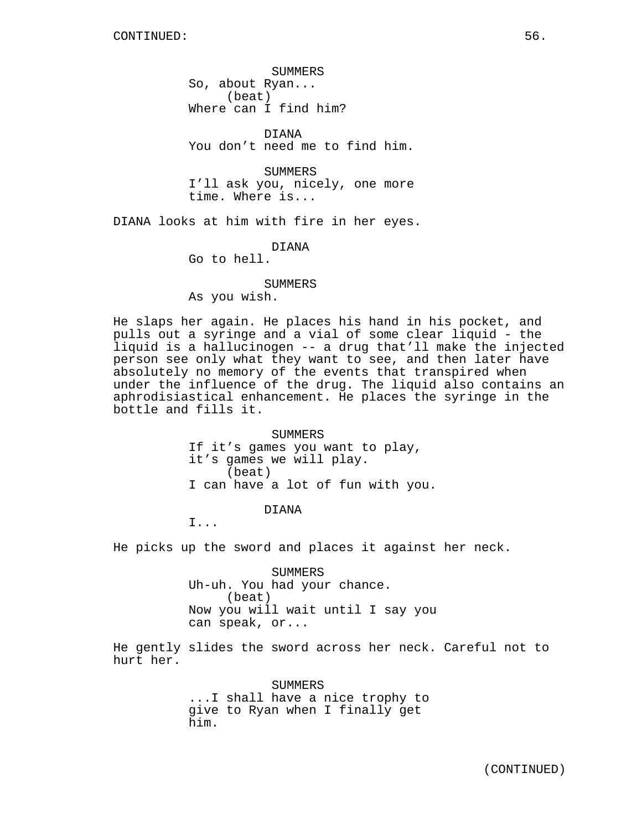SUMMERS So, about Ryan... (beat) Where can I find him?

DIANA You don't need me to find him.

SUMMERS I'll ask you, nicely, one more time. Where is...

DIANA looks at him with fire in her eyes.

DIANA

Go to hell.

#### SUMMERS

As you wish.

He slaps her again. He places his hand in his pocket, and pulls out a syringe and a vial of some clear liquid - the liquid is a hallucinogen -- a drug that'll make the injected person see only what they want to see, and then later have absolutely no memory of the events that transpired when under the influence of the drug. The liquid also contains an aphrodisiastical enhancement. He places the syringe in the bottle and fills it.

> **SUMMERS** If it's games you want to play, it's games we will play. (beat) I can have a lot of fun with you.

#### DIANA

I...

He picks up the sword and places it against her neck.

SUMMERS Uh-uh. You had your chance. (beat) Now you will wait until I say you can speak, or...

He gently slides the sword across her neck. Careful not to hurt her.

> SUMMERS ...I shall have a nice trophy to give to Ryan when I finally get him.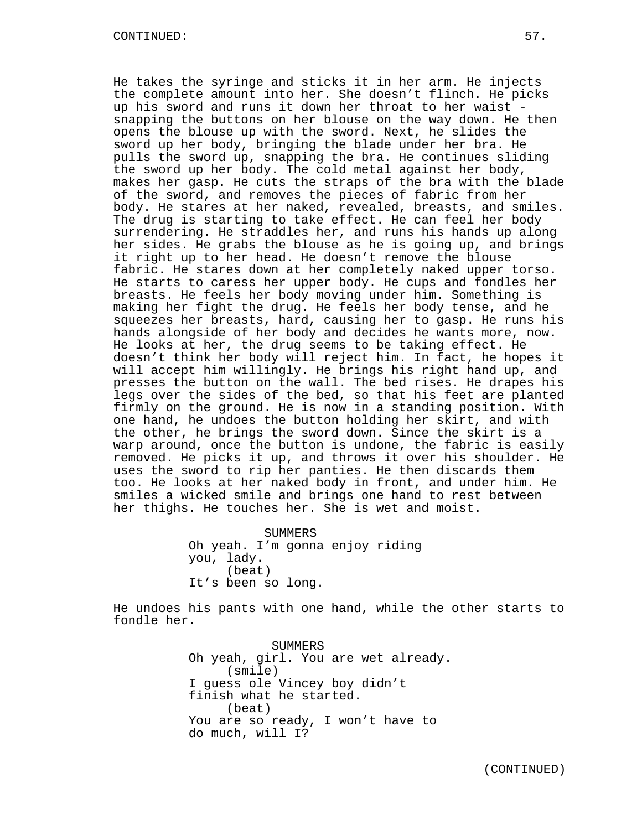He takes the syringe and sticks it in her arm. He injects the complete amount into her. She doesn't flinch. He picks up his sword and runs it down her throat to her waist snapping the buttons on her blouse on the way down. He then opens the blouse up with the sword. Next, he slides the sword up her body, bringing the blade under her bra. He pulls the sword up, snapping the bra. He continues sliding the sword up her body. The cold metal against her body, makes her gasp. He cuts the straps of the bra with the blade of the sword, and removes the pieces of fabric from her body. He stares at her naked, revealed, breasts, and smiles. The drug is starting to take effect. He can feel her body surrendering. He straddles her, and runs his hands up along her sides. He grabs the blouse as he is going up, and brings it right up to her head. He doesn't remove the blouse fabric. He stares down at her completely naked upper torso. He starts to caress her upper body. He cups and fondles her breasts. He feels her body moving under him. Something is making her fight the drug. He feels her body tense, and he squeezes her breasts, hard, causing her to gasp. He runs his hands alongside of her body and decides he wants more, now. He looks at her, the drug seems to be taking effect. He doesn't think her body will reject him. In fact, he hopes it will accept him willingly. He brings his right hand up, and presses the button on the wall. The bed rises. He drapes his legs over the sides of the bed, so that his feet are planted firmly on the ground. He is now in a standing position. With one hand, he undoes the button holding her skirt, and with the other, he brings the sword down. Since the skirt is a warp around, once the button is undone, the fabric is easily removed. He picks it up, and throws it over his shoulder. He uses the sword to rip her panties. He then discards them too. He looks at her naked body in front, and under him. He smiles a wicked smile and brings one hand to rest between her thighs. He touches her. She is wet and moist.

> SUMMERS Oh yeah. I'm gonna enjoy riding you, lady. (beat) It's been so long.

He undoes his pants with one hand, while the other starts to fondle her.

> SUMMERS Oh yeah, girl. You are wet already. (smile) I guess ole Vincey boy didn't finish what he started. (beat) You are so ready, I won't have to do much, will I?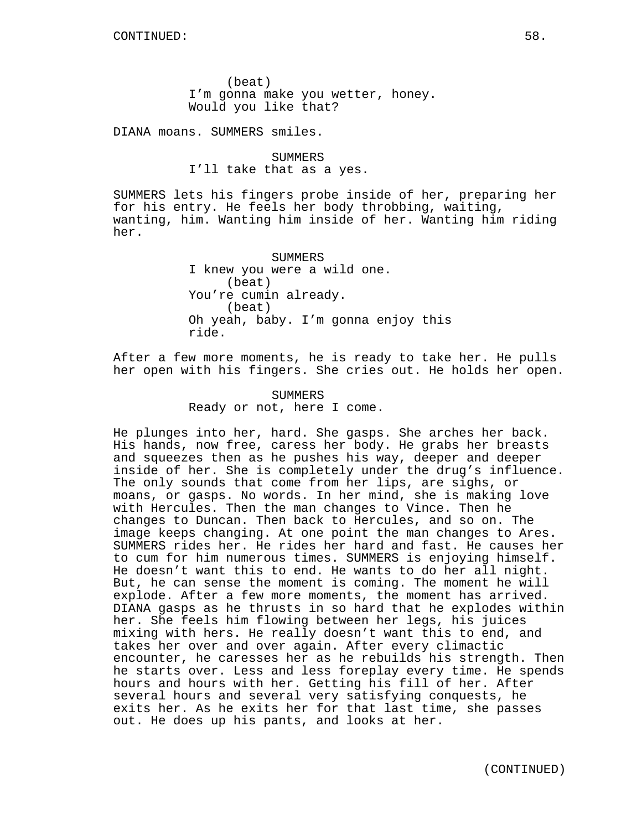(beat) I'm gonna make you wetter, honey. Would you like that?

DIANA moans. SUMMERS smiles.

SUMMERS I'll take that as a yes.

SUMMERS lets his fingers probe inside of her, preparing her for his entry. He feels her body throbbing, waiting, wanting, him. Wanting him inside of her. Wanting him riding her.

> SUMMERS I knew you were a wild one. (beat) You're cumin already. (beat) Oh yeah, baby. I'm gonna enjoy this ride.

After a few more moments, he is ready to take her. He pulls her open with his fingers. She cries out. He holds her open.

> SUMMERS Ready or not, here I come.

He plunges into her, hard. She gasps. She arches her back. His hands, now free, caress her body. He grabs her breasts and squeezes then as he pushes his way, deeper and deeper inside of her. She is completely under the drug's influence. The only sounds that come from her lips, are sighs, or moans, or gasps. No words. In her mind, she is making love with Hercules. Then the man changes to Vince. Then he changes to Duncan. Then back to Hercules, and so on. The image keeps changing. At one point the man changes to Ares. SUMMERS rides her. He rides her hard and fast. He causes her to cum for him numerous times. SUMMERS is enjoying himself. He doesn't want this to end. He wants to do her all night. But, he can sense the moment is coming. The moment he will explode. After a few more moments, the moment has arrived. DIANA gasps as he thrusts in so hard that he explodes within her. She feels him flowing between her legs, his juices mixing with hers. He really doesn't want this to end, and takes her over and over again. After every climactic encounter, he caresses her as he rebuilds his strength. Then he starts over. Less and less foreplay every time. He spends hours and hours with her. Getting his fill of her. After several hours and several very satisfying conquests, he exits her. As he exits her for that last time, she passes out. He does up his pants, and looks at her.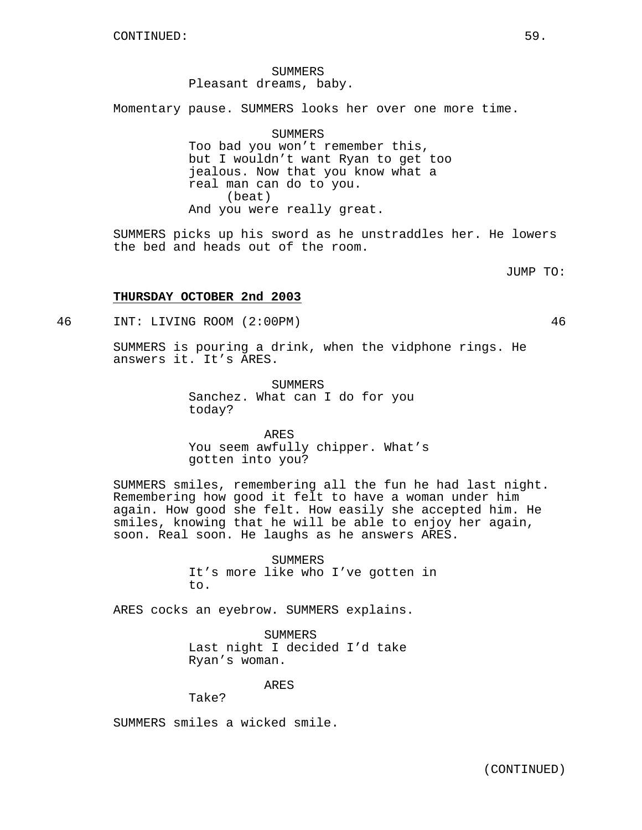SUMMERS Pleasant dreams, baby.

Momentary pause. SUMMERS looks her over one more time.

SUMMERS Too bad you won't remember this, but I wouldn't want Ryan to get too jealous. Now that you know what a real man can do to you. (beat) And you were really great.

SUMMERS picks up his sword as he unstraddles her. He lowers the bed and heads out of the room.

JUMP TO:

## **THURSDAY OCTOBER 2nd 2003**

46 INT: LIVING ROOM (2:00PM) 46

SUMMERS is pouring a drink, when the vidphone rings. He answers it. It's ARES.

> SUMMERS Sanchez. What can I do for you today?

ARES You seem awfully chipper. What's gotten into you?

SUMMERS smiles, remembering all the fun he had last night. Remembering how good it felt to have a woman under him again. How good she felt. How easily she accepted him. He smiles, knowing that he will be able to enjoy her again, soon. Real soon. He laughs as he answers ARES.

> SUMMERS It's more like who I've gotten in to.

ARES cocks an eyebrow. SUMMERS explains.

SUMMERS Last night I decided I'd take Ryan's woman.

ARES

Take?

SUMMERS smiles a wicked smile.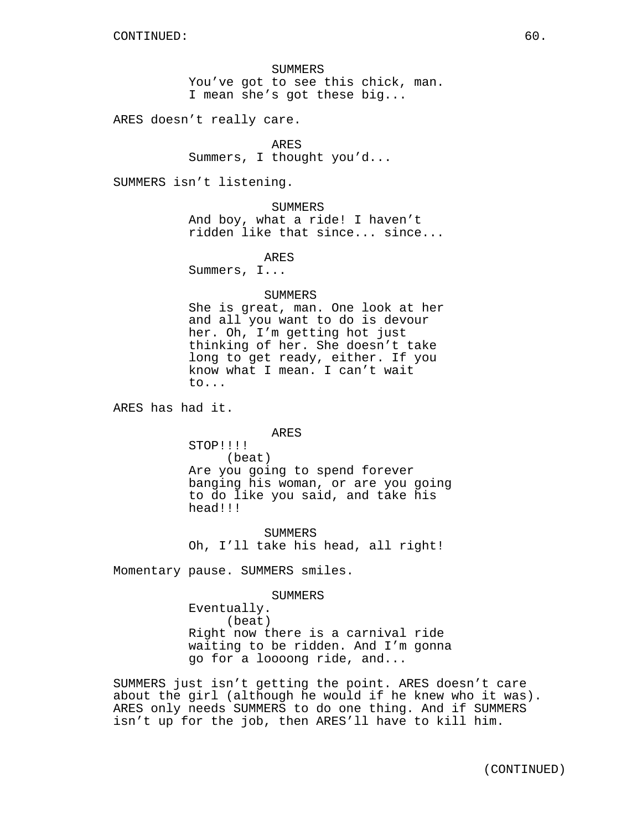SUMMERS You've got to see this chick, man. I mean she's got these big...

ARES doesn't really care.

ARES Summers, I thought you'd...

SUMMERS isn't listening.

SUMMERS And boy, what a ride! I haven't ridden like that since... since...

ARES

Summers, I...

#### SUMMERS

She is great, man. One look at her and all you want to do is devour her. Oh, I'm getting hot just thinking of her. She doesn't take long to get ready, either. If you know what I mean. I can't wait to...

ARES has had it.

ARES

STOP!!!! (beat) Are you going to spend forever banging his woman, or are you going to do like you said, and take his head!!!

SUMMERS Oh, I'll take his head, all right!

Momentary pause. SUMMERS smiles.

SUMMERS

Eventually. (beat) Right now there is a carnival ride waiting to be ridden. And I'm gonna go for a loooong ride, and...

SUMMERS just isn't getting the point. ARES doesn't care about the girl (although he would if he knew who it was). ARES only needs SUMMERS to do one thing. And if SUMMERS isn't up for the job, then ARES'll have to kill him.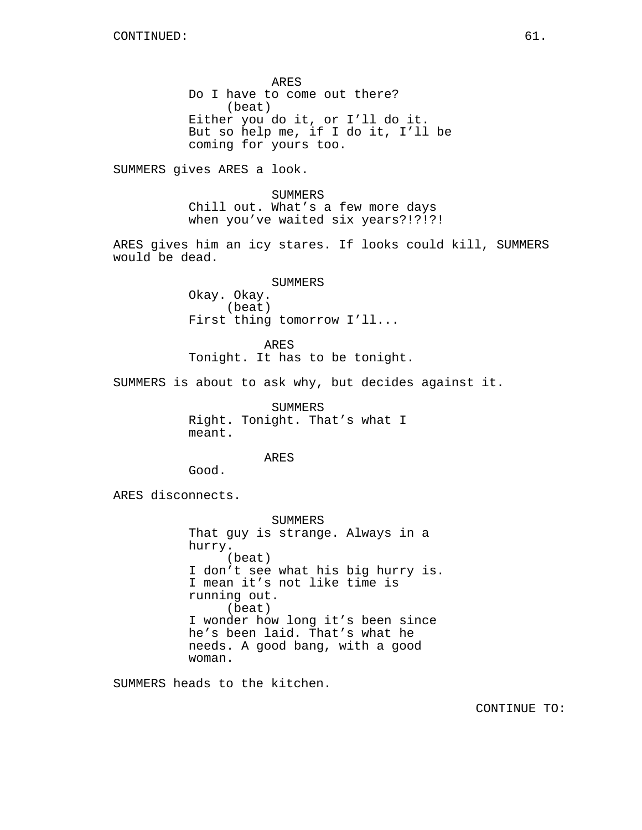ARES Do I have to come out there? (beat) Either you do it, or I'll do it. But so help me, if I do it, I'll be coming for yours too. SUMMERS gives ARES a look. SUMMERS Chill out. What's a few more days when you've waited six years?!?!?! ARES gives him an icy stares. If looks could kill, SUMMERS would be dead. SUMMERS Okay. Okay. (beat) First thing tomorrow I'll... ARES Tonight. It has to be tonight. SUMMERS is about to ask why, but decides against it. SUMMERS Right. Tonight. That's what I meant. ARES Good. ARES disconnects. SUMMERS That guy is strange. Always in a hurry. (beat) I don't see what his big hurry is. I mean it's not like time is running out. (beat) I wonder how long it's been since he's been laid. That's what he needs. A good bang, with a good woman.

SUMMERS heads to the kitchen.

CONTINUE TO: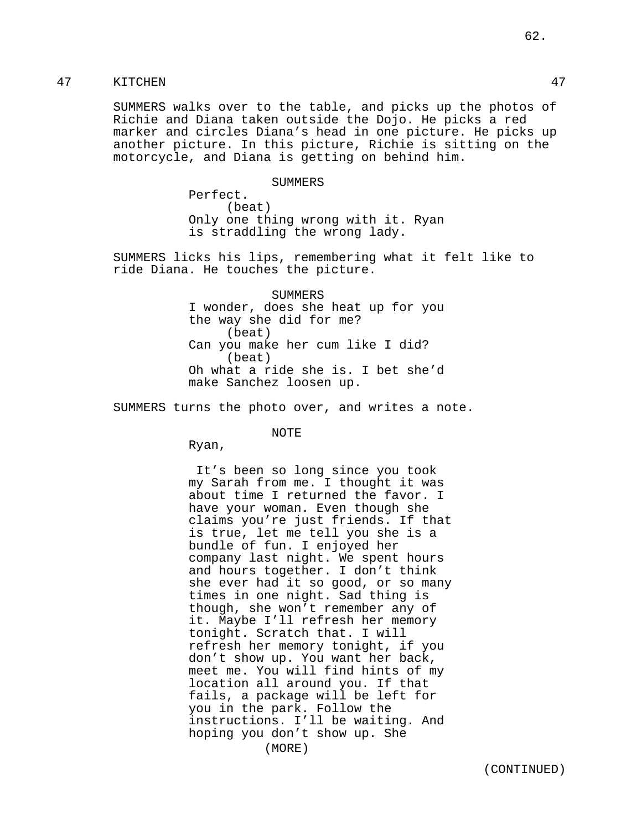47 KITCHEN 47

SUMMERS walks over to the table, and picks up the photos of Richie and Diana taken outside the Dojo. He picks a red marker and circles Diana's head in one picture. He picks up another picture. In this picture, Richie is sitting on the motorcycle, and Diana is getting on behind him.

#### SUMMERS

Perfect. (beat) Only one thing wrong with it. Ryan is straddling the wrong lady.

SUMMERS licks his lips, remembering what it felt like to ride Diana. He touches the picture.

> SUMMERS I wonder, does she heat up for you the way she did for me? (beat) Can you make her cum like I did? (beat) Oh what a ride she is. I bet she'd make Sanchez loosen up.

SUMMERS turns the photo over, and writes a note.

NOTE

Ryan,

It's been so long since you took my Sarah from me. I thought it was about time I returned the favor. I have your woman. Even though she claims you're just friends. If that is true, let me tell you she is a bundle of fun. I enjoyed her company last night. We spent hours and hours together. I don't think she ever had it so good, or so many times in one night. Sad thing is though, she won't remember any of it. Maybe I'll refresh her memory tonight. Scratch that. I will refresh her memory tonight, if you don't show up. You want her back, meet me. You will find hints of my location all around you. If that fails, a package will be left for you in the park. Follow the instructions. I'll be waiting. And hoping you don't show up. She (MORE)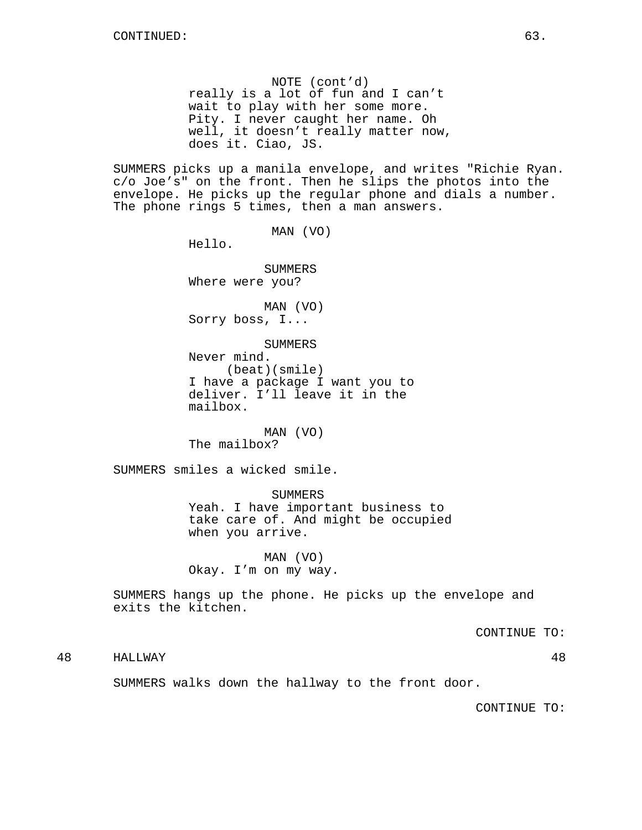NOTE (cont'd) really is a lot of fun and I can't wait to play with her some more. Pity. I never caught her name. Oh well, it doesn't really matter now, does it. Ciao, JS.

SUMMERS picks up a manila envelope, and writes "Richie Ryan. c/o Joe's" on the front. Then he slips the photos into the envelope. He picks up the regular phone and dials a number. The phone rings 5 times, then a man answers.

> MAN (VO) Hello. SUMMERS Where were you? MAN (VO) Sorry boss, I... SUMMERS Never mind. (beat)(smile) I have a package I want you to deliver. I'll leave it in the mailbox.

MAN (VO) The mailbox?

SUMMERS smiles a wicked smile.

SUMMERS Yeah. I have important business to take care of. And might be occupied when you arrive.

MAN (VO) Okay. I'm on my way.

SUMMERS hangs up the phone. He picks up the envelope and exits the kitchen.

CONTINUE TO:

48 HALLWAY 48

SUMMERS walks down the hallway to the front door.

CONTINUE TO: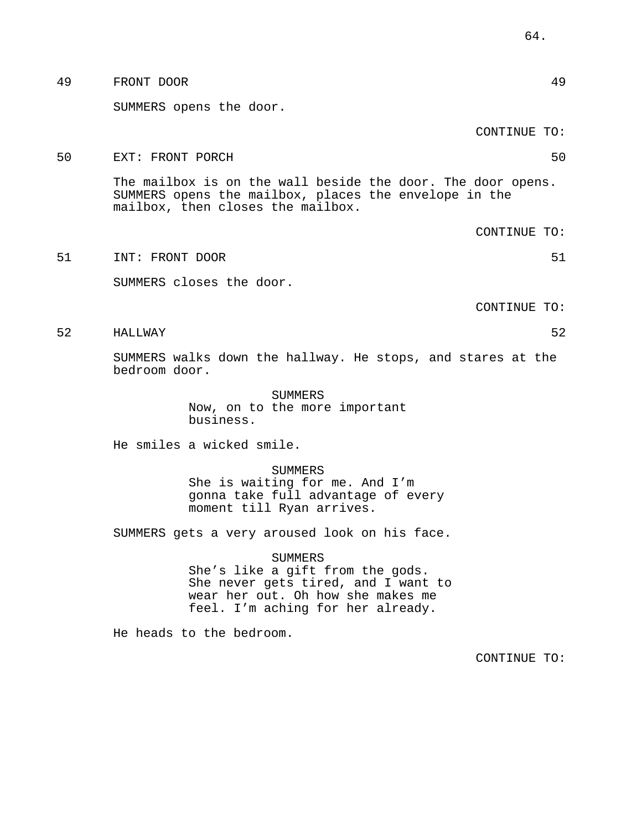49 FRONT DOOR 49 SUMMERS opens the door. CONTINUE TO: 50 EXT: FRONT PORCH 50 The mailbox is on the wall beside the door. The door opens. SUMMERS opens the mailbox, places the envelope in the mailbox, then closes the mailbox. CONTINUE TO: 51 INT: FRONT DOOR 51

SUMMERS closes the door.

CONTINUE TO:

52 HALLWAY 52

SUMMERS walks down the hallway. He stops, and stares at the bedroom door.

> SUMMERS Now, on to the more important business.

He smiles a wicked smile.

SUMMERS She is waiting for me. And I'm gonna take full advantage of every moment till Ryan arrives.

SUMMERS gets a very aroused look on his face.

# SUMMERS

She's like a gift from the gods. She never gets tired, and I want to wear her out. Oh how she makes me feel. I'm aching for her already.

He heads to the bedroom.

CONTINUE TO: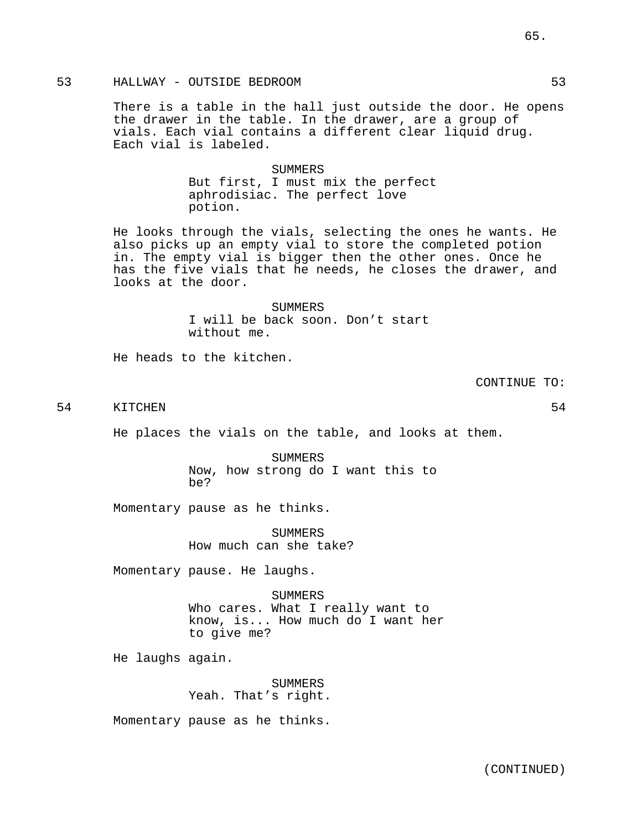## 53 HALLWAY - OUTSIDE BEDROOM 53

There is a table in the hall just outside the door. He opens the drawer in the table. In the drawer, are a group of vials. Each vial contains a different clear liquid drug. Each vial is labeled.

## **SUMMERS**

But first, I must mix the perfect aphrodisiac. The perfect love potion.

He looks through the vials, selecting the ones he wants. He also picks up an empty vial to store the completed potion in. The empty vial is bigger then the other ones. Once he has the five vials that he needs, he closes the drawer, and looks at the door.

> SUMMERS I will be back soon. Don't start without me.

He heads to the kitchen.

CONTINUE TO:

# 54 KITCHEN 54

He places the vials on the table, and looks at them.

SUMMERS Now, how strong do I want this to be?

Momentary pause as he thinks.

SUMMERS How much can she take?

Momentary pause. He laughs.

#### SUMMERS

Who cares. What I really want to know, is... How much do I want her to give me?

He laughs again.

SUMMERS Yeah. That's right.

Momentary pause as he thinks.

65.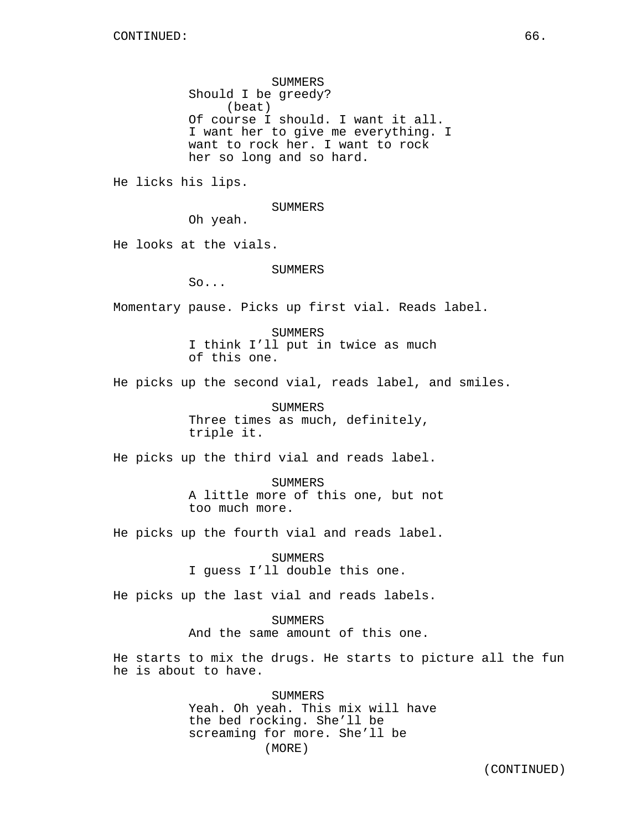SUMMERS Should I be greedy? (beat) Of course I should. I want it all. I want her to give me everything. I want to rock her. I want to rock her so long and so hard. He licks his lips. SUMMERS Oh yeah. He looks at the vials. SUMMERS  $SO<sub>1</sub>$ . Momentary pause. Picks up first vial. Reads label. SUMMERS I think I'll put in twice as much of this one. He picks up the second vial, reads label, and smiles. SUMMERS Three times as much, definitely, triple it. He picks up the third vial and reads label. SUMMERS A little more of this one, but not too much more. He picks up the fourth vial and reads label. SUMMERS I guess I'll double this one. He picks up the last vial and reads labels. SUMMERS And the same amount of this one.

He starts to mix the drugs. He starts to picture all the fun he is about to have.

> SUMMERS Yeah. Oh yeah. This mix will have the bed rocking. She'll be screaming for more. She'll be (MORE)

> > (CONTINUED)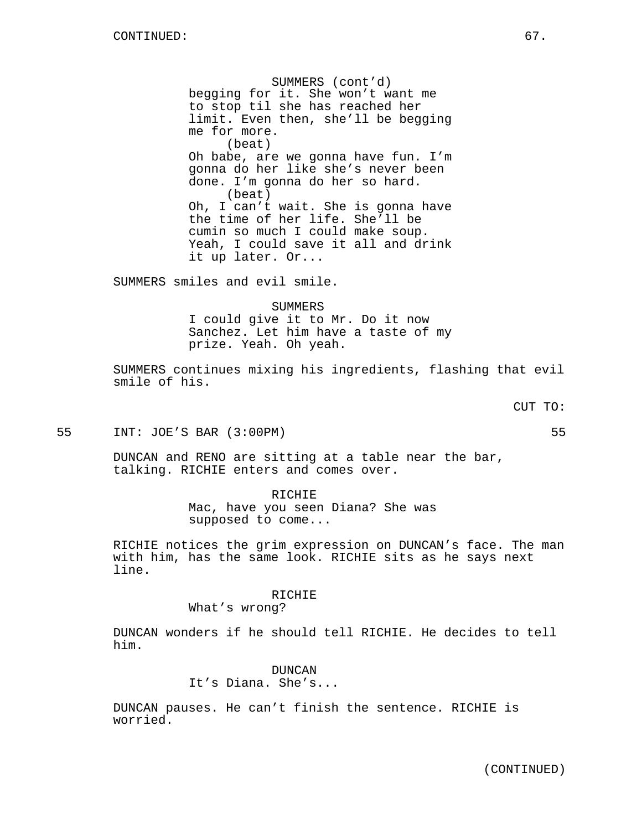SUMMERS (cont'd) begging for it. She won't want me to stop til she has reached her limit. Even then, she'll be begging me for more. (beat) Oh babe, are we gonna have fun. I'm gonna do her like she's never been done. I'm gonna do her so hard. (beat) Oh, I can't wait. She is gonna have the time of her life. She'll be cumin so much I could make soup. Yeah, I could save it all and drink it up later. Or...

SUMMERS smiles and evil smile.

SUMMERS I could give it to Mr. Do it now Sanchez. Let him have a taste of my prize. Yeah. Oh yeah.

SUMMERS continues mixing his ingredients, flashing that evil smile of his.

55 INT: JOE'S BAR (3:00PM) 55

DUNCAN and RENO are sitting at a table near the bar, talking. RICHIE enters and comes over.

> RICHIE Mac, have you seen Diana? She was supposed to come...

RICHIE notices the grim expression on DUNCAN's face. The man with him, has the same look. RICHIE sits as he says next line.

#### RICHIE

What's wrong?

DUNCAN wonders if he should tell RICHIE. He decides to tell him.

> DUNCAN It's Diana. She's...

DUNCAN pauses. He can't finish the sentence. RICHIE is worried.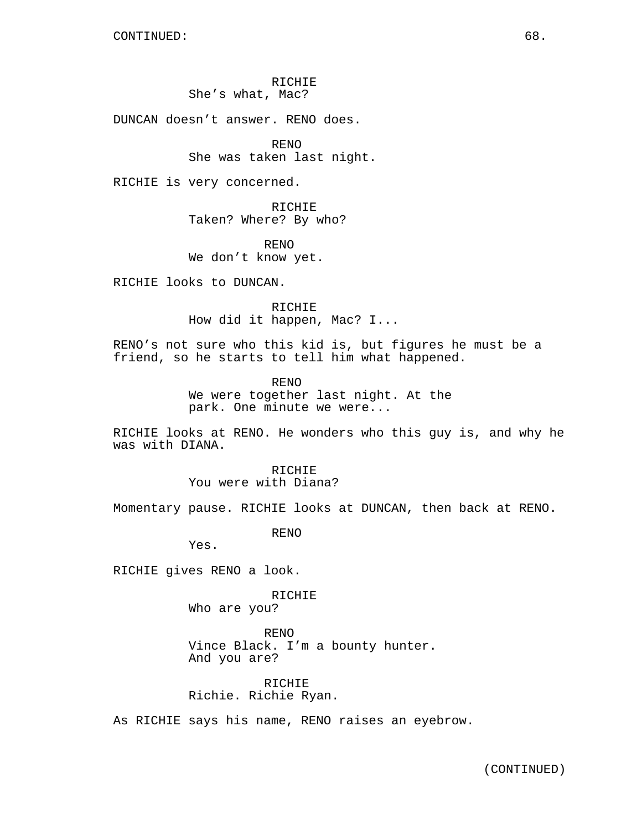RICHIE She's what, Mac?

DUNCAN doesn't answer. RENO does.

RENO She was taken last night.

RICHIE is very concerned.

RICHIE Taken? Where? By who?

RENO We don't know yet.

RICHIE looks to DUNCAN.

RICHIE How did it happen, Mac? I...

RENO's not sure who this kid is, but figures he must be a friend, so he starts to tell him what happened.

> RENO We were together last night. At the park. One minute we were...

RICHIE looks at RENO. He wonders who this guy is, and why he was with DIANA.

> RICHIE You were with Diana?

Momentary pause. RICHIE looks at DUNCAN, then back at RENO.

RENO

Yes.

RICHIE gives RENO a look.

RICHIE

Who are you?

RENO Vince Black. I'm a bounty hunter. And you are?

RICHIE Richie. Richie Ryan.

As RICHIE says his name, RENO raises an eyebrow.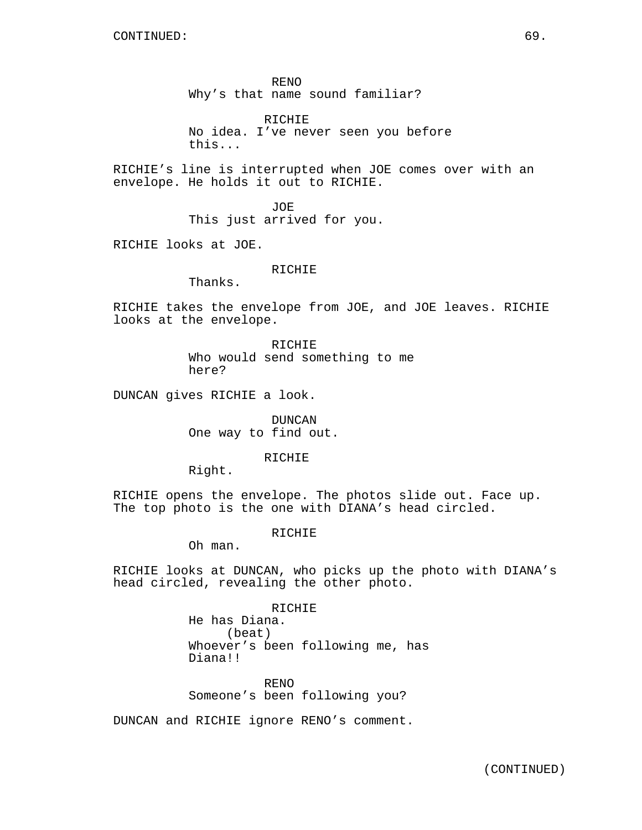RICHIE No idea. I've never seen you before this...

RICHIE's line is interrupted when JOE comes over with an envelope. He holds it out to RICHIE.

> JOE This just arrived for you.

RICHIE looks at JOE.

#### RICHIE

Thanks.

RICHIE takes the envelope from JOE, and JOE leaves. RICHIE looks at the envelope.

> RICHIE Who would send something to me here?

DUNCAN gives RICHIE a look.

DUNCAN One way to find out.

## RICHIE

Right.

RICHIE opens the envelope. The photos slide out. Face up. The top photo is the one with DIANA's head circled.

#### RICHIE

Oh man.

RICHIE looks at DUNCAN, who picks up the photo with DIANA's head circled, revealing the other photo.

#### RICHIE

He has Diana. (beat) Whoever's been following me, has Diana!!

RENO Someone's been following you?

DUNCAN and RICHIE ignore RENO's comment.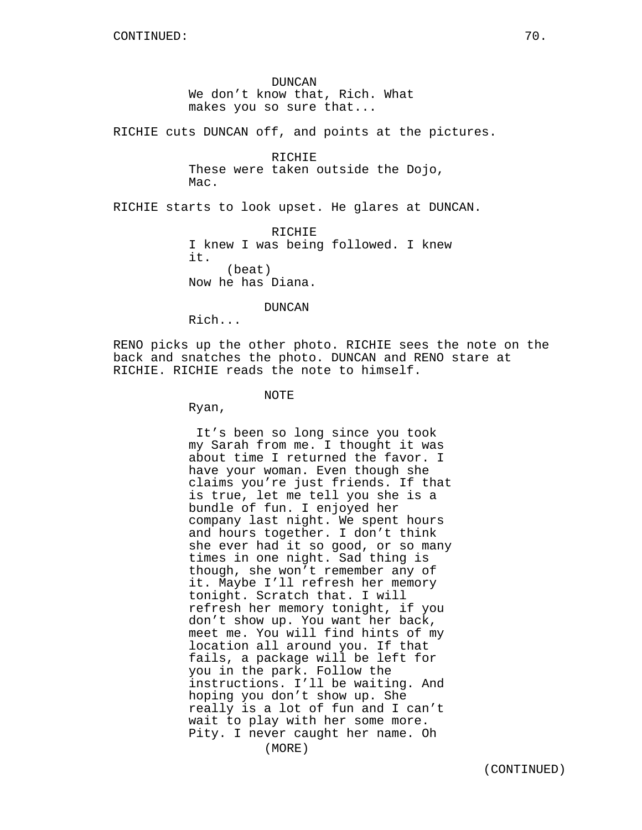RICHIE cuts DUNCAN off, and points at the pictures.

RICHIE These were taken outside the Dojo, Mac.

RICHIE starts to look upset. He glares at DUNCAN.

RICHIE I knew I was being followed. I knew it. (beat) Now he has Diana.

DUNCAN

Rich...

RENO picks up the other photo. RICHIE sees the note on the back and snatches the photo. DUNCAN and RENO stare at RICHIE. RICHIE reads the note to himself.

NOTE

Ryan,

It's been so long since you took my Sarah from me. I thought it was about time I returned the favor. I have your woman. Even though she claims you're just friends. If that is true, let me tell you she is a bundle of fun. I enjoyed her company last night. We spent hours and hours together. I don't think she ever had it so good, or so many times in one night. Sad thing is though, she won't remember any of it. Maybe I'll refresh her memory tonight. Scratch that. I will refresh her memory tonight, if you don't show up. You want her back, meet me. You will find hints of my location all around you. If that fails, a package will be left for you in the park. Follow the instructions. I'll be waiting. And hoping you don't show up. She really is a lot of fun and I can't wait to play with her some more. Pity. I never caught her name. Oh (MORE)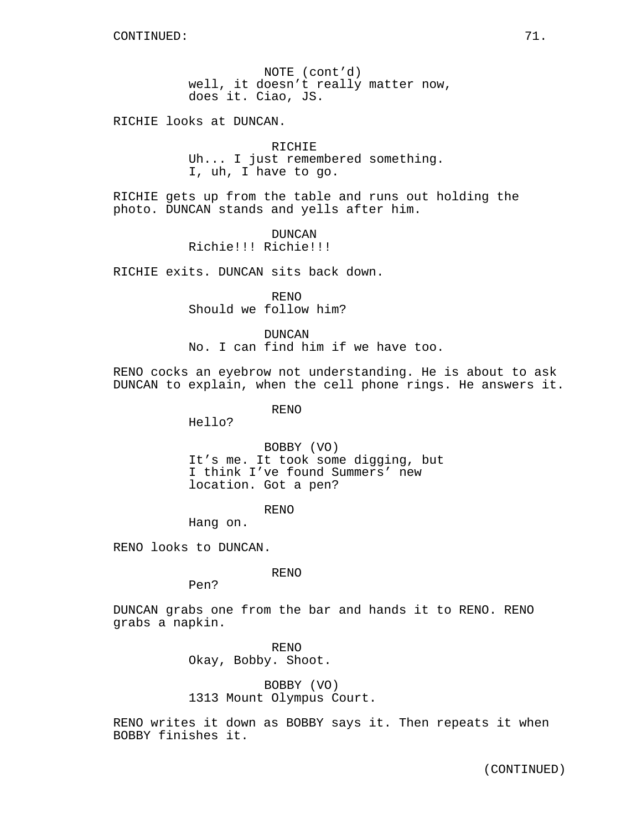NOTE (cont'd) well, it doesn't really matter now, does it. Ciao, JS.

RICHIE looks at DUNCAN.

RICHIE Uh... I just remembered something. I, uh, I have to go.

RICHIE gets up from the table and runs out holding the photo. DUNCAN stands and yells after him.

> DUNCAN Richie!!! Richie!!!

RICHIE exits. DUNCAN sits back down.

RENO Should we follow him?

DUNCAN No. I can find him if we have too.

RENO cocks an eyebrow not understanding. He is about to ask DUNCAN to explain, when the cell phone rings. He answers it.

RENO

Hello?

BOBBY (VO) It's me. It took some digging, but I think I've found Summers' new location. Got a pen?

RENO

Hang on.

RENO looks to DUNCAN.

RENO

Pen?

DUNCAN grabs one from the bar and hands it to RENO. RENO grabs a napkin.

> RENO Okay, Bobby. Shoot.

BOBBY (VO) 1313 Mount Olympus Court.

RENO writes it down as BOBBY says it. Then repeats it when BOBBY finishes it.

(CONTINUED)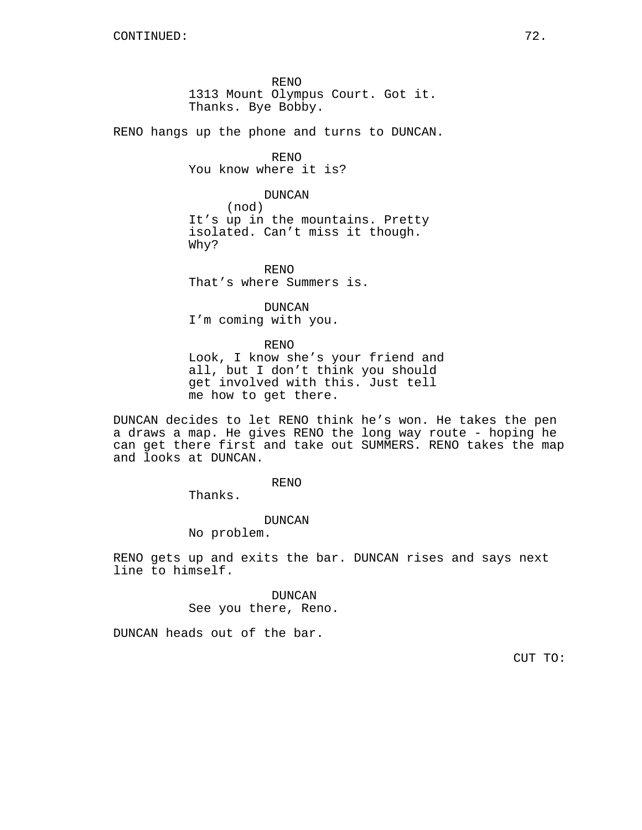RENO 1313 Mount Olympus Court. Got it. Thanks. Bye Bobby.

RENO hangs up the phone and turns to DUNCAN.

RENO You know where it is?

## DUNCAN

(nod) It's up in the mountains. Pretty isolated. Can't miss it though. Why?

RENO That's where Summers is.

DUNCAN I'm coming with you.

### RENO

Look, I know she's your friend and all, but I don't think you should get involved with this. Just tell me how to get there.

DUNCAN decides to let RENO think he's won. He takes the pen a draws a map. He gives RENO the long way route - hoping he can get there first and take out SUMMERS. RENO takes the map and looks at DUNCAN.

RENO

Thanks.

# DUNCAN

No problem.

RENO gets up and exits the bar. DUNCAN rises and says next line to himself.

> DUNCAN See you there, Reno.

DUNCAN heads out of the bar.

CUT TO: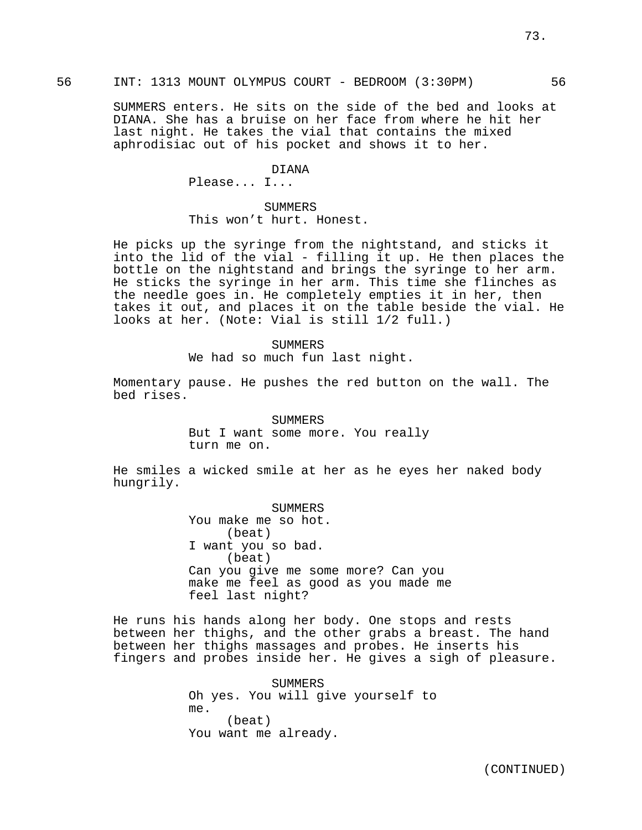SUMMERS enters. He sits on the side of the bed and looks at DIANA. She has a bruise on her face from where he hit her last night. He takes the vial that contains the mixed aphrodisiac out of his pocket and shows it to her.

### DIANA

Please... I...

### SUMMERS

This won't hurt. Honest.

He picks up the syringe from the nightstand, and sticks it into the lid of the vial - filling it up. He then places the bottle on the nightstand and brings the syringe to her arm. He sticks the syringe in her arm. This time she flinches as the needle goes in. He completely empties it in her, then takes it out, and places it on the table beside the vial. He looks at her. (Note: Vial is still 1/2 full.)

> SUMMERS We had so much fun last night.

Momentary pause. He pushes the red button on the wall. The bed rises.

> SUMMERS But I want some more. You really turn me on.

He smiles a wicked smile at her as he eyes her naked body hungrily.

> SUMMERS You make me so hot. (beat) I want you so bad. (beat) Can you give me some more? Can you make me feel as good as you made me feel last night?

He runs his hands along her body. One stops and rests between her thighs, and the other grabs a breast. The hand between her thighs massages and probes. He inserts his fingers and probes inside her. He gives a sigh of pleasure.

> SUMMERS Oh yes. You will give yourself to me. (beat) You want me already.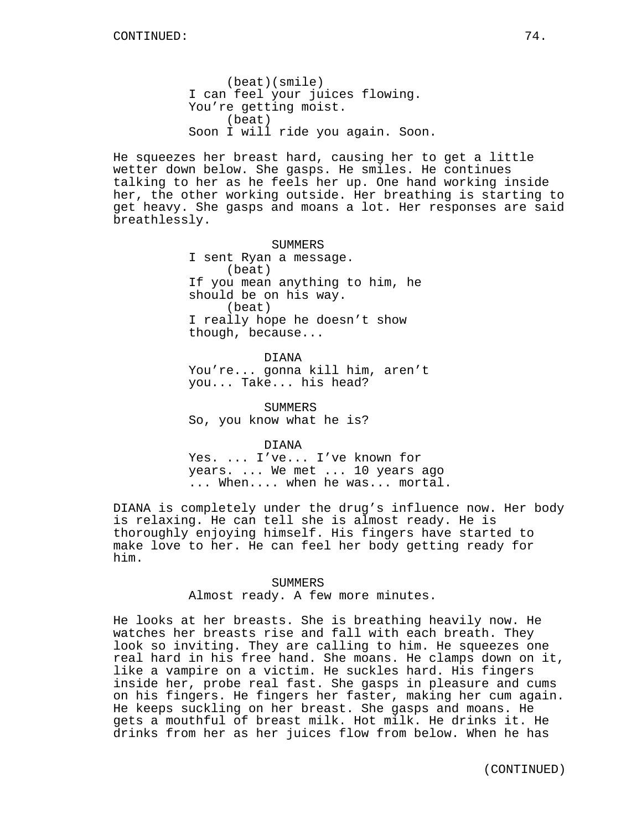(beat)(smile) I can feel your juices flowing. You're getting moist. (beat) Soon I will ride you again. Soon.

He squeezes her breast hard, causing her to get a little wetter down below. She gasps. He smiles. He continues talking to her as he feels her up. One hand working inside her, the other working outside. Her breathing is starting to get heavy. She gasps and moans a lot. Her responses are said breathlessly.

> SUMMERS I sent Ryan a message. (beat) If you mean anything to him, he should be on his way. (beat) I really hope he doesn't show though, because...

DIANA You're... gonna kill him, aren't you... Take... his head?

SUMMERS So, you know what he is?

DIANA

Yes. ... I've... I've known for years. ... We met ... 10 years ago ... When.... when he was... mortal.

DIANA is completely under the drug's influence now. Her body is relaxing. He can tell she is almost ready. He is thoroughly enjoying himself. His fingers have started to make love to her. He can feel her body getting ready for him.

### SUMMERS

Almost ready. A few more minutes.

He looks at her breasts. She is breathing heavily now. He watches her breasts rise and fall with each breath. They look so inviting. They are calling to him. He squeezes one real hard in his free hand. She moans. He clamps down on it, like a vampire on a victim. He suckles hard. His fingers inside her, probe real fast. She gasps in pleasure and cums on his fingers. He fingers her faster, making her cum again. He keeps suckling on her breast. She gasps and moans. He gets a mouthful of breast milk. Hot milk. He drinks it. He drinks from her as her juices flow from below. When he has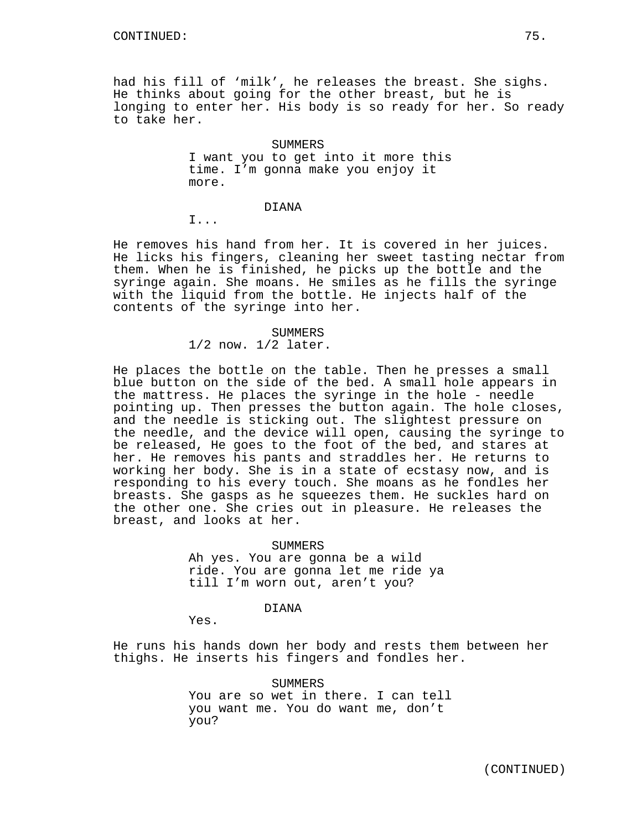had his fill of 'milk', he releases the breast. She sighs. He thinks about going for the other breast, but he is longing to enter her. His body is so ready for her. So ready to take her.

> SUMMERS I want you to get into it more this time. I'm gonna make you enjoy it more.

> > DIANA

I...

He removes his hand from her. It is covered in her juices. He licks his fingers, cleaning her sweet tasting nectar from them. When he is finished, he picks up the bottle and the syringe again. She moans. He smiles as he fills the syringe with the liquid from the bottle. He injects half of the contents of the syringe into her.

**SUMMERS** 

1/2 now. 1/2 later.

He places the bottle on the table. Then he presses a small blue button on the side of the bed. A small hole appears in the mattress. He places the syringe in the hole - needle pointing up. Then presses the button again. The hole closes, and the needle is sticking out. The slightest pressure on the needle, and the device will open, causing the syringe to be released, He goes to the foot of the bed, and stares at her. He removes his pants and straddles her. He returns to working her body. She is in a state of ecstasy now, and is responding to his every touch. She moans as he fondles her breasts. She gasps as he squeezes them. He suckles hard on the other one. She cries out in pleasure. He releases the breast, and looks at her.

SUMMERS

Ah yes. You are gonna be a wild ride. You are gonna let me ride ya till I'm worn out, aren't you?

DIANA

Yes.

He runs his hands down her body and rests them between her thighs. He inserts his fingers and fondles her.

> SUMMERS You are so wet in there. I can tell you want me. You do want me, don't you?

(CONTINUED)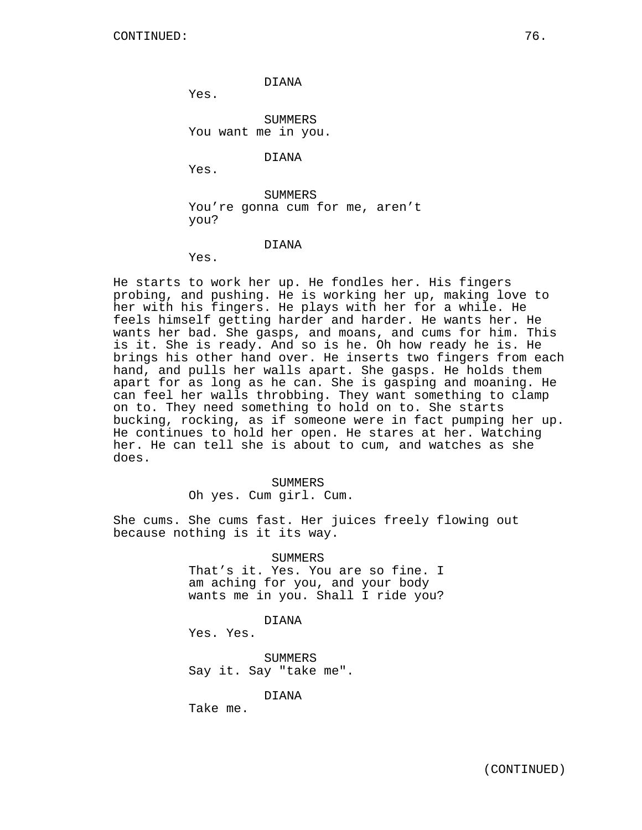DIANA

Yes.

SUMMERS You want me in you.

DIANA

Yes.

SUMMERS You're gonna cum for me, aren't you?

### DIANA

Yes.

He starts to work her up. He fondles her. His fingers probing, and pushing. He is working her up, making love to her with his fingers. He plays with her for a while. He feels himself getting harder and harder. He wants her. He wants her bad. She gasps, and moans, and cums for him. This is it. She is ready. And so is he. Oh how ready he is. He brings his other hand over. He inserts two fingers from each hand, and pulls her walls apart. She gasps. He holds them apart for as long as he can. She is gasping and moaning. He can feel her walls throbbing. They want something to clamp on to. They need something to hold on to. She starts bucking, rocking, as if someone were in fact pumping her up. He continues to hold her open. He stares at her. Watching her. He can tell she is about to cum, and watches as she does.

> SUMMERS Oh yes. Cum girl. Cum.

She cums. She cums fast. Her juices freely flowing out because nothing is it its way.

> SUMMERS That's it. Yes. You are so fine. I am aching for you, and your body wants me in you. Shall I ride you?

> > DIANA

Yes. Yes.

SUMMERS Say it. Say "take me".

DIANA

Take me.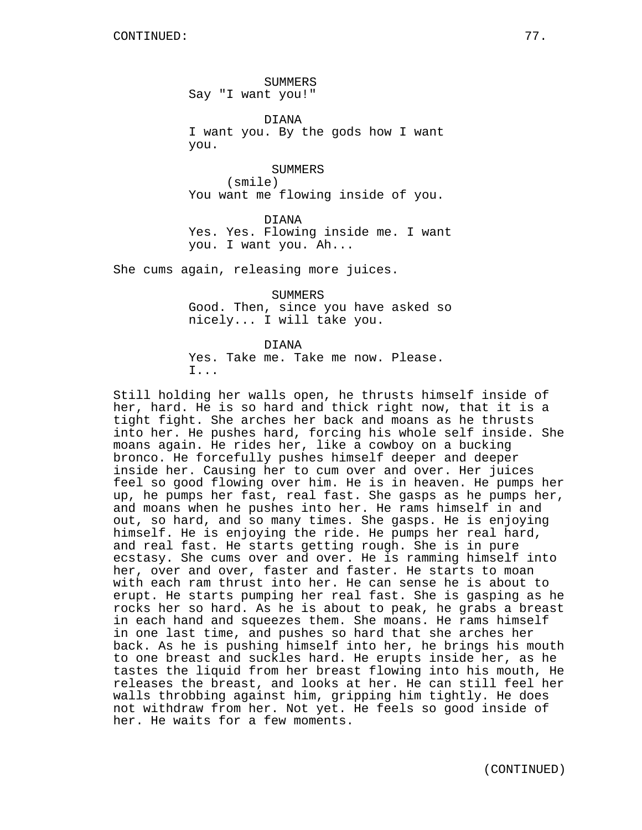SUMMERS Say "I want you!"

DIANA I want you. By the gods how I want you.

SUMMERS (smile) You want me flowing inside of you.

DIANA Yes. Yes. Flowing inside me. I want you. I want you. Ah...

She cums again, releasing more juices.

SUMMERS Good. Then, since you have asked so nicely... I will take you.

DIANA Yes. Take me. Take me now. Please. I...

Still holding her walls open, he thrusts himself inside of her, hard. He is so hard and thick right now, that it is a tight fight. She arches her back and moans as he thrusts into her. He pushes hard, forcing his whole self inside. She moans again. He rides her, like a cowboy on a bucking bronco. He forcefully pushes himself deeper and deeper inside her. Causing her to cum over and over. Her juices feel so good flowing over him. He is in heaven. He pumps her up, he pumps her fast, real fast. She gasps as he pumps her, and moans when he pushes into her. He rams himself in and out, so hard, and so many times. She gasps. He is enjoying himself. He is enjoying the ride. He pumps her real hard, and real fast. He starts getting rough. She is in pure ecstasy. She cums over and over. He is ramming himself into her, over and over, faster and faster. He starts to moan with each ram thrust into her. He can sense he is about to erupt. He starts pumping her real fast. She is gasping as he rocks her so hard. As he is about to peak, he grabs a breast in each hand and squeezes them. She moans. He rams himself in one last time, and pushes so hard that she arches her back. As he is pushing himself into her, he brings his mouth to one breast and suckles hard. He erupts inside her, as he tastes the liquid from her breast flowing into his mouth, He releases the breast, and looks at her. He can still feel her walls throbbing against him, gripping him tightly. He does not withdraw from her. Not yet. He feels so good inside of her. He waits for a few moments.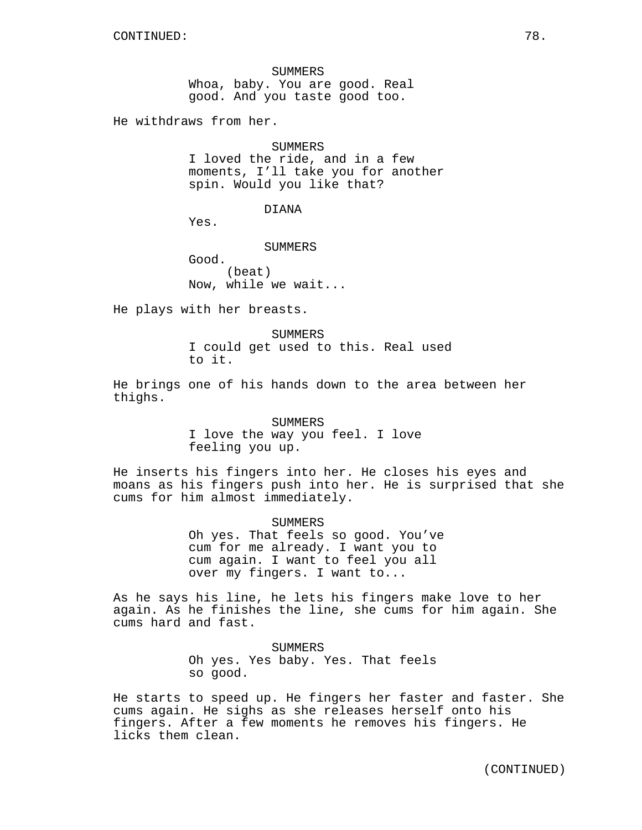SUMMERS Whoa, baby. You are good. Real good. And you taste good too.

He withdraws from her.

SUMMERS

I loved the ride, and in a few moments, I'll take you for another spin. Would you like that?

DIANA

Yes.

SUMMERS

Good. (beat) Now, while we wait...

He plays with her breasts.

SUMMERS I could get used to this. Real used to it.

He brings one of his hands down to the area between her thighs.

> SUMMERS I love the way you feel. I love feeling you up.

He inserts his fingers into her. He closes his eyes and moans as his fingers push into her. He is surprised that she cums for him almost immediately.

> SUMMERS Oh yes. That feels so good. You've cum for me already. I want you to cum again. I want to feel you all over my fingers. I want to...

As he says his line, he lets his fingers make love to her again. As he finishes the line, she cums for him again. She cums hard and fast.

> SUMMERS Oh yes. Yes baby. Yes. That feels so good.

He starts to speed up. He fingers her faster and faster. She cums again. He sighs as she releases herself onto his fingers. After a few moments he removes his fingers. He licks them clean.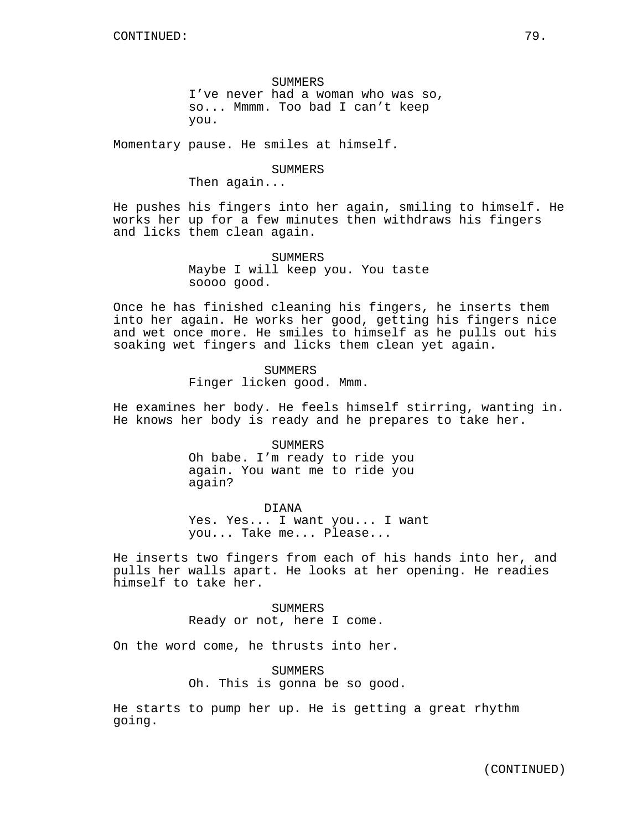SUMMERS I've never had a woman who was so, so... Mmmm. Too bad I can't keep you.

Momentary pause. He smiles at himself.

SUMMERS

Then again...

He pushes his fingers into her again, smiling to himself. He works her up for a few minutes then withdraws his fingers and licks them clean again.

> SUMMERS Maybe I will keep you. You taste soooo good.

Once he has finished cleaning his fingers, he inserts them into her again. He works her good, getting his fingers nice and wet once more. He smiles to himself as he pulls out his soaking wet fingers and licks them clean yet again.

> SUMMERS Finger licken good. Mmm.

He examines her body. He feels himself stirring, wanting in. He knows her body is ready and he prepares to take her.

> SUMMERS Oh babe. I'm ready to ride you again. You want me to ride you again?

DIANA Yes. Yes... I want you... I want you... Take me... Please...

He inserts two fingers from each of his hands into her, and pulls her walls apart. He looks at her opening. He readies himself to take her.

> SUMMERS Ready or not, here I come.

On the word come, he thrusts into her.

SUMMERS Oh. This is gonna be so good.

He starts to pump her up. He is getting a great rhythm going.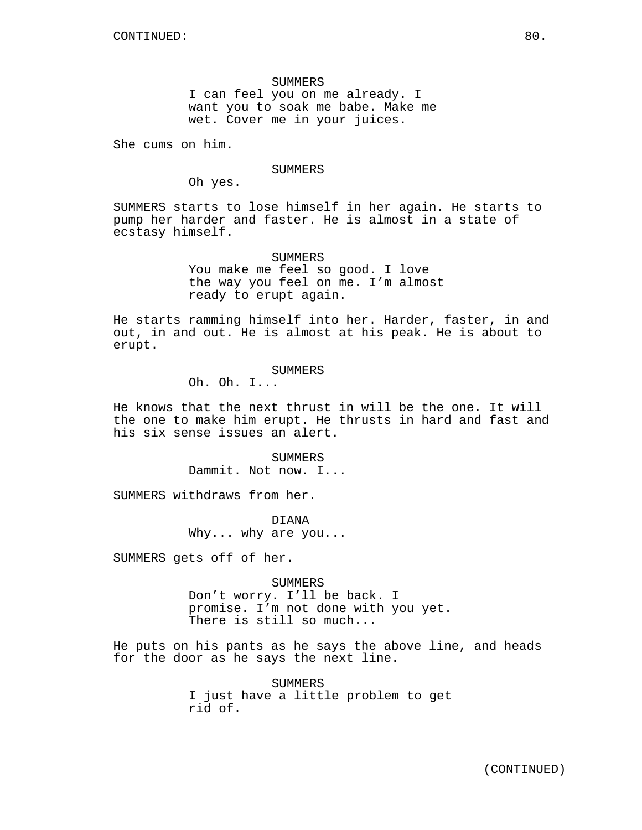SUMMERS I can feel you on me already. I want you to soak me babe. Make me wet. Cover me in your juices.

She cums on him.

## SUMMERS

Oh yes.

SUMMERS starts to lose himself in her again. He starts to pump her harder and faster. He is almost in a state of ecstasy himself.

> SUMMERS You make me feel so good. I love the way you feel on me. I'm almost ready to erupt again.

He starts ramming himself into her. Harder, faster, in and out, in and out. He is almost at his peak. He is about to erupt.

> SUMMERS Oh. Oh. I...

He knows that the next thrust in will be the one. It will the one to make him erupt. He thrusts in hard and fast and his six sense issues an alert.

> SUMMERS Dammit. Not now. I...

SUMMERS withdraws from her.

DIANA Why... why are you...

SUMMERS gets off of her.

SUMMERS Don't worry. I'll be back. I promise. I'm not done with you yet. There is still so much...

He puts on his pants as he says the above line, and heads for the door as he says the next line.

> SUMMERS I just have a little problem to get rid of.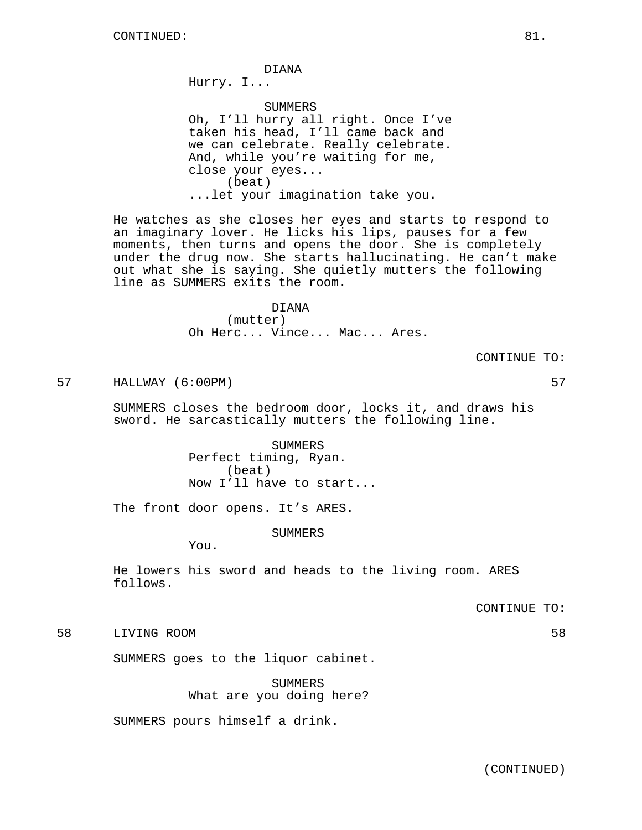## DIANA

Hurry. I...

SUMMERS

Oh, I'll hurry all right. Once I've taken his head, I'll came back and we can celebrate. Really celebrate. And, while you're waiting for me, close your eyes... (beat) ...let your imagination take you.

He watches as she closes her eyes and starts to respond to an imaginary lover. He licks his lips, pauses for a few moments, then turns and opens the door. She is completely under the drug now. She starts hallucinating. He can't make out what she is saying. She quietly mutters the following line as SUMMERS exits the room.

## DIANA

(mutter) Oh Herc... Vince... Mac... Ares.

CONTINUE TO:

57 HALLWAY (6:00PM) 57

SUMMERS closes the bedroom door, locks it, and draws his sword. He sarcastically mutters the following line.

> SUMMERS Perfect timing, Ryan. (beat) Now I'll have to start...

The front door opens. It's ARES.

SUMMERS

You.

He lowers his sword and heads to the living room. ARES follows.

CONTINUE TO:

# 58 LIVING ROOM 58

SUMMERS goes to the liquor cabinet.

SUMMERS What are you doing here?

SUMMERS pours himself a drink.

(CONTINUED)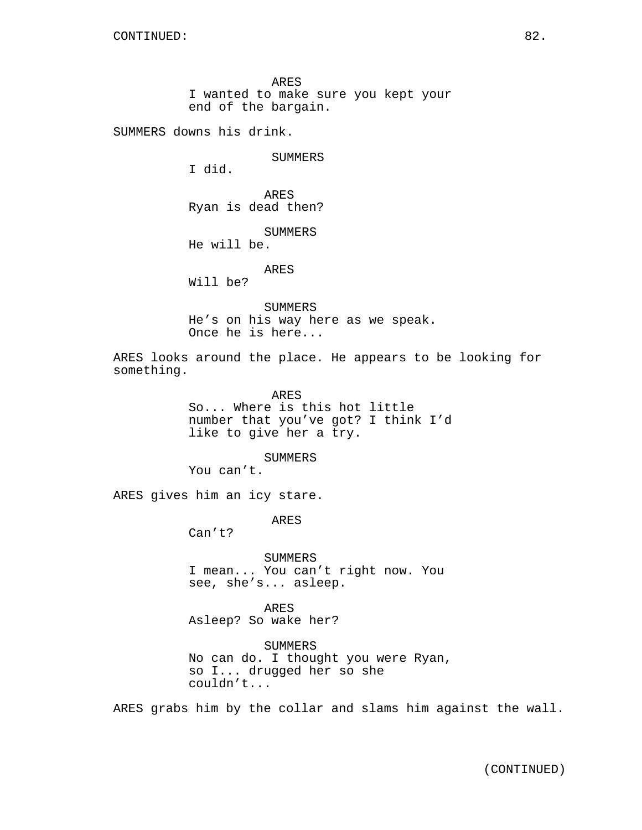ARES I wanted to make sure you kept your end of the bargain.

SUMMERS downs his drink.

SUMMERS

I did.

ARES Ryan is dead then?

SUMMERS

He will be.

ARES

Will be?

SUMMERS He's on his way here as we speak. Once he is here...

ARES looks around the place. He appears to be looking for something.

> ARES So... Where is this hot little number that you've got? I think I'd like to give her a try.

> > SUMMERS

You can't.

ARES gives him an icy stare.

ARES

Can't?

SUMMERS I mean... You can't right now. You see, she's... asleep.

ARES Asleep? So wake her?

SUMMERS No can do. I thought you were Ryan, so I... drugged her so she couldn't...

ARES grabs him by the collar and slams him against the wall.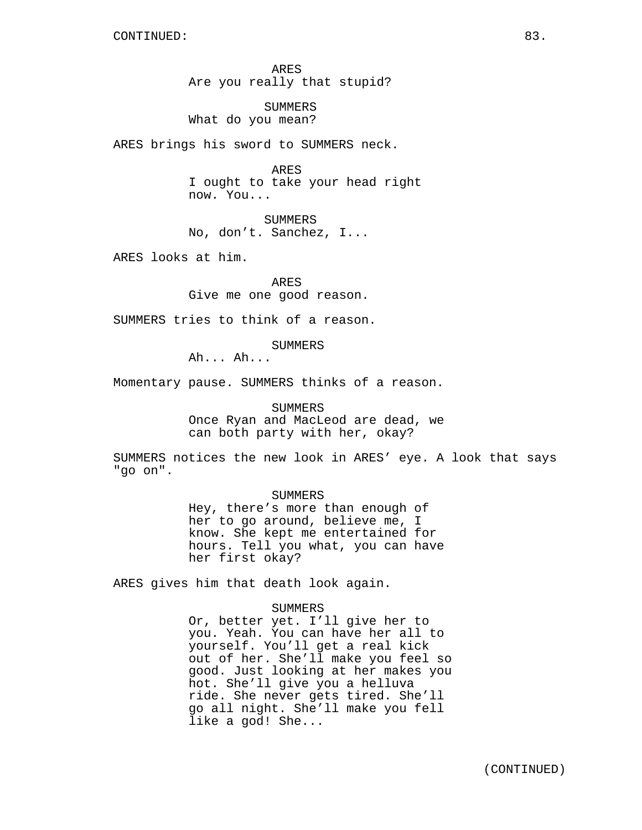ARES Are you really that stupid?

SUMMERS What do you mean?

ARES brings his sword to SUMMERS neck.

ARES I ought to take your head right now. You...

SUMMERS No, don't. Sanchez, I...

ARES looks at him.

ARES Give me one good reason.

SUMMERS tries to think of a reason.

SUMMERS

Ah... Ah...

Momentary pause. SUMMERS thinks of a reason.

SUMMERS Once Ryan and MacLeod are dead, we can both party with her, okay?

SUMMERS notices the new look in ARES' eye. A look that says "go on".

> SUMMERS Hey, there's more than enough of her to go around, believe me, I know. She kept me entertained for hours. Tell you what, you can have her first okay?

ARES gives him that death look again.

SUMMERS

Or, better yet. I'll give her to you. Yeah. You can have her all to yourself. You'll get a real kick out of her. She'll make you feel so good. Just looking at her makes you hot. She'll give you a helluva ride. She never gets tired. She'll go all night. She'll make you fell like a god! She...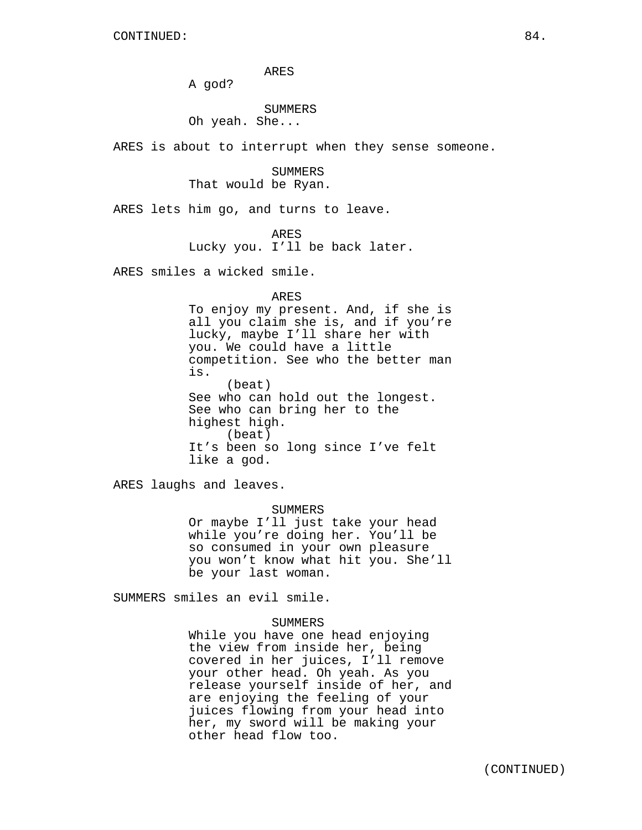ARES

A god?

# SUMMERS

Oh yeah. She...

ARES is about to interrupt when they sense someone.

# SUMMERS That would be Ryan.

ARES lets him go, and turns to leave.

### ARES

Lucky you. I'll be back later.

ARES smiles a wicked smile.

## ARES

To enjoy my present. And, if she is all you claim she is, and if you're lucky, maybe I'll share her with you. We could have a little competition. See who the better man is. (beat) See who can hold out the longest. See who can bring her to the highest high. (beat) It's been so long since I've felt like a god.

ARES laughs and leaves.

## SUMMERS

Or maybe I'll just take your head while you're doing her. You'll be so consumed in your own pleasure you won't know what hit you. She'll be your last woman.

SUMMERS smiles an evil smile.

### SUMMERS

While you have one head enjoying the view from inside her, being covered in her juices, I'll remove your other head. Oh yeah. As you release yourself inside of her, and are enjoying the feeling of your juices flowing from your head into her, my sword will be making your other head flow too.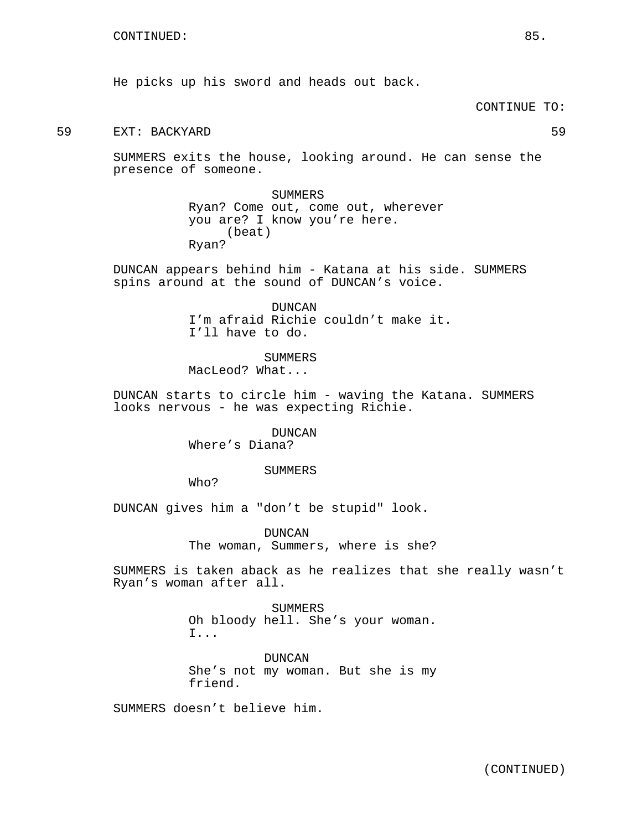59 EXT: BACKYARD 59

SUMMERS exits the house, looking around. He can sense the presence of someone.

> SUMMERS Ryan? Come out, come out, wherever you are? I know you're here. (beat) Ryan?

DUNCAN appears behind him - Katana at his side. SUMMERS spins around at the sound of DUNCAN's voice.

> DUNCAN I'm afraid Richie couldn't make it. I'll have to do.

> > **SUMMERS**

MacLeod? What...

DUNCAN starts to circle him - waving the Katana. SUMMERS looks nervous - he was expecting Richie.

> DUNCAN Where's Diana?

### SUMMERS

Who?

DUNCAN gives him a "don't be stupid" look.

DUNCAN The woman, Summers, where is she?

SUMMERS is taken aback as he realizes that she really wasn't Ryan's woman after all.

> SUMMERS Oh bloody hell. She's your woman. I...

> DUNCAN She's not my woman. But she is my friend.

SUMMERS doesn't believe him.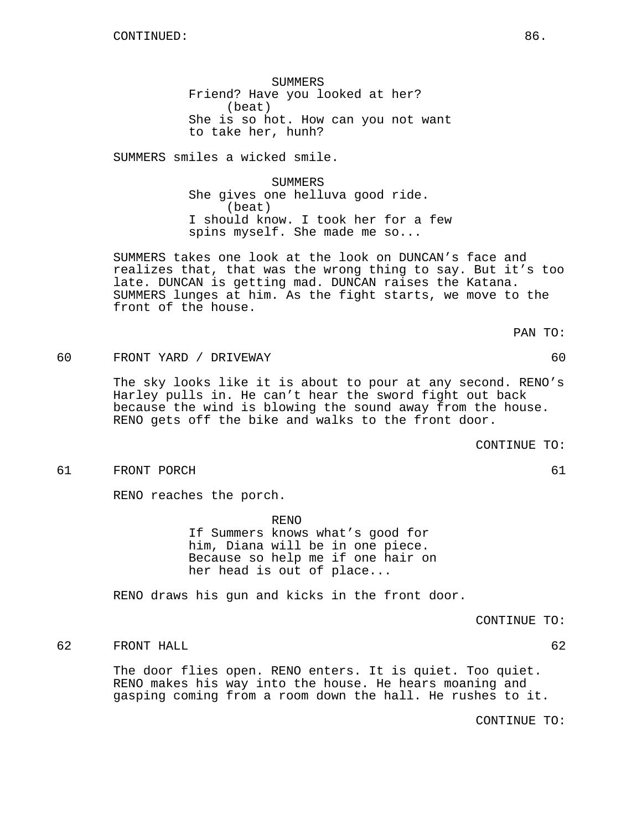SUMMERS Friend? Have you looked at her? (beat) She is so hot. How can you not want to take her, hunh?

SUMMERS smiles a wicked smile.

SUMMERS She gives one helluva good ride. (beat) I should know. I took her for a few spins myself. She made me so...

SUMMERS takes one look at the look on DUNCAN's face and realizes that, that was the wrong thing to say. But it's too late. DUNCAN is getting mad. DUNCAN raises the Katana. SUMMERS lunges at him. As the fight starts, we move to the front of the house.

PAN TO:

60 FRONT YARD / DRIVEWAY 60

The sky looks like it is about to pour at any second. RENO's Harley pulls in. He can't hear the sword fight out back because the wind is blowing the sound away from the house. RENO gets off the bike and walks to the front door.

CONTINUE TO:

61 FRONT PORCH 61

RENO reaches the porch.

RENO If Summers knows what's good for him, Diana will be in one piece. Because so help me if one hair on her head is out of place...

RENO draws his gun and kicks in the front door.

CONTINUE TO:

62 FRONT HALL 62

The door flies open. RENO enters. It is quiet. Too quiet. RENO makes his way into the house. He hears moaning and gasping coming from a room down the hall. He rushes to it.

CONTINUE TO: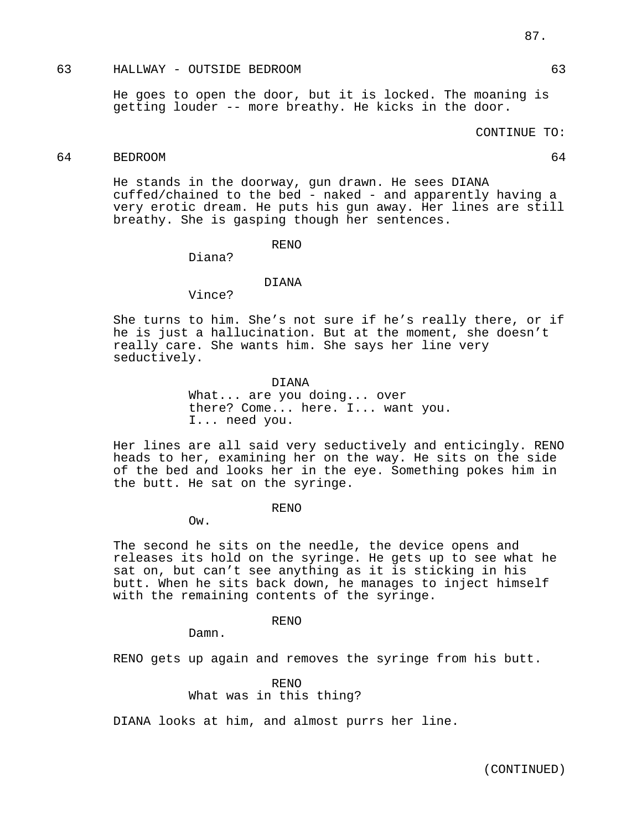# 63 HALLWAY - OUTSIDE BEDROOM 63

He goes to open the door, but it is locked. The moaning is getting louder -- more breathy. He kicks in the door.

# CONTINUE TO:

# 64 BEDROOM 64

He stands in the doorway, gun drawn. He sees DIANA cuffed/chained to the bed - naked - and apparently having a very erotic dream. He puts his gun away. Her lines are still breathy. She is gasping though her sentences.

RENO

Diana?

# DIANA

Vince?

She turns to him. She's not sure if he's really there, or if he is just a hallucination. But at the moment, she doesn't really care. She wants him. She says her line very seductively.

#### DIANA

What... are you doing... over there? Come... here. I... want you. I... need you.

Her lines are all said very seductively and enticingly. RENO heads to her, examining her on the way. He sits on the side of the bed and looks her in the eye. Something pokes him in the butt. He sat on the syringe.

RENO

Ow.

The second he sits on the needle, the device opens and releases its hold on the syringe. He gets up to see what he sat on, but can't see anything as it is sticking in his butt. When he sits back down, he manages to inject himself with the remaining contents of the syringe.

RENO

Damn.

RENO gets up again and removes the syringe from his butt.

# RENO What was in this thing?

DIANA looks at him, and almost purrs her line.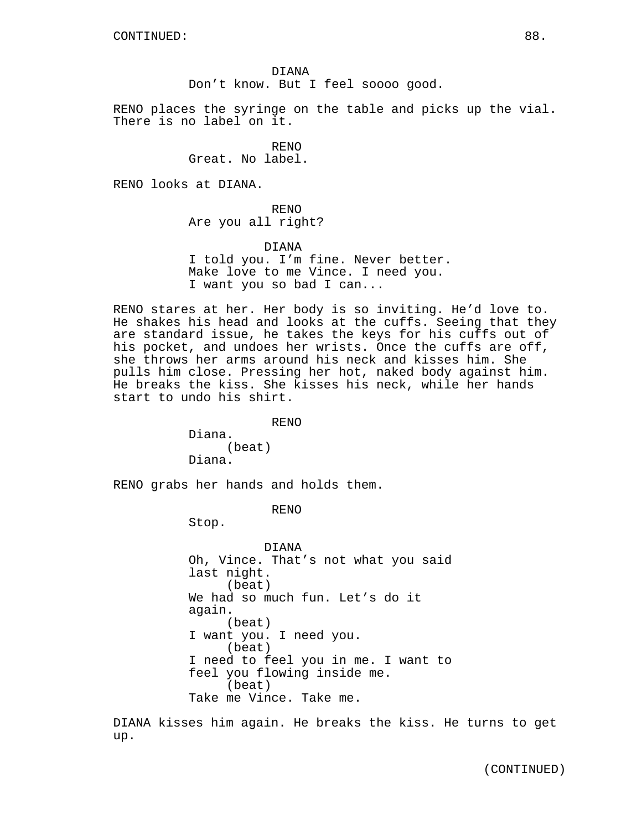DIANA Don't know. But I feel soooo good.

RENO places the syringe on the table and picks up the vial. There is no label on it.

> RENO Great. No label.

RENO looks at DIANA.

RENO Are you all right?

DIANA I told you. I'm fine. Never better. Make love to me Vince. I need you. I want you so bad I can...

RENO stares at her. Her body is so inviting. He'd love to. He shakes his head and looks at the cuffs. Seeing that they are standard issue, he takes the keys for his cuffs out of his pocket, and undoes her wrists. Once the cuffs are off, she throws her arms around his neck and kisses him. She pulls him close. Pressing her hot, naked body against him. He breaks the kiss. She kisses his neck, while her hands start to undo his shirt.

> RENO Diana. (beat) Diana.

RENO grabs her hands and holds them.

RENO

Stop.

DIANA Oh, Vince. That's not what you said last night. (beat) We had so much fun. Let's do it again. (beat) I want you. I need you. (beat) I need to feel you in me. I want to feel you flowing inside me. (beat) Take me Vince. Take me.

DIANA kisses him again. He breaks the kiss. He turns to get up.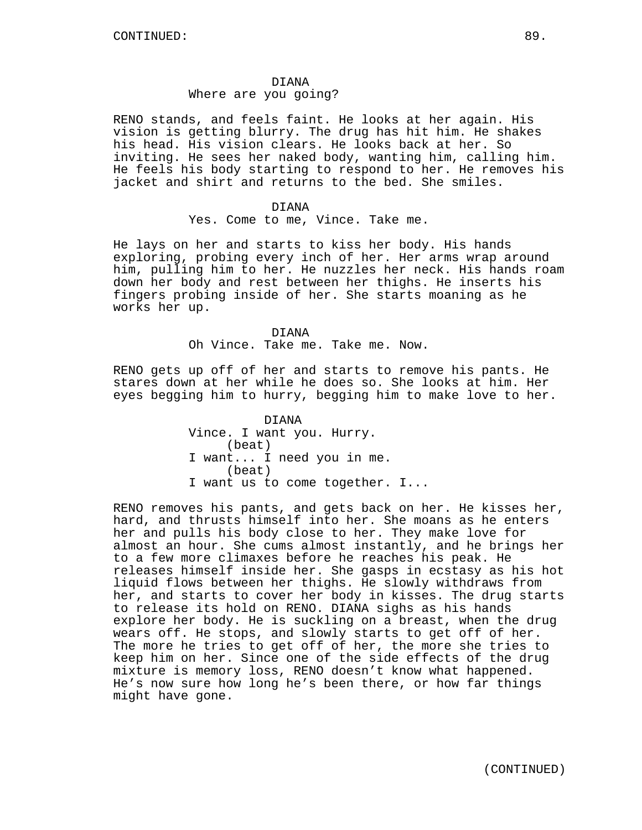# DIANA

# Where are you going?

RENO stands, and feels faint. He looks at her again. His vision is getting blurry. The drug has hit him. He shakes his head. His vision clears. He looks back at her. So inviting. He sees her naked body, wanting him, calling him. He feels his body starting to respond to her. He removes his jacket and shirt and returns to the bed. She smiles.

### DIANA

Yes. Come to me, Vince. Take me.

He lays on her and starts to kiss her body. His hands exploring, probing every inch of her. Her arms wrap around him, pulling him to her. He nuzzles her neck. His hands roam down her body and rest between her thighs. He inserts his fingers probing inside of her. She starts moaning as he works her up.

> DIANA Oh Vince. Take me. Take me. Now.

RENO gets up off of her and starts to remove his pants. He stares down at her while he does so. She looks at him. Her eyes begging him to hurry, begging him to make love to her.

> DIANA Vince. I want you. Hurry. (beat) I want... I need you in me. (beat) I want us to come together. I...

RENO removes his pants, and gets back on her. He kisses her, hard, and thrusts himself into her. She moans as he enters her and pulls his body close to her. They make love for almost an hour. She cums almost instantly, and he brings her to a few more climaxes before he reaches his peak. He releases himself inside her. She gasps in ecstasy as his hot liquid flows between her thighs. He slowly withdraws from her, and starts to cover her body in kisses. The drug starts to release its hold on RENO. DIANA sighs as his hands explore her body. He is suckling on a breast, when the drug wears off. He stops, and slowly starts to get off of her. The more he tries to get off of her, the more she tries to keep him on her. Since one of the side effects of the drug mixture is memory loss, RENO doesn't know what happened. He's now sure how long he's been there, or how far things might have gone.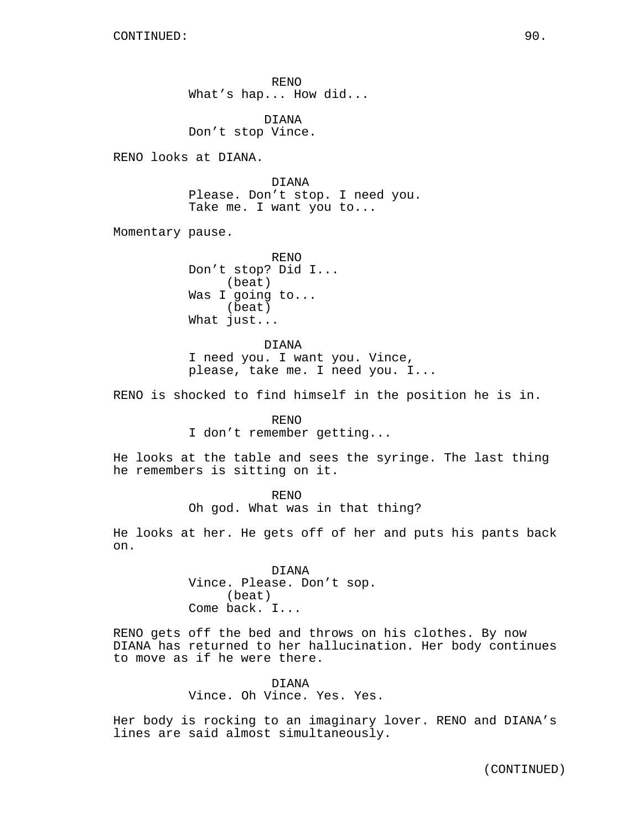RENO What's hap... How did...

DIANA Don't stop Vince.

RENO looks at DIANA.

DIANA Please. Don't stop. I need you. Take me. I want you to...

Momentary pause.

RENO Don't stop? Did I... (beat) Was I going to... (beat) What just...

DIANA I need you. I want you. Vince, please, take me. I need you. I...

RENO is shocked to find himself in the position he is in.

# RENO

I don't remember getting...

He looks at the table and sees the syringe. The last thing he remembers is sitting on it.

> RENO Oh god. What was in that thing?

He looks at her. He gets off of her and puts his pants back on.

> DIANA Vince. Please. Don't sop. (beat) Come back. I...

RENO gets off the bed and throws on his clothes. By now DIANA has returned to her hallucination. Her body continues to move as if he were there.

> DIANA Vince. Oh Vince. Yes. Yes.

Her body is rocking to an imaginary lover. RENO and DIANA's lines are said almost simultaneously.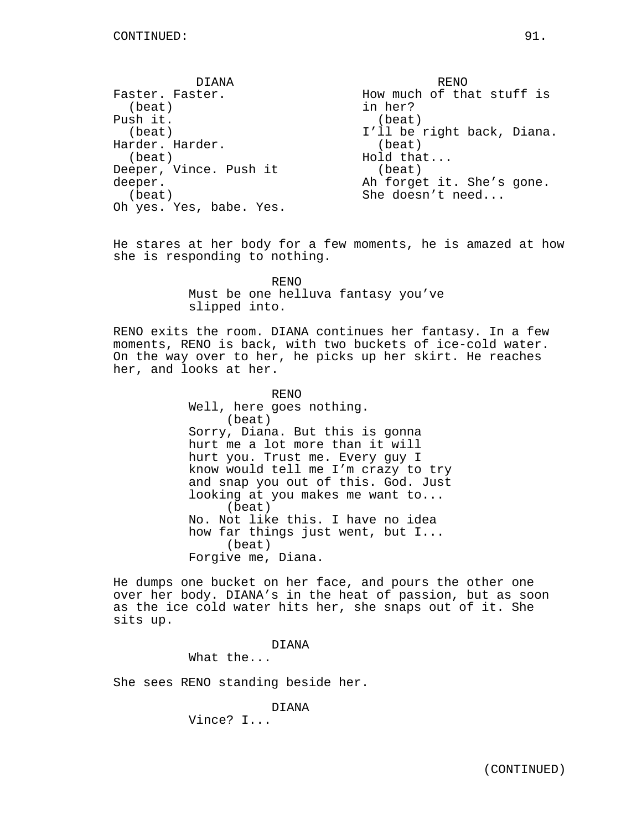DIANA Faster. Faster. (beat) Push it. (beat) Harder. Harder. (beat) Deeper, Vince. Push it deeper. (beat) Oh yes. Yes, babe. Yes. RENO How much of that stuff is in her? (beat) I'll be right back, Diana. (beat) Hold that... (beat) Ah forget it. She's gone. She doesn't need...

He stares at her body for a few moments, he is amazed at how she is responding to nothing.

> RENO Must be one helluva fantasy you've slipped into.

RENO exits the room. DIANA continues her fantasy. In a few moments, RENO is back, with two buckets of ice-cold water. On the way over to her, he picks up her skirt. He reaches her, and looks at her.

> RENO Well, here goes nothing. (beat) Sorry, Diana. But this is gonna hurt me a lot more than it will hurt you. Trust me. Every guy I know would tell me I'm crazy to try and snap you out of this. God. Just looking at you makes me want to... (beat) No. Not like this. I have no idea how far things just went, but I... (beat) Forgive me, Diana.

He dumps one bucket on her face, and pours the other one over her body. DIANA's in the heat of passion, but as soon as the ice cold water hits her, she snaps out of it. She sits up.

DIANA

What the...

She sees RENO standing beside her.

DIANA Vince? I...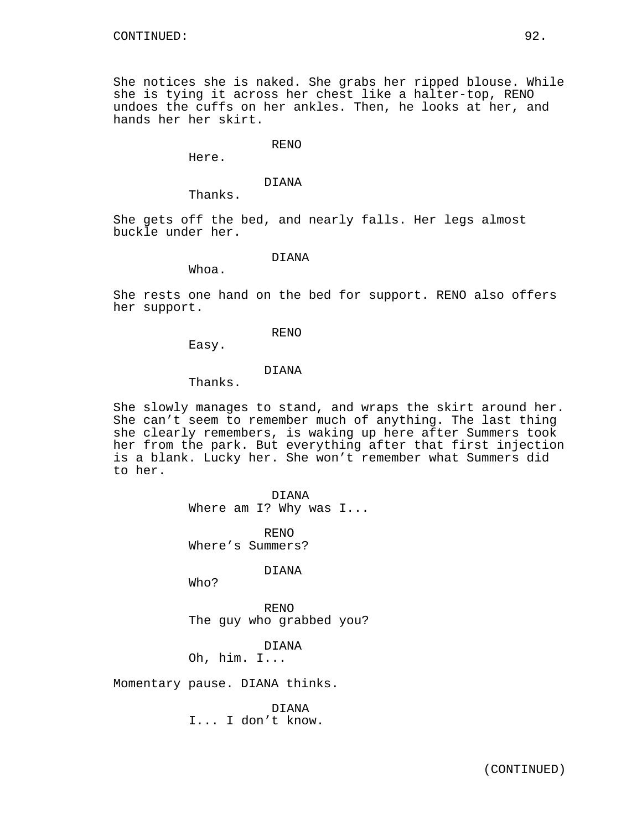She notices she is naked. She grabs her ripped blouse. While she is tying it across her chest like a halter-top, RENO undoes the cuffs on her ankles. Then, he looks at her, and hands her her skirt.

# RENO

Here.

## DIANA

Thanks.

She gets off the bed, and nearly falls. Her legs almost buckle under her.

## DIANA

Whoa.

She rests one hand on the bed for support. RENO also offers her support.

### RENO

Easy.

# DIANA

Thanks.

She slowly manages to stand, and wraps the skirt around her. She can't seem to remember much of anything. The last thing she clearly remembers, is waking up here after Summers took her from the park. But everything after that first injection is a blank. Lucky her. She won't remember what Summers did to her.

> DIANA Where am I? Why was I...

RENO Where's Summers?

DIANA

Who?

RENO The guy who grabbed you?

DIANA Oh, him. I...

Momentary pause. DIANA thinks.

DIANA I... I don't know.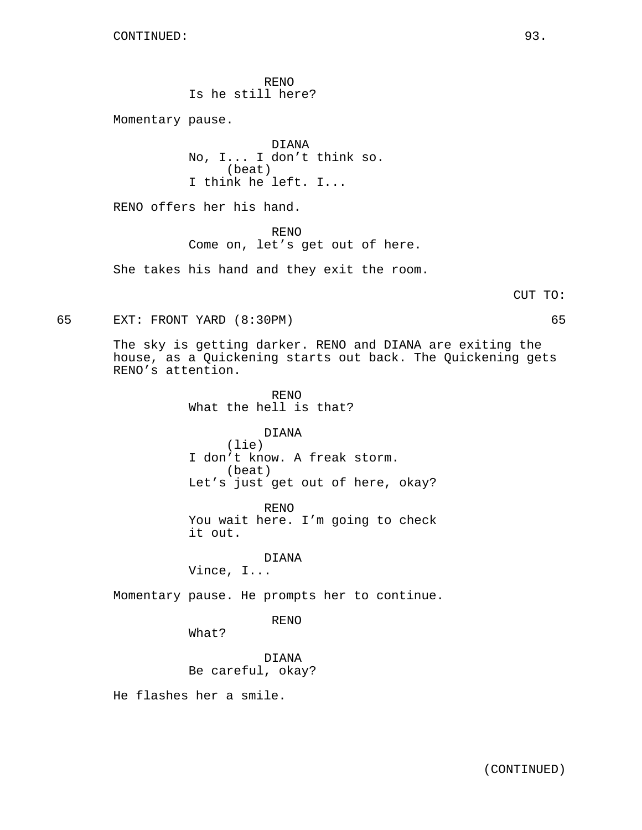RENO Is he still here?

Momentary pause.

DIANA No, I... I don't think so. (beat) I think he left. I...

RENO offers her his hand.

RENO Come on, let's get out of here.

She takes his hand and they exit the room.

CUT TO:

65 EXT: FRONT YARD (8:30PM) 65

The sky is getting darker. RENO and DIANA are exiting the house, as a Quickening starts out back. The Quickening gets RENO's attention.

> RENO What the hell is that?

DIANA (lie) I don't know. A freak storm. (beat) Let's just get out of here, okay?

RENO You wait here. I'm going to check it out.

DIANA

Vince, I...

Momentary pause. He prompts her to continue.

RENO

What?

DIANA Be careful, okay?

He flashes her a smile.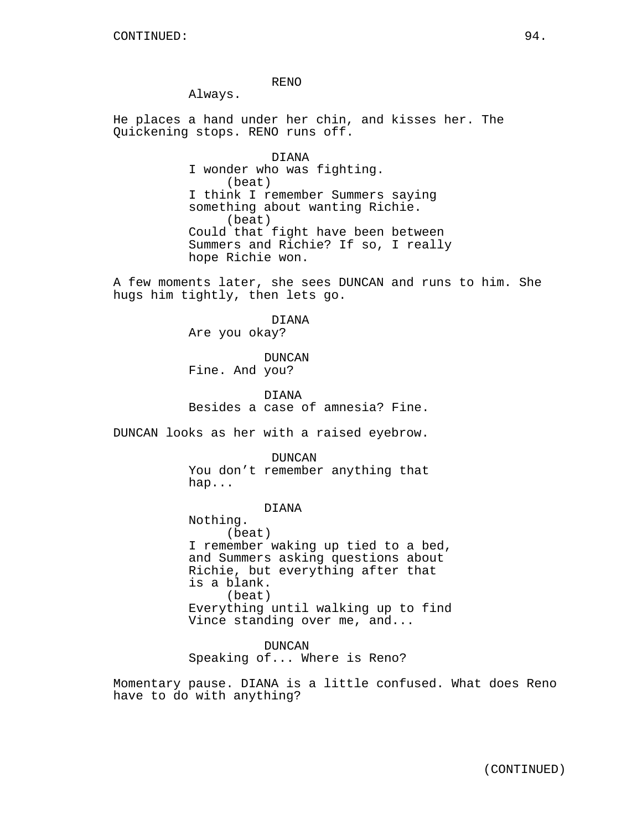RENO

Always.

He places a hand under her chin, and kisses her. The Quickening stops. RENO runs off.

> DIANA I wonder who was fighting. (beat) I think I remember Summers saying something about wanting Richie. (beat) Could that fight have been between Summers and Richie? If so, I really hope Richie won.

A few moments later, she sees DUNCAN and runs to him. She hugs him tightly, then lets go.

> DIANA Are you okay?

> DUNCAN Fine. And you?

DIANA Besides a case of amnesia? Fine.

DUNCAN looks as her with a raised eyebrow.

DUNCAN

You don't remember anything that hap...

DIANA

Nothing. (beat) I remember waking up tied to a bed, and Summers asking questions about Richie, but everything after that is a blank. (beat) Everything until walking up to find Vince standing over me, and...

DUNCAN Speaking of... Where is Reno?

Momentary pause. DIANA is a little confused. What does Reno have to do with anything?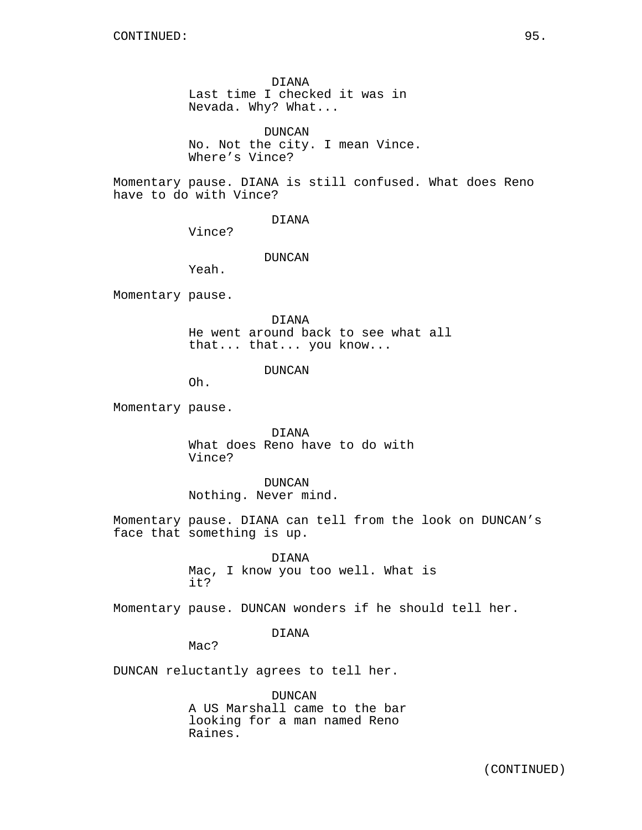DIANA Last time I checked it was in Nevada. Why? What...

DUNCAN No. Not the city. I mean Vince. Where's Vince?

Momentary pause. DIANA is still confused. What does Reno have to do with Vince?

DIANA

Vince?

DUNCAN

Yeah.

Momentary pause.

DIANA He went around back to see what all that... that... you know...

DUNCAN

Oh.

Momentary pause.

DIANA What does Reno have to do with Vince?

DUNCAN Nothing. Never mind.

Momentary pause. DIANA can tell from the look on DUNCAN's face that something is up.

> DIANA Mac, I know you too well. What is it?

Momentary pause. DUNCAN wonders if he should tell her.

DIANA

Mac?

DUNCAN reluctantly agrees to tell her.

DUNCAN A US Marshall came to the bar looking for a man named Reno Raines.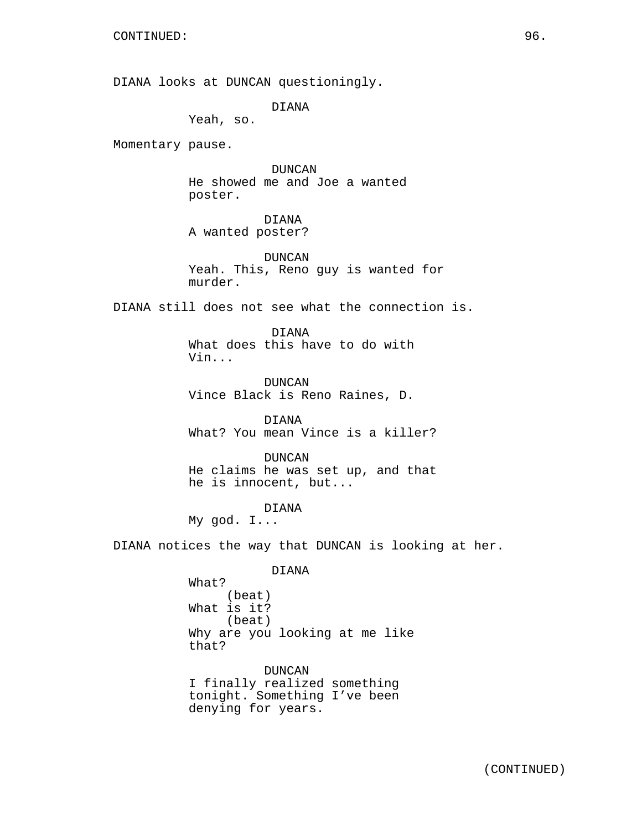DIANA looks at DUNCAN questioningly.

DIANA

Yeah, so.

Momentary pause.

DUNCAN He showed me and Joe a wanted poster.

# DIANA

A wanted poster?

DUNCAN Yeah. This, Reno guy is wanted for murder.

DIANA still does not see what the connection is.

DIANA What does this have to do with Vin...

DUNCAN Vince Black is Reno Raines, D.

DIANA What? You mean Vince is a killer?

DUNCAN He claims he was set up, and that he is innocent, but...

DIANA My god. I...

DIANA notices the way that DUNCAN is looking at her.

DIANA

What? (beat) What is it? (beat) Why are you looking at me like that?

DUNCAN I finally realized something tonight. Something I've been denying for years.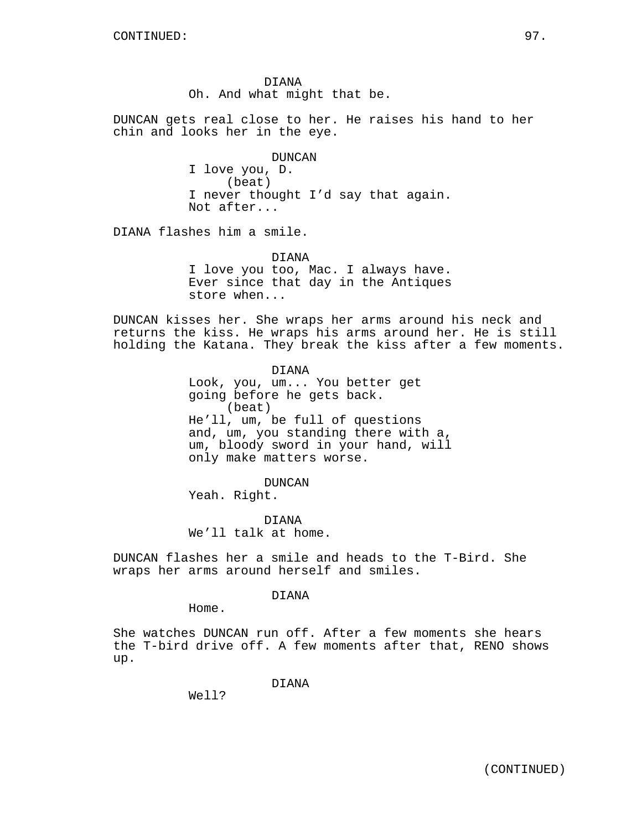DIANA Oh. And what might that be.

DUNCAN gets real close to her. He raises his hand to her chin and looks her in the eye.

> DUNCAN I love you, D. (beat) I never thought I'd say that again. Not after...

DIANA flashes him a smile.

DIANA I love you too, Mac. I always have. Ever since that day in the Antiques store when...

DUNCAN kisses her. She wraps her arms around his neck and returns the kiss. He wraps his arms around her. He is still holding the Katana. They break the kiss after a few moments.

> DIANA Look, you, um... You better get going before he gets back. (beat) He'll, um, be full of questions and, um, you standing there with a, um, bloody sword in your hand, will only make matters worse.

DUNCAN Yeah. Right.

DIANA We'll talk at home.

DUNCAN flashes her a smile and heads to the T-Bird. She wraps her arms around herself and smiles.

DIANA

Home.

She watches DUNCAN run off. After a few moments she hears the T-bird drive off. A few moments after that, RENO shows up.

DIANA

Well?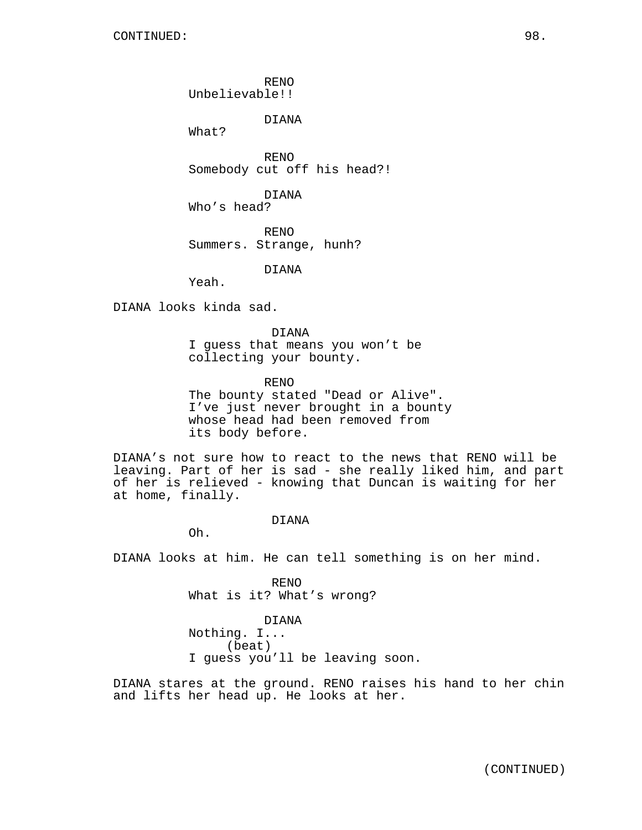RENO Unbelievable!!

DIANA

What?

RENO Somebody cut off his head?!

DIANA Who's head?

RENO Summers. Strange, hunh?

DIANA

Yeah.

DIANA looks kinda sad.

DIANA I guess that means you won't be collecting your bounty.

RENO The bounty stated "Dead or Alive". I've just never brought in a bounty whose head had been removed from its body before.

DIANA's not sure how to react to the news that RENO will be leaving. Part of her is sad - she really liked him, and part of her is relieved - knowing that Duncan is waiting for her at home, finally.

# DIANA

Oh.

DIANA looks at him. He can tell something is on her mind.

RENO What is it? What's wrong?

DIANA Nothing. I... (beat) I guess you'll be leaving soon.

DIANA stares at the ground. RENO raises his hand to her chin and lifts her head up. He looks at her.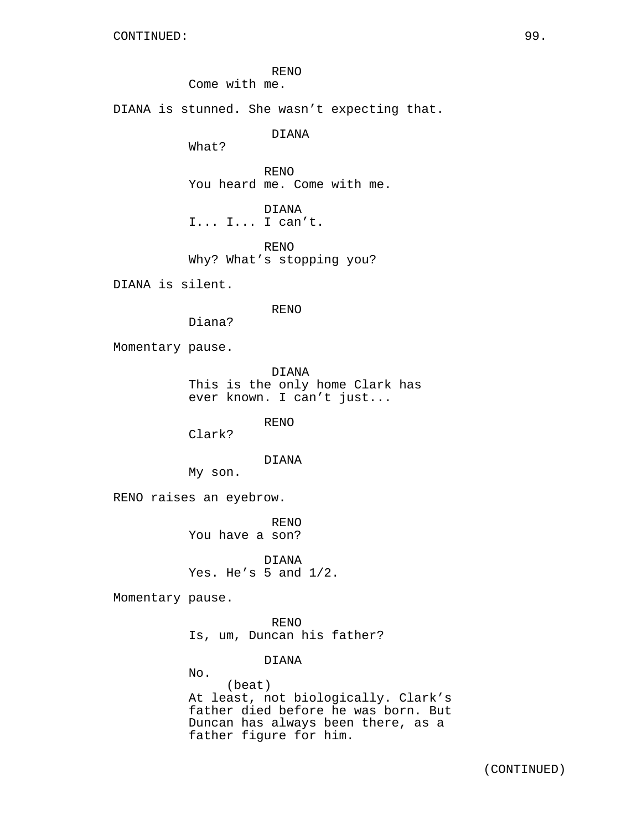RENO Come with me.

DIANA is stunned. She wasn't expecting that.

DIANA

What?

RENO You heard me. Come with me.

DIANA I... I... I can't.

RENO Why? What's stopping you?

DIANA is silent.

RENO

Diana?

Momentary pause.

DIANA This is the only home Clark has ever known. I can't just...

RENO

Clark?

DIANA

My son.

RENO raises an eyebrow.

No.

RENO You have a son?

DIANA Yes. He's  $5$  and  $1/2$ .

Momentary pause.

RENO Is, um, Duncan his father?

DIANA

(beat) At least, not biologically. Clark's father died before he was born. But Duncan has always been there, as a father figure for him.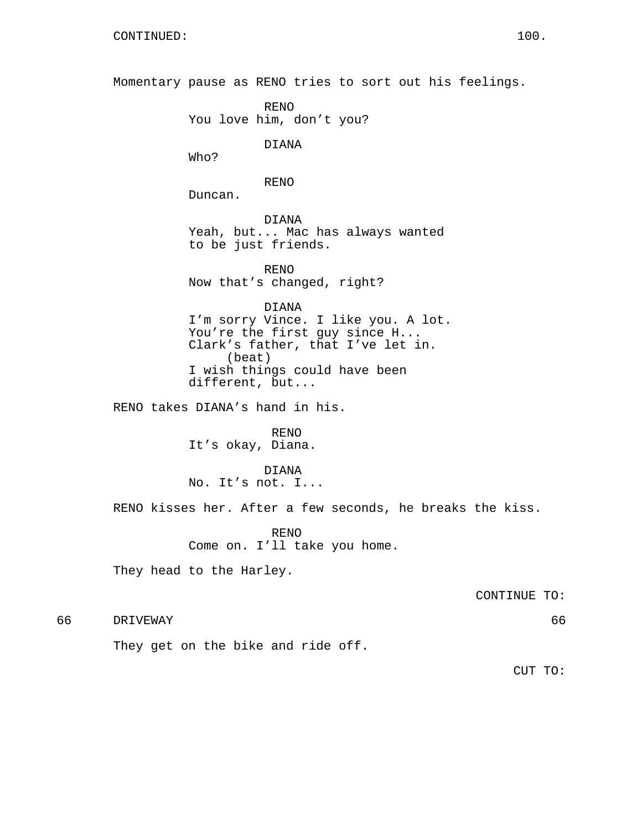Momentary pause as RENO tries to sort out his feelings.

RENO You love him, don't you?

DIANA

Who?

RENO

Duncan.

DIANA Yeah, but... Mac has always wanted to be just friends.

RENO Now that's changed, right?

DIANA

I'm sorry Vince. I like you. A lot. You're the first guy since H... Clark's father, that I've let in. (beat) I wish things could have been different, but...

RENO takes DIANA's hand in his.

RENO It's okay, Diana.

DIANA No. It's not. I...

RENO kisses her. After a few seconds, he breaks the kiss.

RENO Come on. I'll take you home.

They head to the Harley.

CONTINUE TO:

66 DRIVEWAY 66

They get on the bike and ride off.

CUT TO: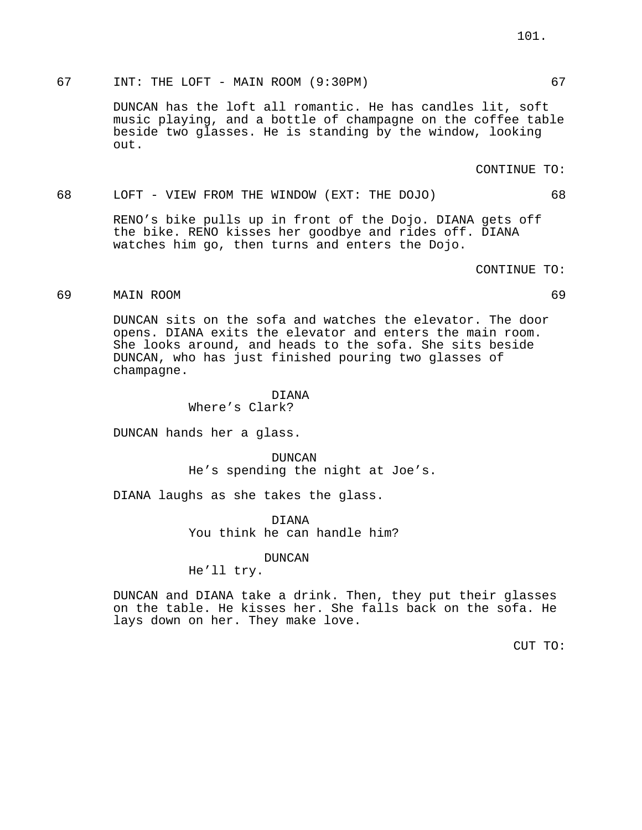67 INT: THE LOFT - MAIN ROOM (9:30PM) 67

DUNCAN has the loft all romantic. He has candles lit, soft music playing, and a bottle of champagne on the coffee table beside two glasses. He is standing by the window, looking out.

CONTINUE TO:

# 68 LOFT - VIEW FROM THE WINDOW (EXT: THE DOJO) 68

RENO's bike pulls up in front of the Dojo. DIANA gets off the bike. RENO kisses her goodbye and rides off. DIANA watches him go, then turns and enters the Dojo.

CONTINUE TO:

## 69 MAIN ROOM 69

DUNCAN sits on the sofa and watches the elevator. The door opens. DIANA exits the elevator and enters the main room. She looks around, and heads to the sofa. She sits beside DUNCAN, who has just finished pouring two glasses of champagne.

> DIANA Where's Clark?

DUNCAN hands her a glass.

DUNCAN He's spending the night at Joe's.

DIANA laughs as she takes the glass.

DIANA You think he can handle him?

DUNCAN

He'll try.

DUNCAN and DIANA take a drink. Then, they put their glasses on the table. He kisses her. She falls back on the sofa. He lays down on her. They make love.

CUT TO: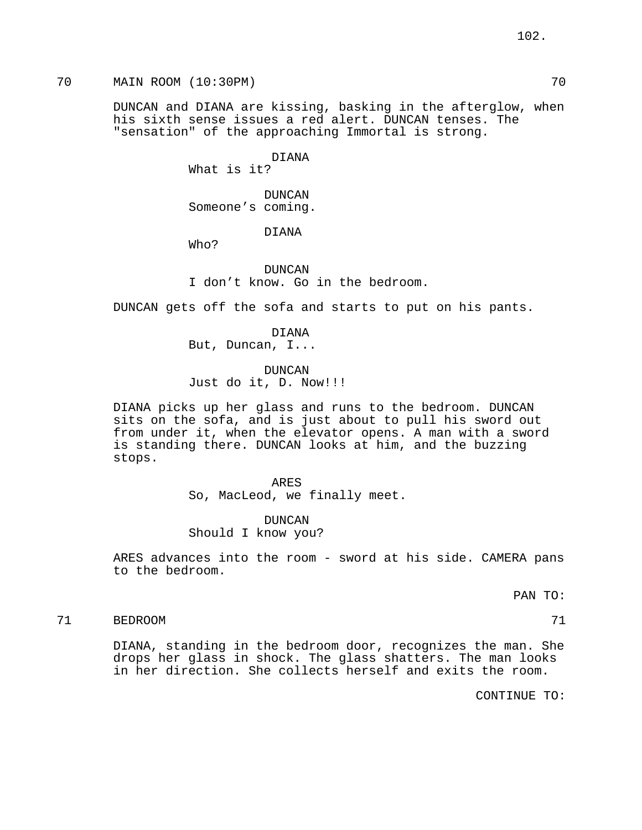70 MAIN ROOM (10:30PM) 70

DUNCAN and DIANA are kissing, basking in the afterglow, when his sixth sense issues a red alert. DUNCAN tenses. The "sensation" of the approaching Immortal is strong.

DIANA

What is it?

DUNCAN Someone's coming.

DIANA

Who?

DUNCAN I don't know. Go in the bedroom.

DUNCAN gets off the sofa and starts to put on his pants.

DIANA But, Duncan, I...

DUNCAN Just do it, D. Now!!!

DIANA picks up her glass and runs to the bedroom. DUNCAN sits on the sofa, and is just about to pull his sword out from under it, when the elevator opens. A man with a sword is standing there. DUNCAN looks at him, and the buzzing stops.

> ARES So, MacLeod, we finally meet.

DUNCAN Should I know you?

ARES advances into the room - sword at his side. CAMERA pans to the bedroom.

PAN TO:

71 BEDROOM 71

DIANA, standing in the bedroom door, recognizes the man. She drops her glass in shock. The glass shatters. The man looks in her direction. She collects herself and exits the room.

CONTINUE TO: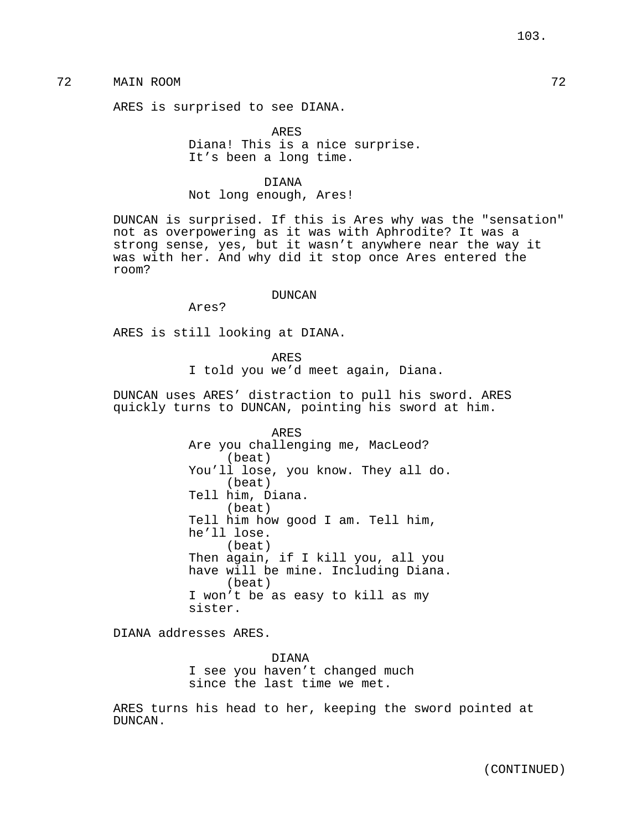# 72 MAIN ROOM 72

ARES is surprised to see DIANA.

ARES Diana! This is a nice surprise. It's been a long time.

# DIANA Not long enough, Ares!

DUNCAN is surprised. If this is Ares why was the "sensation" not as overpowering as it was with Aphrodite? It was a strong sense, yes, but it wasn't anywhere near the way it was with her. And why did it stop once Ares entered the room?

# DUNCAN

Ares?

ARES is still looking at DIANA.

ARES I told you we'd meet again, Diana.

DUNCAN uses ARES' distraction to pull his sword. ARES quickly turns to DUNCAN, pointing his sword at him.

> ARES Are you challenging me, MacLeod? (beat) You'll lose, you know. They all do. (beat) Tell him, Diana. (beat) Tell him how good I am. Tell him, he'll lose. (beat) Then again, if I kill you, all you have will be mine. Including Diana. (beat) I won't be as easy to kill as my sister.

DIANA addresses ARES.

DIANA I see you haven't changed much since the last time we met.

ARES turns his head to her, keeping the sword pointed at DUNCAN.

(CONTINUED)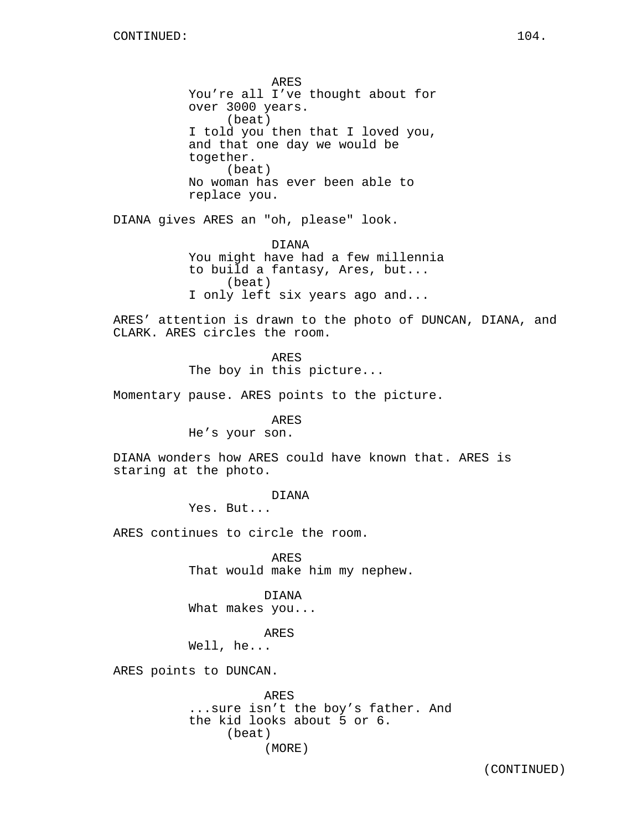ARES You're all I've thought about for over 3000 years. (beat) I told you then that I loved you, and that one day we would be together. (beat) No woman has ever been able to replace you. DIANA gives ARES an "oh, please" look. DIANA You might have had a few millennia to build a fantasy, Ares, but... (beat) I only left six years ago and... ARES' attention is drawn to the photo of DUNCAN, DIANA, and CLARK. ARES circles the room. ARES The boy in this picture... Momentary pause. ARES points to the picture. ARES He's your son. DIANA wonders how ARES could have known that. ARES is staring at the photo. DIANA Yes. But... ARES continues to circle the room. ARES That would make him my nephew. DIANA What makes you... ARES Well, he... ARES points to DUNCAN. ARES ...sure isn't the boy's father. And the kid looks about 5 or 6.

(beat)

(MORE)

(CONTINUED)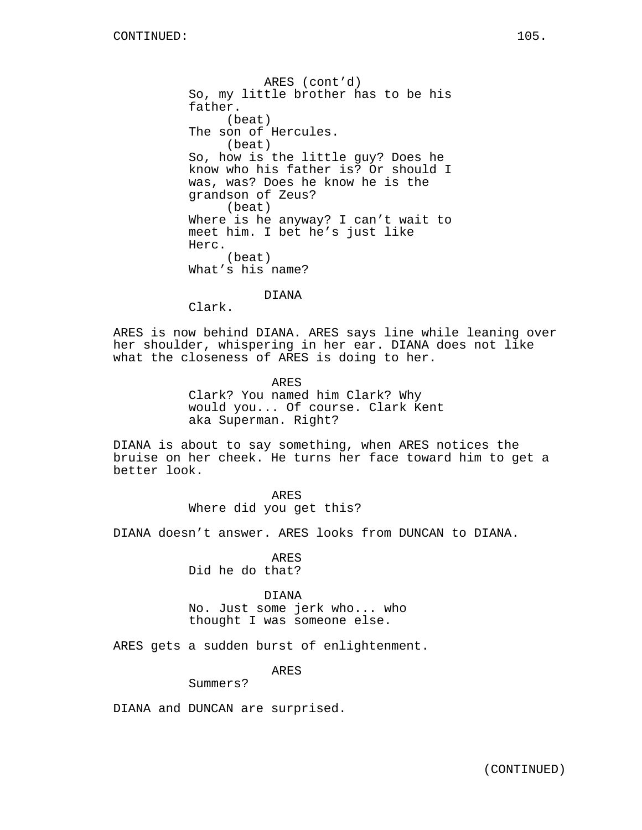ARES (cont'd) So, my little brother has to be his father. (beat) The son of Hercules. (beat) So, how is the little guy? Does he know who his father is? Or should I was, was? Does he know he is the grandson of Zeus? (beat) Where is he anyway? I can't wait to meet him. I bet he's just like Herc. (beat) What's his name?

DIANA

Clark.

ARES is now behind DIANA. ARES says line while leaning over her shoulder, whispering in her ear. DIANA does not like what the closeness of ARES is doing to her.

> ARES Clark? You named him Clark? Why

would you... Of course. Clark Kent aka Superman. Right?

DIANA is about to say something, when ARES notices the bruise on her cheek. He turns her face toward him to get a better look.

> ARES Where did you get this?

DIANA doesn't answer. ARES looks from DUNCAN to DIANA.

ARES Did he do that?

DIANA

No. Just some jerk who... who thought I was someone else.

ARES gets a sudden burst of enlightenment.

ARES

Summers?

DIANA and DUNCAN are surprised.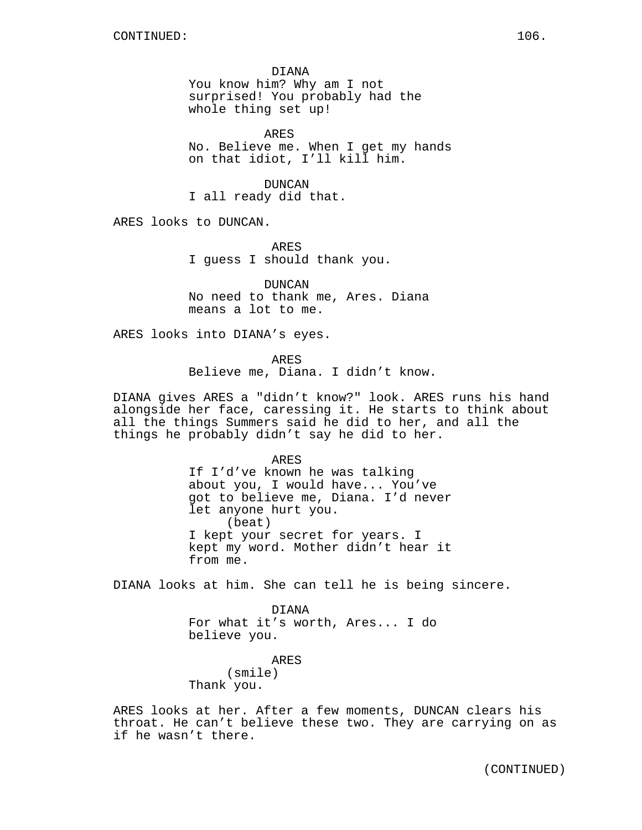DIANA You know him? Why am I not surprised! You probably had the whole thing set up!

ARES No. Believe me. When I get my hands on that idiot, I'll kill him.

DUNCAN I all ready did that.

ARES looks to DUNCAN.

ARES I guess I should thank you.

DUNCAN No need to thank me, Ares. Diana means a lot to me.

ARES looks into DIANA's eyes.

ARES

Believe me, Diana. I didn't know.

DIANA gives ARES a "didn't know?" look. ARES runs his hand alongside her face, caressing it. He starts to think about all the things Summers said he did to her, and all the things he probably didn't say he did to her.

ARES

If I'd've known he was talking about you, I would have... You've got to believe me, Diana. I'd never let anyone hurt you. (beat) I kept your secret for years. I kept my word. Mother didn't hear it from me.

DIANA looks at him. She can tell he is being sincere.

DIANA For what it's worth, Ares... I do believe you.

ARES

(smile) Thank you.

ARES looks at her. After a few moments, DUNCAN clears his throat. He can't believe these two. They are carrying on as if he wasn't there.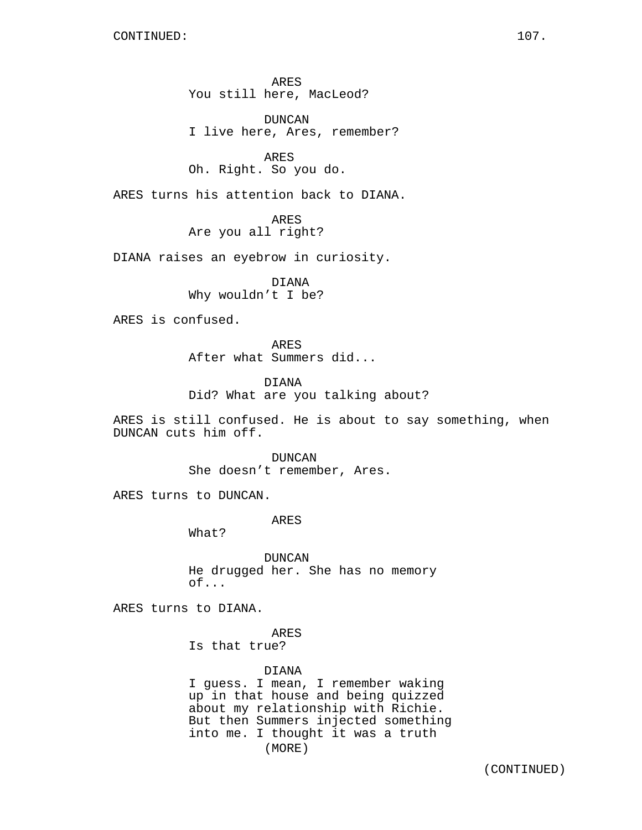ARES You still here, MacLeod?

DUNCAN I live here, Ares, remember?

ARES Oh. Right. So you do.

ARES turns his attention back to DIANA.

ARES Are you all right?

DIANA raises an eyebrow in curiosity.

DIANA Why wouldn't I be?

ARES is confused.

ARES After what Summers did...

DIANA Did? What are you talking about?

ARES is still confused. He is about to say something, when DUNCAN cuts him off.

> DUNCAN She doesn't remember, Ares.

ARES turns to DUNCAN.

ARES

What?

DUNCAN He drugged her. She has no memory of...

ARES turns to DIANA.

# ARES

Is that true?

DIANA

I guess. I mean, I remember waking up in that house and being quizzed about my relationship with Richie. But then Summers injected something into me. I thought it was a truth (MORE)

(CONTINUED)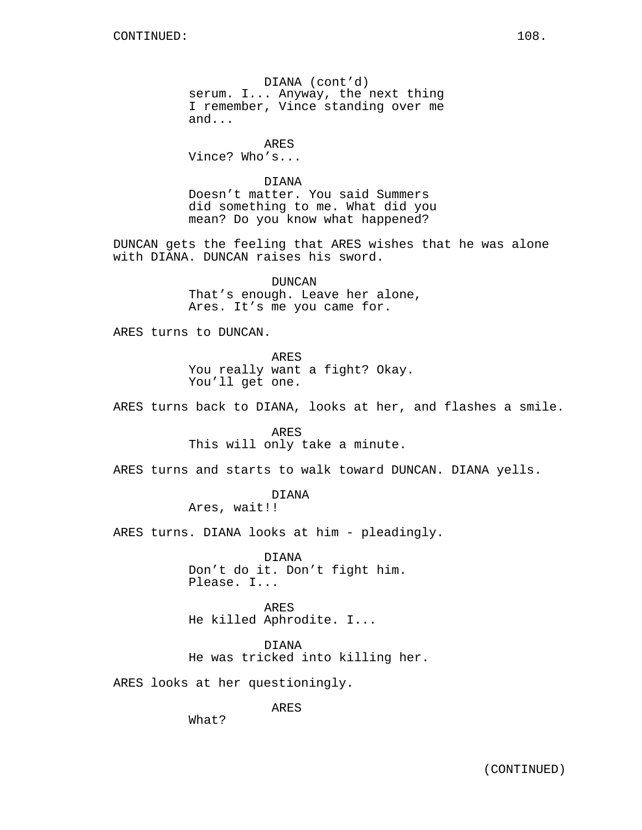DIANA (cont'd) serum. I... Anyway, the next thing I remember, Vince standing over me and...

ARES Vince? Who's...

## DIANA

Doesn't matter. You said Summers did something to me. What did you mean? Do you know what happened?

DUNCAN gets the feeling that ARES wishes that he was alone with DIANA. DUNCAN raises his sword.

> DUNCAN That's enough. Leave her alone, Ares. It's me you came for.

ARES turns to DUNCAN.

ARES You really want a fight? Okay. You'll get one.

ARES turns back to DIANA, looks at her, and flashes a smile.

ARES

This will only take a minute.

ARES turns and starts to walk toward DUNCAN. DIANA yells.

DIANA

Ares, wait!!

ARES turns. DIANA looks at him - pleadingly.

DIANA Don't do it. Don't fight him. Please. I...

ARES He killed Aphrodite. I...

DIANA He was tricked into killing her.

ARES looks at her questioningly.

ARES

What?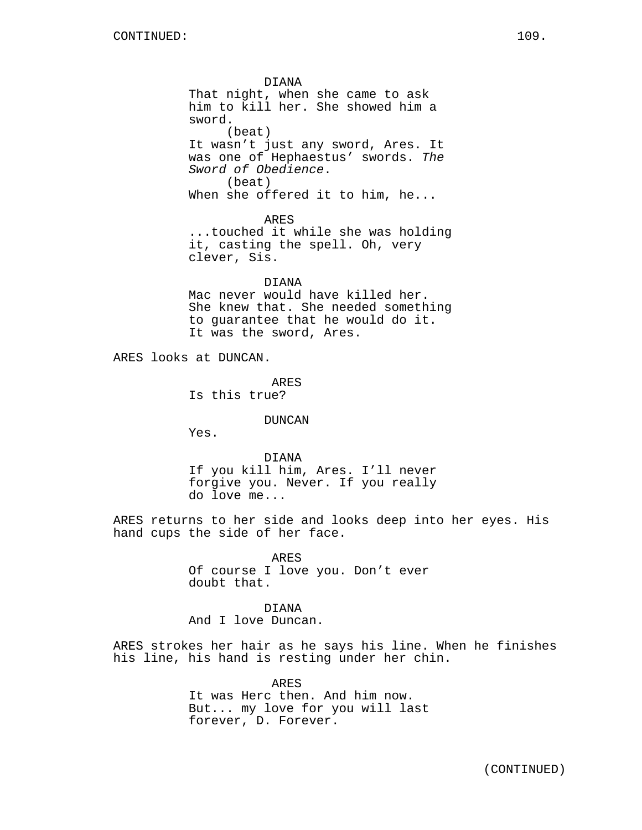DIANA That night, when she came to ask him to kill her. She showed him a sword. (beat) It wasn't just any sword, Ares. It was one of Hephaestus' swords. The Sword of Obedience. (beat) When she offered it to him, he...

ARES ...touched it while she was holding it, casting the spell. Oh, very clever, Sis.

DIANA Mac never would have killed her. She knew that. She needed something to guarantee that he would do it. It was the sword, Ares.

ARES looks at DUNCAN.

ARES Is this true?

## DUNCAN

Yes.

DIANA If you kill him, Ares. I'll never forgive you. Never. If you really do love me...

ARES returns to her side and looks deep into her eyes. His hand cups the side of her face.

> ARES Of course I love you. Don't ever doubt that.

DIANA And I love Duncan.

ARES strokes her hair as he says his line. When he finishes his line, his hand is resting under her chin.

> ARES It was Herc then. And him now. But... my love for you will last forever, D. Forever.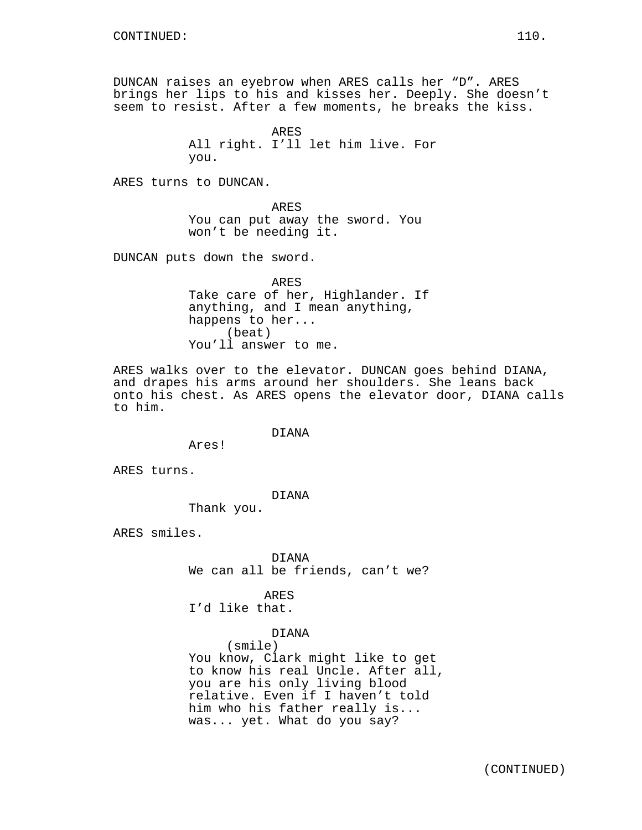DUNCAN raises an eyebrow when ARES calls her "D". ARES brings her lips to his and kisses her. Deeply. She doesn't seem to resist. After a few moments, he breaks the kiss.

> ARES All right. I'll let him live. For you.

ARES turns to DUNCAN.

ARES You can put away the sword. You won't be needing it.

DUNCAN puts down the sword.

ARES Take care of her, Highlander. If anything, and I mean anything, happens to her... (beat) You'll answer to me.

ARES walks over to the elevator. DUNCAN goes behind DIANA, and drapes his arms around her shoulders. She leans back onto his chest. As ARES opens the elevator door, DIANA calls to him.

DIANA

Ares!

ARES turns.

DIANA

Thank you.

ARES smiles.

DIANA We can all be friends, can't we?

ARES

I'd like that.

DIANA

(smile)

You know, Clark might like to get to know his real Uncle. After all, you are his only living blood relative. Even if I haven't told him who his father really is... was... yet. What do you say?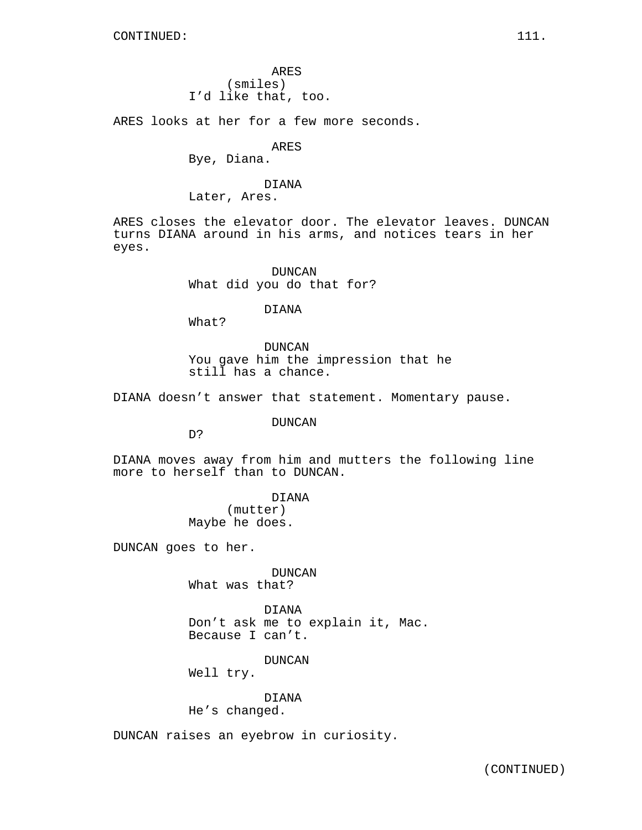ARES (smiles) I'd like that, too.

ARES looks at her for a few more seconds.

ARES

Bye, Diana.

# DIANA

Later, Ares.

ARES closes the elevator door. The elevator leaves. DUNCAN turns DIANA around in his arms, and notices tears in her eyes.

> DUNCAN What did you do that for?

> > DIANA

What?

DUNCAN You gave him the impression that he still has a chance.

DIANA doesn't answer that statement. Momentary pause.

DUNCAN

D?

DIANA moves away from him and mutters the following line more to herself than to DUNCAN.

> DIANA (mutter) Maybe he does.

DUNCAN goes to her.

DUNCAN What was that?

DIANA Don't ask me to explain it, Mac. Because I can't.

DUNCAN

Well try.

# DIANA

He's changed.

DUNCAN raises an eyebrow in curiosity.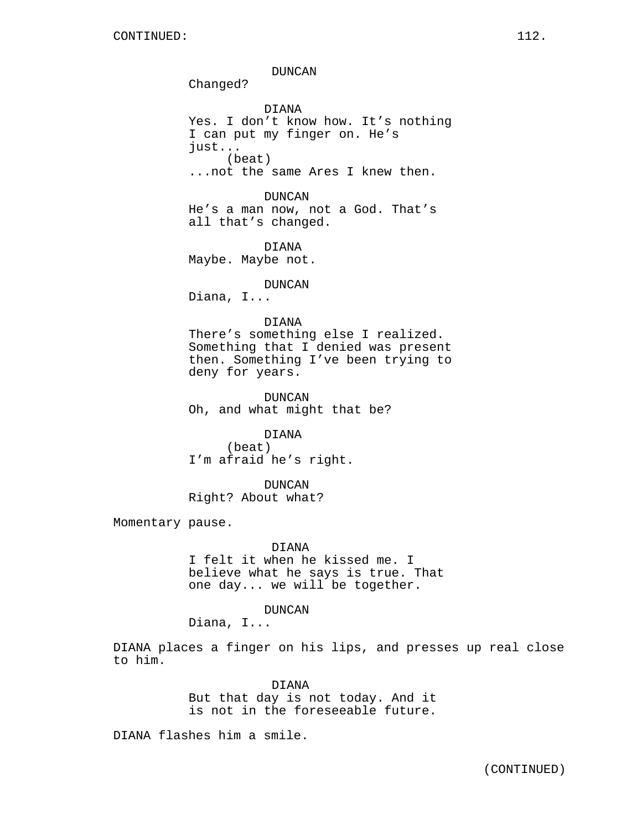DUNCAN

Changed?

DIANA Yes. I don't know how. It's nothing I can put my finger on. He's just... (beat) ...not the same Ares I knew then.

DUNCAN He's a man now, not a God. That's all that's changed.

DIANA Maybe. Maybe not.

#### DUNCAN

Diana, I...

## DIANA

There's something else I realized. Something that I denied was present then. Something I've been trying to deny for years.

DUNCAN Oh, and what might that be?

### DIANA

(beat) I'm afraid he's right.

DUNCAN Right? About what?

Momentary pause.

## DIANA

I felt it when he kissed me. I believe what he says is true. That one day... we will be together.

## DUNCAN

Diana, I...

DIANA places a finger on his lips, and presses up real close to him.

> DIANA But that day is not today. And it is not in the foreseeable future.

DIANA flashes him a smile.